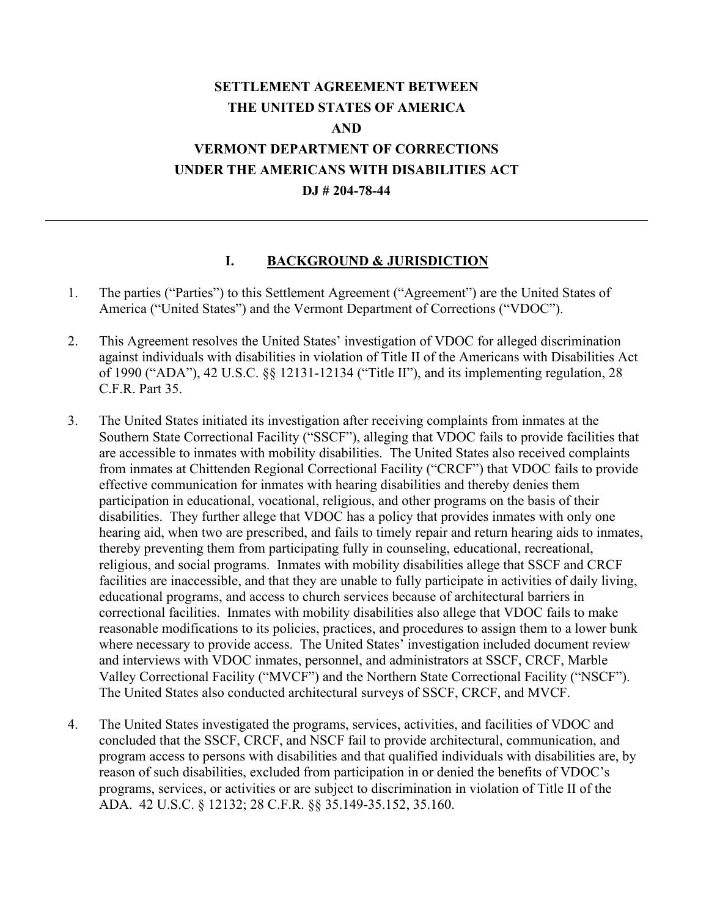## **SETTLEMENT AGREEMENT BETWEEN THE UNITED STATES OF AMERICA AND VERMONT DEPARTMENT OF CORRECTIONS UNDER THE AMERICANS WITH DISABILITIES ACT DJ # 204-78-44**

#### **I. BACKGROUND & JURISDICTION**

- 1. The parties ("Parties") to this Settlement Agreement ("Agreement") are the United States of America ("United States") and the Vermont Department of Corrections ("VDOC").
- 2. This Agreement resolves the United States' investigation of VDOC for alleged discrimination against individuals with disabilities in violation of Title II of the Americans with Disabilities Act of 1990 ("ADA"), 42 U.S.C. §§ 12131-12134 ("Title II"), and its implementing regulation, 28 C.F.R. Part 35.
- 3. The United States initiated its investigation after receiving complaints from inmates at the Southern State Correctional Facility ("SSCF"), alleging that VDOC fails to provide facilities that are accessible to inmates with mobility disabilities. The United States also received complaints from inmates at Chittenden Regional Correctional Facility ("CRCF") that VDOC fails to provide effective communication for inmates with hearing disabilities and thereby denies them participation in educational, vocational, religious, and other programs on the basis of their disabilities. They further allege that VDOC has a policy that provides inmates with only one hearing aid, when two are prescribed, and fails to timely repair and return hearing aids to inmates, thereby preventing them from participating fully in counseling, educational, recreational, religious, and social programs. Inmates with mobility disabilities allege that SSCF and CRCF facilities are inaccessible, and that they are unable to fully participate in activities of daily living, educational programs, and access to church services because of architectural barriers in correctional facilities. Inmates with mobility disabilities also allege that VDOC fails to make reasonable modifications to its policies, practices, and procedures to assign them to a lower bunk where necessary to provide access. The United States' investigation included document review and interviews with VDOC inmates, personnel, and administrators at SSCF, CRCF, Marble Valley Correctional Facility ("MVCF") and the Northern State Correctional Facility ("NSCF"). The United States also conducted architectural surveys of SSCF, CRCF, and MVCF.
- 4. The United States investigated the programs, services, activities, and facilities of VDOC and concluded that the SSCF, CRCF, and NSCF fail to provide architectural, communication, and program access to persons with disabilities and that qualified individuals with disabilities are, by reason of such disabilities, excluded from participation in or denied the benefits of VDOC's programs, services, or activities or are subject to discrimination in violation of Title II of the ADA. 42 U.S.C. § 12132; 28 C.F.R. §§ 35.149-35.152, 35.160.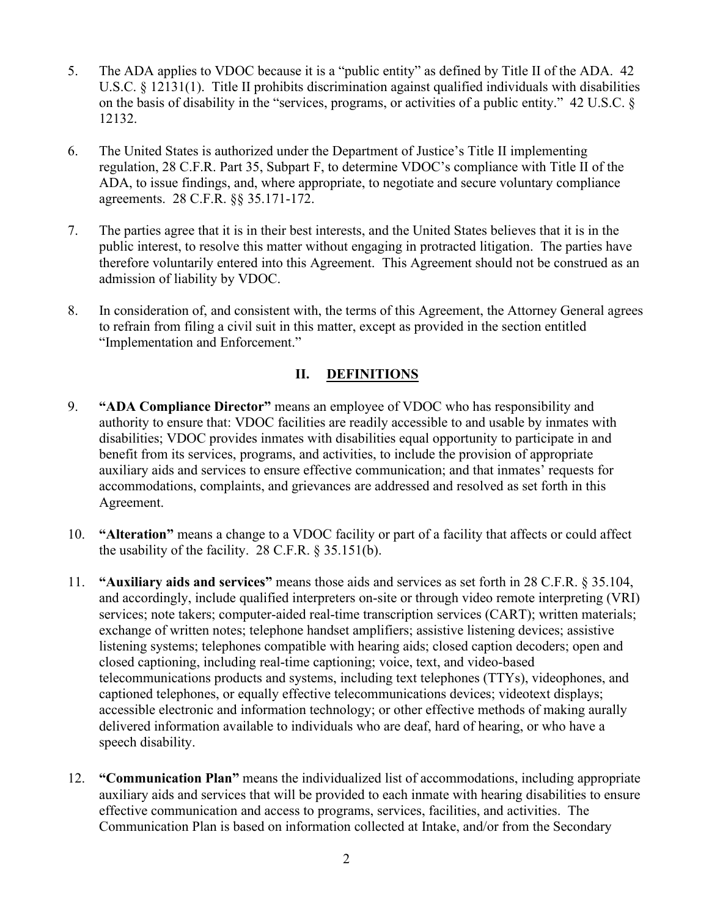- 5. The ADA applies to VDOC because it is a "public entity" as defined by Title II of the ADA. 42 U.S.C. § 12131(1). Title II prohibits discrimination against qualified individuals with disabilities on the basis of disability in the "services, programs, or activities of a public entity." 42 U.S.C. § 12132.
- 6. The United States is authorized under the Department of Justice's Title II implementing regulation, 28 C.F.R. Part 35, Subpart F, to determine VDOC's compliance with Title II of the ADA, to issue findings, and, where appropriate, to negotiate and secure voluntary compliance agreements. 28 C.F.R. §§ 35.171-172.
- 7. The parties agree that it is in their best interests, and the United States believes that it is in the public interest, to resolve this matter without engaging in protracted litigation. The parties have therefore voluntarily entered into this Agreement. This Agreement should not be construed as an admission of liability by VDOC.
- 8. In consideration of, and consistent with, the terms of this Agreement, the Attorney General agrees to refrain from filing a civil suit in this matter, except as provided in the section entitled "Implementation and Enforcement."

## **II. DEFINITIONS**

- 9. **"ADA Compliance Director"** means an employee of VDOC who has responsibility and authority to ensure that: VDOC facilities are readily accessible to and usable by inmates with disabilities; VDOC provides inmates with disabilities equal opportunity to participate in and benefit from its services, programs, and activities, to include the provision of appropriate auxiliary aids and services to ensure effective communication; and that inmates' requests for accommodations, complaints, and grievances are addressed and resolved as set forth in this Agreement.
- 10. **"Alteration"** means a change to a VDOC facility or part of a facility that affects or could affect the usability of the facility.  $28$  C.F.R.  $\S 35.151(b)$ .
- 11. **"Auxiliary aids and services"** means those aids and services as set forth in 28 C.F.R. § 35.104, and accordingly, include qualified interpreters on-site or through video remote interpreting (VRI) services; note takers; computer-aided real-time transcription services (CART); written materials; exchange of written notes; telephone handset amplifiers; assistive listening devices; assistive listening systems; telephones compatible with hearing aids; closed caption decoders; open and closed captioning, including real-time captioning; voice, text, and video-based telecommunications products and systems, including text telephones (TTYs), videophones, and captioned telephones, or equally effective telecommunications devices; videotext displays; accessible electronic and information technology; or other effective methods of making aurally delivered information available to individuals who are deaf, hard of hearing, or who have a speech disability.
- 12. **"Communication Plan"** means the individualized list of accommodations, including appropriate auxiliary aids and services that will be provided to each inmate with hearing disabilities to ensure effective communication and access to programs, services, facilities, and activities. The Communication Plan is based on information collected at Intake, and/or from the Secondary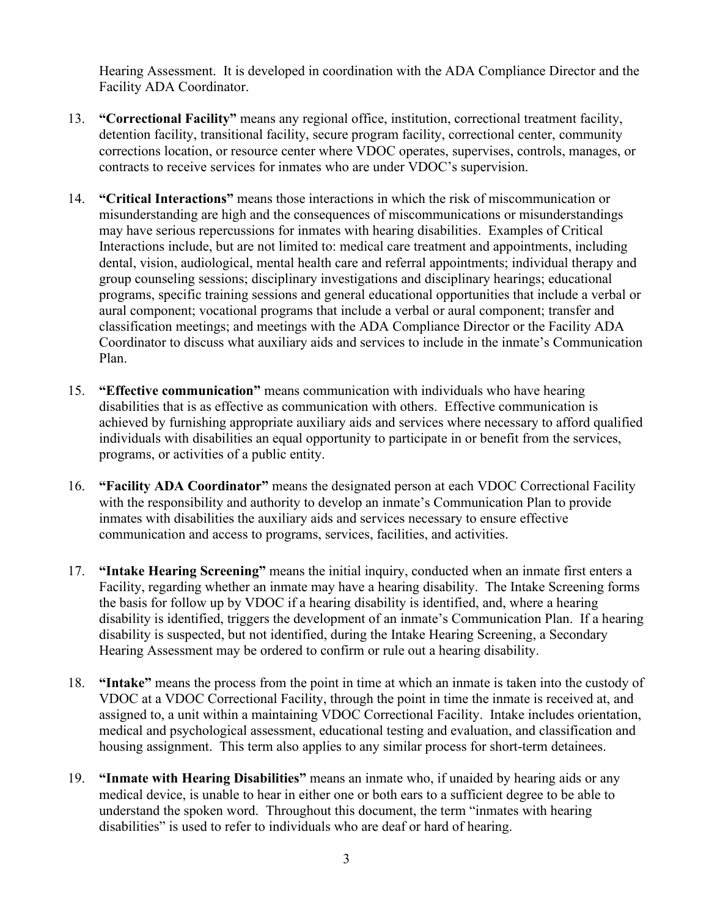Hearing Assessment. It is developed in coordination with the ADA Compliance Director and the Facility ADA Coordinator.

- 13. **"Correctional Facility"** means any regional office, institution, correctional treatment facility, detention facility, transitional facility, secure program facility, correctional center, community corrections location, or resource center where VDOC operates, supervises, controls, manages, or contracts to receive services for inmates who are under VDOC's supervision.
- 14. **"Critical Interactions"** means those interactions in which the risk of miscommunication or misunderstanding are high and the consequences of miscommunications or misunderstandings may have serious repercussions for inmates with hearing disabilities. Examples of Critical Interactions include, but are not limited to: medical care treatment and appointments, including dental, vision, audiological, mental health care and referral appointments; individual therapy and group counseling sessions; disciplinary investigations and disciplinary hearings; educational programs, specific training sessions and general educational opportunities that include a verbal or aural component; vocational programs that include a verbal or aural component; transfer and classification meetings; and meetings with the ADA Compliance Director or the Facility ADA Coordinator to discuss what auxiliary aids and services to include in the inmate's Communication Plan.
- 15. **"Effective communication"** means communication with individuals who have hearing disabilities that is as effective as communication with others. Effective communication is achieved by furnishing appropriate auxiliary aids and services where necessary to afford qualified individuals with disabilities an equal opportunity to participate in or benefit from the services, programs, or activities of a public entity.
- 16. **"Facility ADA Coordinator"** means the designated person at each VDOC Correctional Facility with the responsibility and authority to develop an inmate's Communication Plan to provide inmates with disabilities the auxiliary aids and services necessary to ensure effective communication and access to programs, services, facilities, and activities.
- 17. **"Intake Hearing Screening"** means the initial inquiry, conducted when an inmate first enters a Facility, regarding whether an inmate may have a hearing disability. The Intake Screening forms the basis for follow up by VDOC if a hearing disability is identified, and, where a hearing disability is identified, triggers the development of an inmate's Communication Plan. If a hearing disability is suspected, but not identified, during the Intake Hearing Screening, a Secondary Hearing Assessment may be ordered to confirm or rule out a hearing disability.
- 18. **"Intake"** means the process from the point in time at which an inmate is taken into the custody of VDOC at a VDOC Correctional Facility, through the point in time the inmate is received at, and assigned to, a unit within a maintaining VDOC Correctional Facility. Intake includes orientation, medical and psychological assessment, educational testing and evaluation, and classification and housing assignment. This term also applies to any similar process for short-term detainees.
- 19. **"Inmate with Hearing Disabilities"** means an inmate who, if unaided by hearing aids or any medical device, is unable to hear in either one or both ears to a sufficient degree to be able to understand the spoken word. Throughout this document, the term "inmates with hearing disabilities" is used to refer to individuals who are deaf or hard of hearing.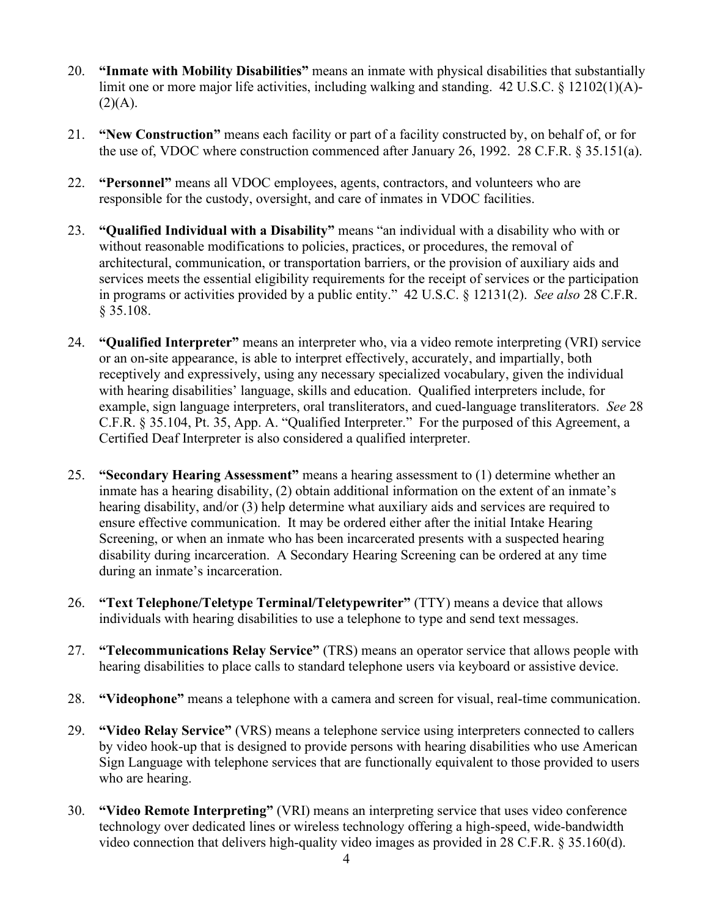- 20. **"Inmate with Mobility Disabilities"** means an inmate with physical disabilities that substantially limit one or more major life activities, including walking and standing. 42 U.S.C. § 12102(1)(A)-  $(2)(A).$
- 21. **"New Construction"** means each facility or part of a facility constructed by, on behalf of, or for the use of, VDOC where construction commenced after January 26, 1992. 28 C.F.R. § 35.151(a).
- 22. **"Personnel"** means all VDOC employees, agents, contractors, and volunteers who are responsible for the custody, oversight, and care of inmates in VDOC facilities.
- 23. **"Qualified Individual with a Disability"** means "an individual with a disability who with or without reasonable modifications to policies, practices, or procedures, the removal of architectural, communication, or transportation barriers, or the provision of auxiliary aids and services meets the essential eligibility requirements for the receipt of services or the participation in programs or activities provided by a public entity." 42 U.S.C. § 12131(2). *See also* 28 C.F.R. § 35.108.
- 24. **"Qualified Interpreter"** means an interpreter who, via a video remote interpreting (VRI) service or an on-site appearance, is able to interpret effectively, accurately, and impartially, both receptively and expressively, using any necessary specialized vocabulary, given the individual with hearing disabilities' language, skills and education. Qualified interpreters include, for example, sign language interpreters, oral transliterators, and cued-language transliterators. *See* 28 C.F.R. § 35.104, Pt. 35, App. A. "Qualified Interpreter." For the purposed of this Agreement, a Certified Deaf Interpreter is also considered a qualified interpreter.
- 25. **"Secondary Hearing Assessment"** means a hearing assessment to (1) determine whether an inmate has a hearing disability, (2) obtain additional information on the extent of an inmate's hearing disability, and/or (3) help determine what auxiliary aids and services are required to ensure effective communication. It may be ordered either after the initial Intake Hearing Screening, or when an inmate who has been incarcerated presents with a suspected hearing disability during incarceration. A Secondary Hearing Screening can be ordered at any time during an inmate's incarceration.
- 26. **"Text Telephone/Teletype Terminal/Teletypewriter"** (TTY) means a device that allows individuals with hearing disabilities to use a telephone to type and send text messages.
- 27. **"Telecommunications Relay Service"** (TRS) means an operator service that allows people with hearing disabilities to place calls to standard telephone users via keyboard or assistive device.
- 28. **"Videophone"** means a telephone with a camera and screen for visual, real-time communication.
- 29. **"Video Relay Service"** (VRS) means a telephone service using interpreters connected to callers by video hook-up that is designed to provide persons with hearing disabilities who use American Sign Language with telephone services that are functionally equivalent to those provided to users who are hearing.
- 30. **"Video Remote Interpreting"** (VRI) means an interpreting service that uses video conference technology over dedicated lines or wireless technology offering a high-speed, wide-bandwidth video connection that delivers high-quality video images as provided in 28 C.F.R. § 35.160(d).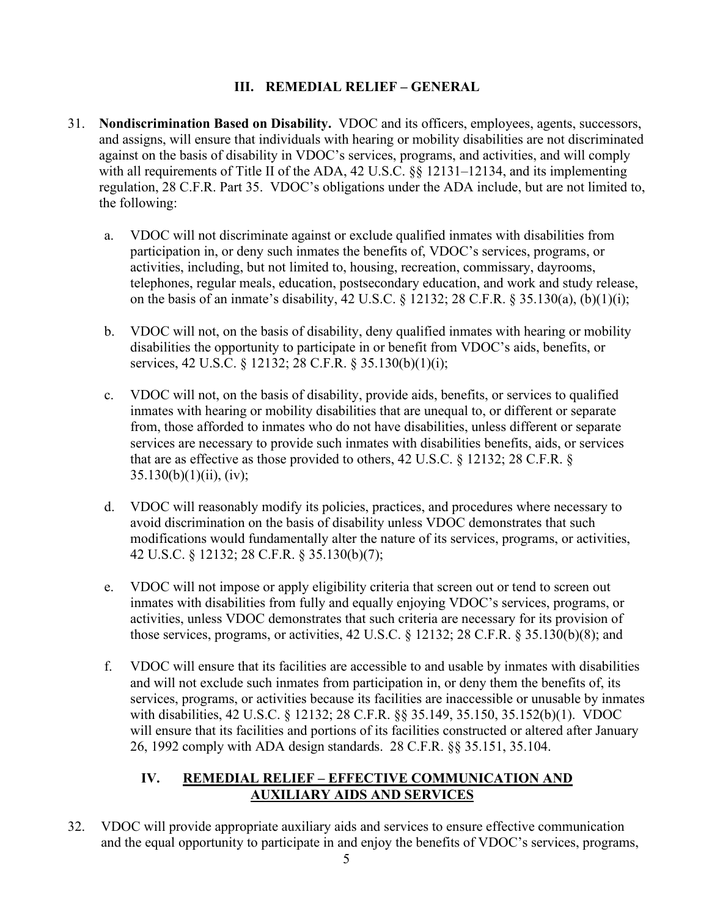## **III. REMEDIAL RELIEF – GENERAL**

- 31. **Nondiscrimination Based on Disability.** VDOC and its officers, employees, agents, successors, and assigns, will ensure that individuals with hearing or mobility disabilities are not discriminated against on the basis of disability in VDOC's services, programs, and activities, and will comply with all requirements of Title II of the ADA, 42 U.S.C. §§ 12131–12134, and its implementing regulation, 28 C.F.R. Part 35. VDOC's obligations under the ADA include, but are not limited to, the following:
	- a. VDOC will not discriminate against or exclude qualified inmates with disabilities from participation in, or deny such inmates the benefits of, VDOC's services, programs, or activities, including, but not limited to, housing, recreation, commissary, dayrooms, telephones, regular meals, education, postsecondary education, and work and study release, on the basis of an inmate's disability, 42 U.S.C. § 12132; 28 C.F.R. § 35.130(a), (b)(1)(i);
	- b. VDOC will not, on the basis of disability, deny qualified inmates with hearing or mobility disabilities the opportunity to participate in or benefit from VDOC's aids, benefits, or services, 42 U.S.C. § 12132; 28 C.F.R. § 35.130(b)(1)(i);
	- c. VDOC will not, on the basis of disability, provide aids, benefits, or services to qualified inmates with hearing or mobility disabilities that are unequal to, or different or separate from, those afforded to inmates who do not have disabilities, unless different or separate services are necessary to provide such inmates with disabilities benefits, aids, or services that are as effective as those provided to others, 42 U.S.C. § 12132; 28 C.F.R. §  $35.130(b)(1)(ii)$ , (iv);
	- d. VDOC will reasonably modify its policies, practices, and procedures where necessary to avoid discrimination on the basis of disability unless VDOC demonstrates that such modifications would fundamentally alter the nature of its services, programs, or activities, 42 U.S.C. § 12132; 28 C.F.R. § 35.130(b)(7);
	- e. VDOC will not impose or apply eligibility criteria that screen out or tend to screen out inmates with disabilities from fully and equally enjoying VDOC's services, programs, or activities, unless VDOC demonstrates that such criteria are necessary for its provision of those services, programs, or activities, 42 U.S.C. § 12132; 28 C.F.R. § 35.130(b)(8); and
	- f. VDOC will ensure that its facilities are accessible to and usable by inmates with disabilities and will not exclude such inmates from participation in, or deny them the benefits of, its services, programs, or activities because its facilities are inaccessible or unusable by inmates with disabilities, 42 U.S.C. § 12132; 28 C.F.R. §§ 35.149, 35.150, 35.152(b)(1). VDOC will ensure that its facilities and portions of its facilities constructed or altered after January 26, 1992 comply with ADA design standards. 28 C.F.R. §§ 35.151, 35.104.

## **IV. REMEDIAL RELIEF – EFFECTIVE COMMUNICATION AND AUXILIARY AIDS AND SERVICES**

32. VDOC will provide appropriate auxiliary aids and services to ensure effective communication and the equal opportunity to participate in and enjoy the benefits of VDOC's services, programs,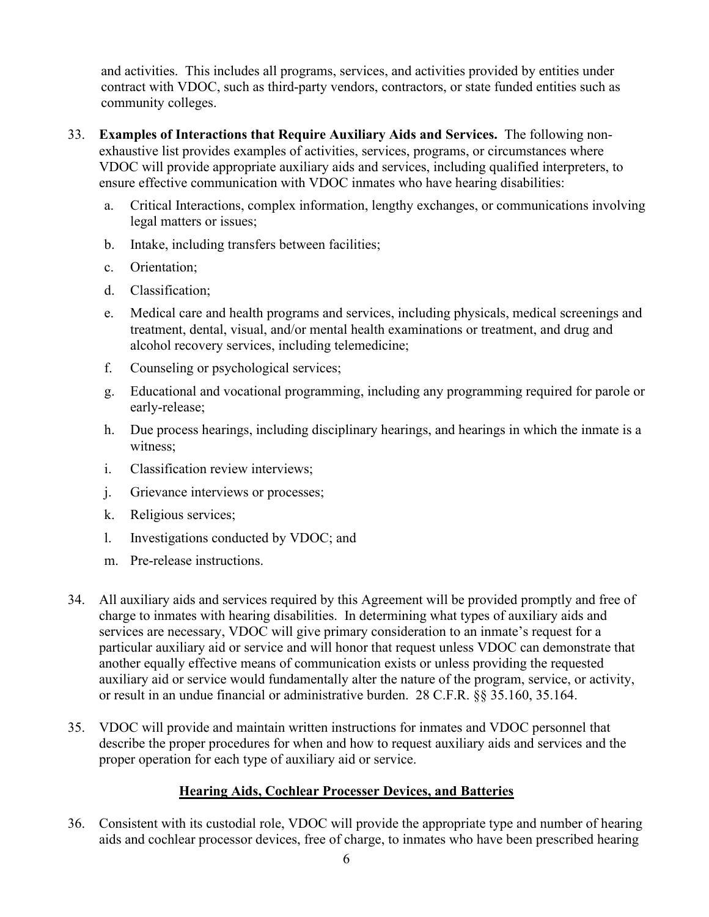and activities. This includes all programs, services, and activities provided by entities under contract with VDOC, such as third-party vendors, contractors, or state funded entities such as community colleges.

- 33. **Examples of Interactions that Require Auxiliary Aids and Services.** The following nonexhaustive list provides examples of activities, services, programs, or circumstances where VDOC will provide appropriate auxiliary aids and services, including qualified interpreters, to ensure effective communication with VDOC inmates who have hearing disabilities:
	- a. Critical Interactions, complex information, lengthy exchanges, or communications involving legal matters or issues;
	- b. Intake, including transfers between facilities;
	- c. Orientation;
	- d. Classification;
	- e. Medical care and health programs and services, including physicals, medical screenings and treatment, dental, visual, and/or mental health examinations or treatment, and drug and alcohol recovery services, including telemedicine;
	- f. Counseling or psychological services;
	- g. Educational and vocational programming, including any programming required for parole or early-release;
	- h. Due process hearings, including disciplinary hearings, and hearings in which the inmate is a witness;
	- i. Classification review interviews;
	- j. Grievance interviews or processes;
	- k. Religious services;
	- l. Investigations conducted by VDOC; and
	- m. Pre-release instructions.
- 34. All auxiliary aids and services required by this Agreement will be provided promptly and free of charge to inmates with hearing disabilities. In determining what types of auxiliary aids and services are necessary, VDOC will give primary consideration to an inmate's request for a particular auxiliary aid or service and will honor that request unless VDOC can demonstrate that another equally effective means of communication exists or unless providing the requested auxiliary aid or service would fundamentally alter the nature of the program, service, or activity, or result in an undue financial or administrative burden. 28 C.F.R. §§ 35.160, 35.164.
- 35. VDOC will provide and maintain written instructions for inmates and VDOC personnel that describe the proper procedures for when and how to request auxiliary aids and services and the proper operation for each type of auxiliary aid or service.

### **Hearing Aids, Cochlear Processer Devices, and Batteries**

36. Consistent with its custodial role, VDOC will provide the appropriate type and number of hearing aids and cochlear processor devices, free of charge, to inmates who have been prescribed hearing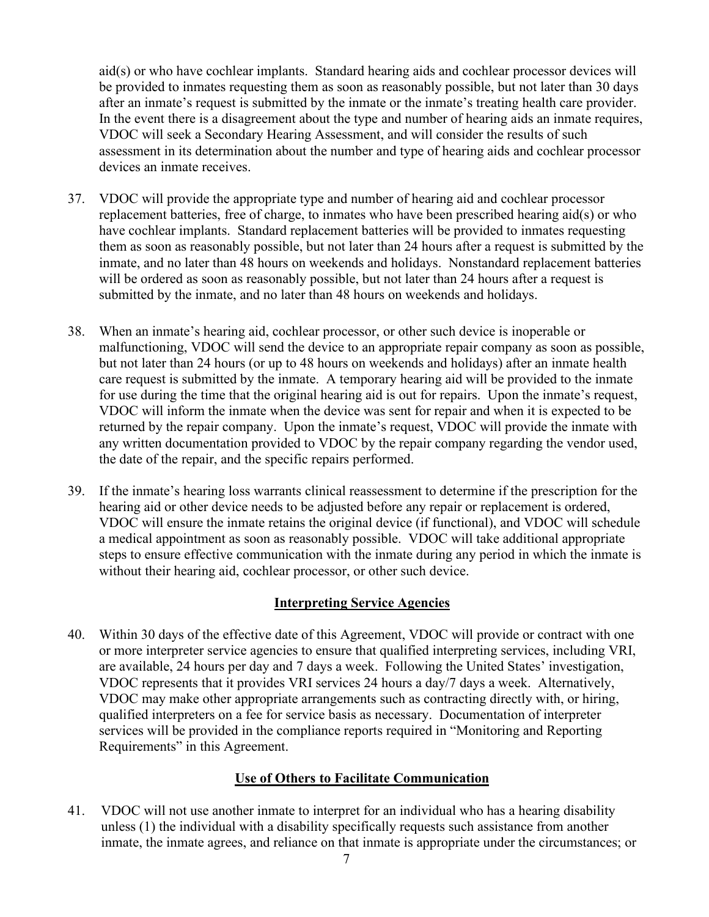aid(s) or who have cochlear implants. Standard hearing aids and cochlear processor devices will be provided to inmates requesting them as soon as reasonably possible, but not later than 30 days after an inmate's request is submitted by the inmate or the inmate's treating health care provider. In the event there is a disagreement about the type and number of hearing aids an inmate requires, VDOC will seek a Secondary Hearing Assessment, and will consider the results of such assessment in its determination about the number and type of hearing aids and cochlear processor devices an inmate receives.

- 37. VDOC will provide the appropriate type and number of hearing aid and cochlear processor replacement batteries, free of charge, to inmates who have been prescribed hearing aid(s) or who have cochlear implants. Standard replacement batteries will be provided to inmates requesting them as soon as reasonably possible, but not later than 24 hours after a request is submitted by the inmate, and no later than 48 hours on weekends and holidays. Nonstandard replacement batteries will be ordered as soon as reasonably possible, but not later than 24 hours after a request is submitted by the inmate, and no later than 48 hours on weekends and holidays.
- 38. When an inmate's hearing aid, cochlear processor, or other such device is inoperable or malfunctioning, VDOC will send the device to an appropriate repair company as soon as possible, but not later than 24 hours (or up to 48 hours on weekends and holidays) after an inmate health care request is submitted by the inmate. A temporary hearing aid will be provided to the inmate for use during the time that the original hearing aid is out for repairs. Upon the inmate's request, VDOC will inform the inmate when the device was sent for repair and when it is expected to be returned by the repair company. Upon the inmate's request, VDOC will provide the inmate with any written documentation provided to VDOC by the repair company regarding the vendor used, the date of the repair, and the specific repairs performed.
- 39. If the inmate's hearing loss warrants clinical reassessment to determine if the prescription for the hearing aid or other device needs to be adjusted before any repair or replacement is ordered, VDOC will ensure the inmate retains the original device (if functional), and VDOC will schedule a medical appointment as soon as reasonably possible. VDOC will take additional appropriate steps to ensure effective communication with the inmate during any period in which the inmate is without their hearing aid, cochlear processor, or other such device.

### **Interpreting Service Agencies**

40. Within 30 days of the effective date of this Agreement, VDOC will provide or contract with one or more interpreter service agencies to ensure that qualified interpreting services, including VRI, are available, 24 hours per day and 7 days a week. Following the United States' investigation, VDOC represents that it provides VRI services 24 hours a day/7 days a week. Alternatively, VDOC may make other appropriate arrangements such as contracting directly with, or hiring, qualified interpreters on a fee for service basis as necessary. Documentation of interpreter services will be provided in the compliance reports required in "Monitoring and Reporting Requirements" in this Agreement.

## **Use of Others to Facilitate Communication**

41. VDOC will not use another inmate to interpret for an individual who has a hearing disability unless (1) the individual with a disability specifically requests such assistance from another inmate, the inmate agrees, and reliance on that inmate is appropriate under the circumstances; or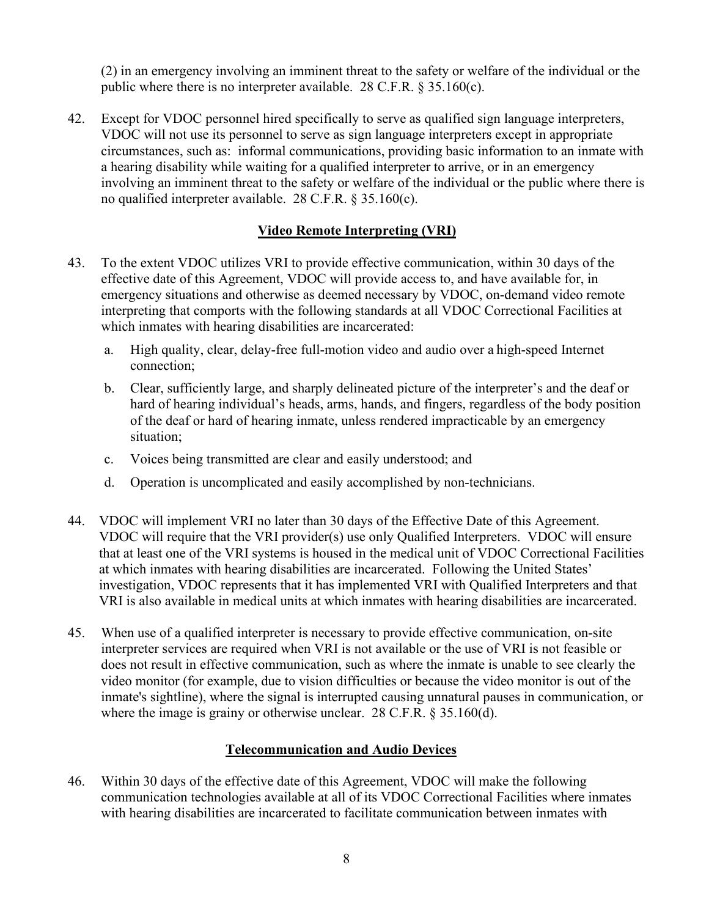(2) in an emergency involving an imminent threat to the safety or welfare of the individual or the public where there is no interpreter available. 28 C.F.R. § 35.160(c).

42. Except for VDOC personnel hired specifically to serve as qualified sign language interpreters, VDOC will not use its personnel to serve as sign language interpreters except in appropriate circumstances, such as: informal communications, providing basic information to an inmate with a hearing disability while waiting for a qualified interpreter to arrive, or in an emergency involving an imminent threat to the safety or welfare of the individual or the public where there is no qualified interpreter available. 28 C.F.R. § 35.160(c).

### **Video Remote Interpreting (VRI)**

- 43. To the extent VDOC utilizes VRI to provide effective communication, within 30 days of the effective date of this Agreement, VDOC will provide access to, and have available for, in emergency situations and otherwise as deemed necessary by VDOC, on-demand video remote interpreting that comports with the following standards at all VDOC Correctional Facilities at which inmates with hearing disabilities are incarcerated:
	- a. High quality, clear, delay-free full-motion video and audio over a high-speed Internet connection;
	- b. Clear, sufficiently large, and sharply delineated picture of the interpreter's and the deaf or hard of hearing individual's heads, arms, hands, and fingers, regardless of the body position of the deaf or hard of hearing inmate, unless rendered impracticable by an emergency situation;
	- c. Voices being transmitted are clear and easily understood; and
	- d. Operation is uncomplicated and easily accomplished by non-technicians.
- 44. VDOC will implement VRI no later than 30 days of the Effective Date of this Agreement. VDOC will require that the VRI provider(s) use only Qualified Interpreters. VDOC will ensure that at least one of the VRI systems is housed in the medical unit of VDOC Correctional Facilities at which inmates with hearing disabilities are incarcerated. Following the United States' investigation, VDOC represents that it has implemented VRI with Qualified Interpreters and that VRI is also available in medical units at which inmates with hearing disabilities are incarcerated.
- 45. When use of a qualified interpreter is necessary to provide effective communication, on-site interpreter services are required when VRI is not available or the use of VRI is not feasible or does not result in effective communication, such as where the inmate is unable to see clearly the video monitor (for example, due to vision difficulties or because the video monitor is out of the inmate's sightline), where the signal is interrupted causing unnatural pauses in communication, or where the image is grainy or otherwise unclear. 28 C.F.R. § 35.160(d).

### **Telecommunication and Audio Devices**

46. Within 30 days of the effective date of this Agreement, VDOC will make the following communication technologies available at all of its VDOC Correctional Facilities where inmates with hearing disabilities are incarcerated to facilitate communication between inmates with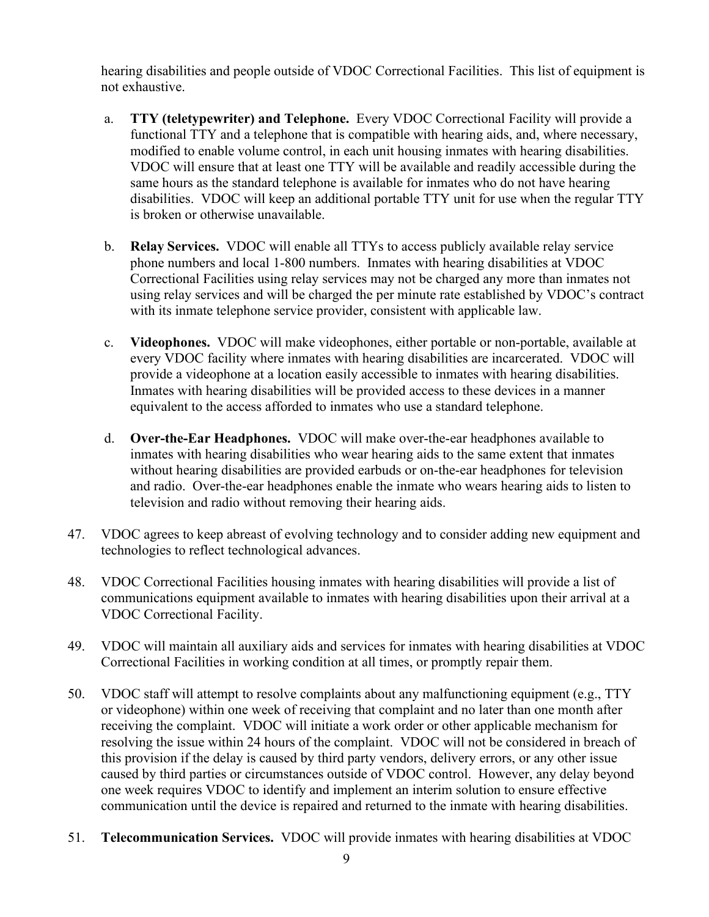hearing disabilities and people outside of VDOC Correctional Facilities. This list of equipment is not exhaustive.

- a. **TTY (teletypewriter) and Telephone.** Every VDOC Correctional Facility will provide a functional TTY and a telephone that is compatible with hearing aids, and, where necessary, modified to enable volume control, in each unit housing inmates with hearing disabilities. VDOC will ensure that at least one TTY will be available and readily accessible during the same hours as the standard telephone is available for inmates who do not have hearing disabilities. VDOC will keep an additional portable TTY unit for use when the regular TTY is broken or otherwise unavailable.
- b. **Relay Services.** VDOC will enable all TTYs to access publicly available relay service phone numbers and local 1-800 numbers. Inmates with hearing disabilities at VDOC Correctional Facilities using relay services may not be charged any more than inmates not using relay services and will be charged the per minute rate established by VDOC's contract with its inmate telephone service provider, consistent with applicable law.
- c. **Videophones.** VDOC will make videophones, either portable or non-portable, available at every VDOC facility where inmates with hearing disabilities are incarcerated. VDOC will provide a videophone at a location easily accessible to inmates with hearing disabilities. Inmates with hearing disabilities will be provided access to these devices in a manner equivalent to the access afforded to inmates who use a standard telephone.
- d. **Over-the-Ear Headphones.** VDOC will make over-the-ear headphones available to inmates with hearing disabilities who wear hearing aids to the same extent that inmates without hearing disabilities are provided earbuds or on-the-ear headphones for television and radio. Over-the-ear headphones enable the inmate who wears hearing aids to listen to television and radio without removing their hearing aids.
- 47. VDOC agrees to keep abreast of evolving technology and to consider adding new equipment and technologies to reflect technological advances.
- 48. VDOC Correctional Facilities housing inmates with hearing disabilities will provide a list of communications equipment available to inmates with hearing disabilities upon their arrival at a VDOC Correctional Facility.
- 49. VDOC will maintain all auxiliary aids and services for inmates with hearing disabilities at VDOC Correctional Facilities in working condition at all times, or promptly repair them.
- 50. VDOC staff will attempt to resolve complaints about any malfunctioning equipment (e.g., TTY or videophone) within one week of receiving that complaint and no later than one month after receiving the complaint. VDOC will initiate a work order or other applicable mechanism for resolving the issue within 24 hours of the complaint. VDOC will not be considered in breach of this provision if the delay is caused by third party vendors, delivery errors, or any other issue caused by third parties or circumstances outside of VDOC control. However, any delay beyond one week requires VDOC to identify and implement an interim solution to ensure effective communication until the device is repaired and returned to the inmate with hearing disabilities.
- 51. **Telecommunication Services.** VDOC will provide inmates with hearing disabilities at VDOC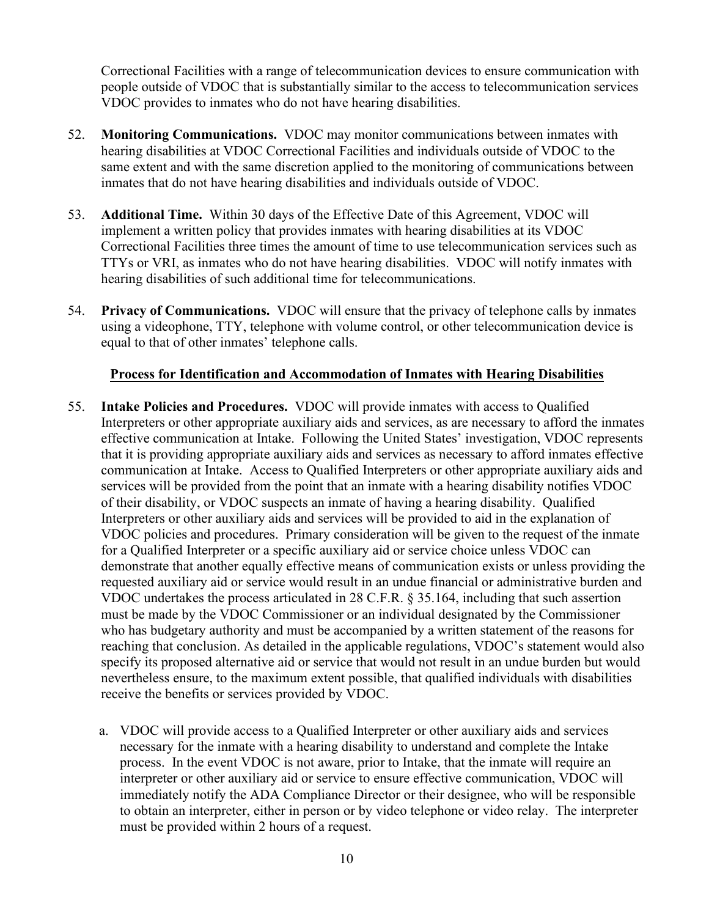Correctional Facilities with a range of telecommunication devices to ensure communication with people outside of VDOC that is substantially similar to the access to telecommunication services VDOC provides to inmates who do not have hearing disabilities.

- 52. **Monitoring Communications.** VDOC may monitor communications between inmates with hearing disabilities at VDOC Correctional Facilities and individuals outside of VDOC to the same extent and with the same discretion applied to the monitoring of communications between inmates that do not have hearing disabilities and individuals outside of VDOC.
- 53. **Additional Time.** Within 30 days of the Effective Date of this Agreement, VDOC will implement a written policy that provides inmates with hearing disabilities at its VDOC Correctional Facilities three times the amount of time to use telecommunication services such as TTYs or VRI, as inmates who do not have hearing disabilities. VDOC will notify inmates with hearing disabilities of such additional time for telecommunications.
- 54. **Privacy of Communications.** VDOC will ensure that the privacy of telephone calls by inmates using a videophone, TTY, telephone with volume control, or other telecommunication device is equal to that of other inmates' telephone calls.

#### **Process for Identification and Accommodation of Inmates with Hearing Disabilities**

- 55. **Intake Policies and Procedures.** VDOC will provide inmates with access to Qualified Interpreters or other appropriate auxiliary aids and services, as are necessary to afford the inmates effective communication at Intake. Following the United States' investigation, VDOC represents that it is providing appropriate auxiliary aids and services as necessary to afford inmates effective communication at Intake. Access to Qualified Interpreters or other appropriate auxiliary aids and services will be provided from the point that an inmate with a hearing disability notifies VDOC of their disability, or VDOC suspects an inmate of having a hearing disability. Qualified Interpreters or other auxiliary aids and services will be provided to aid in the explanation of VDOC policies and procedures. Primary consideration will be given to the request of the inmate for a Qualified Interpreter or a specific auxiliary aid or service choice unless VDOC can demonstrate that another equally effective means of communication exists or unless providing the requested auxiliary aid or service would result in an undue financial or administrative burden and VDOC undertakes the process articulated in 28 C.F.R. § 35.164, including that such assertion must be made by the VDOC Commissioner or an individual designated by the Commissioner who has budgetary authority and must be accompanied by a written statement of the reasons for reaching that conclusion. As detailed in the applicable regulations, VDOC's statement would also specify its proposed alternative aid or service that would not result in an undue burden but would nevertheless ensure, to the maximum extent possible, that qualified individuals with disabilities receive the benefits or services provided by VDOC.
	- a. VDOC will provide access to a Qualified Interpreter or other auxiliary aids and services necessary for the inmate with a hearing disability to understand and complete the Intake process. In the event VDOC is not aware, prior to Intake, that the inmate will require an interpreter or other auxiliary aid or service to ensure effective communication, VDOC will immediately notify the ADA Compliance Director or their designee, who will be responsible to obtain an interpreter, either in person or by video telephone or video relay. The interpreter must be provided within 2 hours of a request.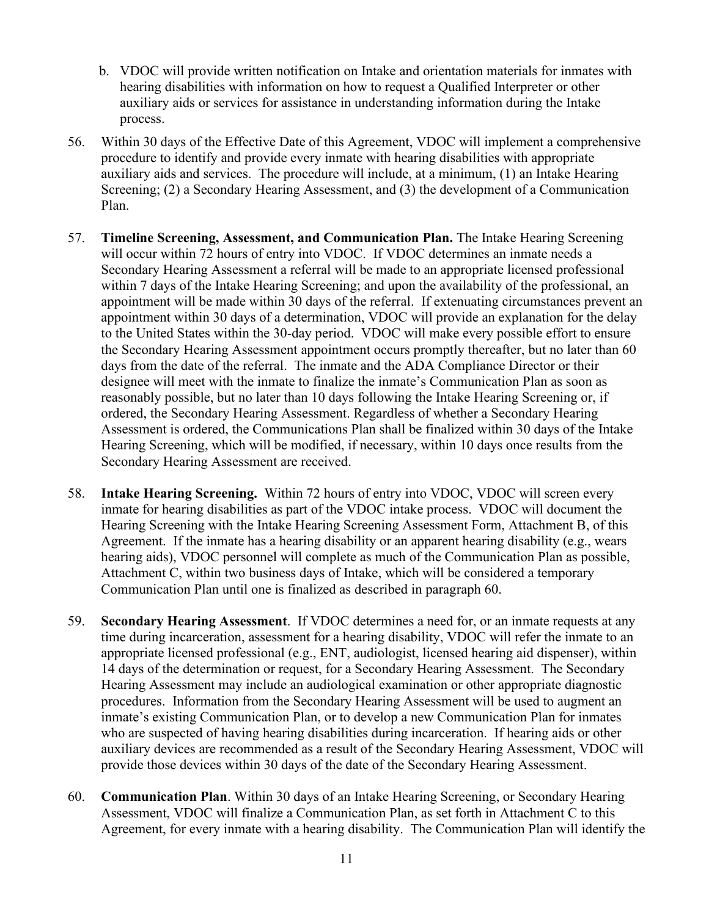- b. VDOC will provide written notification on Intake and orientation materials for inmates with hearing disabilities with information on how to request a Qualified Interpreter or other auxiliary aids or services for assistance in understanding information during the Intake process.
- 56. Within 30 days of the Effective Date of this Agreement, VDOC will implement a comprehensive procedure to identify and provide every inmate with hearing disabilities with appropriate auxiliary aids and services. The procedure will include, at a minimum, (1) an Intake Hearing Screening; (2) a Secondary Hearing Assessment, and (3) the development of a Communication Plan.
- 57. **Timeline Screening, Assessment, and Communication Plan.** The Intake Hearing Screening will occur within 72 hours of entry into VDOC. If VDOC determines an inmate needs a Secondary Hearing Assessment a referral will be made to an appropriate licensed professional within 7 days of the Intake Hearing Screening; and upon the availability of the professional, an appointment will be made within 30 days of the referral. If extenuating circumstances prevent an appointment within 30 days of a determination, VDOC will provide an explanation for the delay to the United States within the 30-day period. VDOC will make every possible effort to ensure the Secondary Hearing Assessment appointment occurs promptly thereafter, but no later than 60 days from the date of the referral. The inmate and the ADA Compliance Director or their designee will meet with the inmate to finalize the inmate's Communication Plan as soon as reasonably possible, but no later than 10 days following the Intake Hearing Screening or, if ordered, the Secondary Hearing Assessment. Regardless of whether a Secondary Hearing Assessment is ordered, the Communications Plan shall be finalized within 30 days of the Intake Hearing Screening, which will be modified, if necessary, within 10 days once results from the Secondary Hearing Assessment are received.
- 58. **Intake Hearing Screening.** Within 72 hours of entry into VDOC, VDOC will screen every inmate for hearing disabilities as part of the VDOC intake process. VDOC will document the Hearing Screening with the Intake Hearing Screening Assessment Form, Attachment B, of this Agreement. If the inmate has a hearing disability or an apparent hearing disability (e.g., wears hearing aids), VDOC personnel will complete as much of the Communication Plan as possible, Attachment C, within two business days of Intake, which will be considered a temporary Communication Plan until one is finalized as described in paragraph 60.
- 59. **Secondary Hearing Assessment**. If VDOC determines a need for, or an inmate requests at any time during incarceration, assessment for a hearing disability, VDOC will refer the inmate to an appropriate licensed professional (e.g., ENT, audiologist, licensed hearing aid dispenser), within 14 days of the determination or request, for a Secondary Hearing Assessment. The Secondary Hearing Assessment may include an audiological examination or other appropriate diagnostic procedures. Information from the Secondary Hearing Assessment will be used to augment an inmate's existing Communication Plan, or to develop a new Communication Plan for inmates who are suspected of having hearing disabilities during incarceration. If hearing aids or other auxiliary devices are recommended as a result of the Secondary Hearing Assessment, VDOC will provide those devices within 30 days of the date of the Secondary Hearing Assessment.
- 60. **Communication Plan**. Within 30 days of an Intake Hearing Screening, or Secondary Hearing Assessment, VDOC will finalize a Communication Plan, as set forth in Attachment C to this Agreement, for every inmate with a hearing disability. The Communication Plan will identify the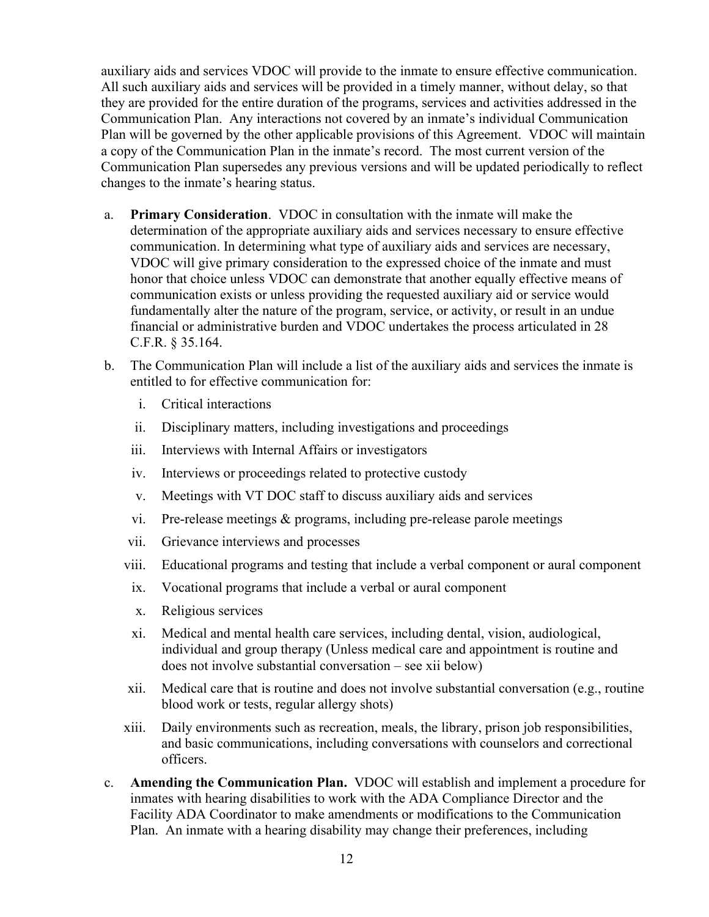auxiliary aids and services VDOC will provide to the inmate to ensure effective communication. All such auxiliary aids and services will be provided in a timely manner, without delay, so that they are provided for the entire duration of the programs, services and activities addressed in the Communication Plan. Any interactions not covered by an inmate's individual Communication Plan will be governed by the other applicable provisions of this Agreement. VDOC will maintain a copy of the Communication Plan in the inmate's record. The most current version of the Communication Plan supersedes any previous versions and will be updated periodically to reflect changes to the inmate's hearing status.

- a. **Primary Consideration**. VDOC in consultation with the inmate will make the determination of the appropriate auxiliary aids and services necessary to ensure effective communication. In determining what type of auxiliary aids and services are necessary, VDOC will give primary consideration to the expressed choice of the inmate and must honor that choice unless VDOC can demonstrate that another equally effective means of communication exists or unless providing the requested auxiliary aid or service would fundamentally alter the nature of the program, service, or activity, or result in an undue financial or administrative burden and VDOC undertakes the process articulated in 28 C.F.R. § 35.164.
- b. The Communication Plan will include a list of the auxiliary aids and services the inmate is entitled to for effective communication for:
	- i. Critical interactions
	- ii. Disciplinary matters, including investigations and proceedings
	- iii. Interviews with Internal Affairs or investigators
	- iv. Interviews or proceedings related to protective custody
	- v. Meetings with VT DOC staff to discuss auxiliary aids and services
	- vi. Pre-release meetings & programs, including pre-release parole meetings
	- vii. Grievance interviews and processes
	- viii. Educational programs and testing that include a verbal component or aural component
		- ix. Vocational programs that include a verbal or aural component
		- x. Religious services
		- xi. Medical and mental health care services, including dental, vision, audiological, individual and group therapy (Unless medical care and appointment is routine and does not involve substantial conversation – see xii below)
	- xii. Medical care that is routine and does not involve substantial conversation (e.g., routine blood work or tests, regular allergy shots)
	- xiii. Daily environments such as recreation, meals, the library, prison job responsibilities, and basic communications, including conversations with counselors and correctional officers.
- c. **Amending the Communication Plan.** VDOC will establish and implement a procedure for inmates with hearing disabilities to work with the ADA Compliance Director and the Facility ADA Coordinator to make amendments or modifications to the Communication Plan. An inmate with a hearing disability may change their preferences, including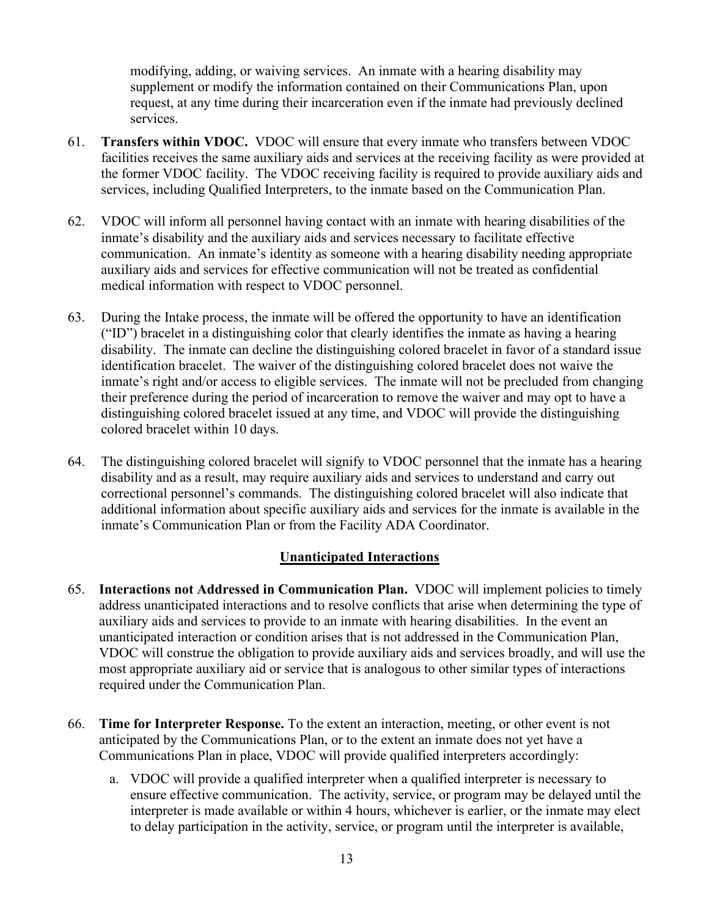modifying, adding, or waiving services. An inmate with a hearing disability may supplement or modify the information contained on their Communications Plan, upon request, at any time during their incarceration even if the inmate had previously declined services.

- 61. **Transfers within VDOC.** VDOC will ensure that every inmate who transfers between VDOC facilities receives the same auxiliary aids and services at the receiving facility as were provided at the former VDOC facility. The VDOC receiving facility is required to provide auxiliary aids and services, including Qualified Interpreters, to the inmate based on the Communication Plan.
- 62. VDOC will inform all personnel having contact with an inmate with hearing disabilities of the inmate's disability and the auxiliary aids and services necessary to facilitate effective communication. An inmate's identity as someone with a hearing disability needing appropriate auxiliary aids and services for effective communication will not be treated as confidential medical information with respect to VDOC personnel.
- 63. During the Intake process, the inmate will be offered the opportunity to have an identification ("ID") bracelet in a distinguishing color that clearly identifies the inmate as having a hearing disability. The inmate can decline the distinguishing colored bracelet in favor of a standard issue identification bracelet. The waiver of the distinguishing colored bracelet does not waive the inmate's right and/or access to eligible services. The inmate will not be precluded from changing their preference during the period of incarceration to remove the waiver and may opt to have a distinguishing colored bracelet issued at any time, and VDOC will provide the distinguishing colored bracelet within 10 days.
- 64. The distinguishing colored bracelet will signify to VDOC personnel that the inmate has a hearing disability and as a result, may require auxiliary aids and services to understand and carry out correctional personnel's commands. The distinguishing colored bracelet will also indicate that additional information about specific auxiliary aids and services for the inmate is available in the inmate's Communication Plan or from the Facility ADA Coordinator.

### **Unanticipated Interactions**

- 65. **Interactions not Addressed in Communication Plan.** VDOC will implement policies to timely address unanticipated interactions and to resolve conflicts that arise when determining the type of auxiliary aids and services to provide to an inmate with hearing disabilities. In the event an unanticipated interaction or condition arises that is not addressed in the Communication Plan, VDOC will construe the obligation to provide auxiliary aids and services broadly, and will use the most appropriate auxiliary aid or service that is analogous to other similar types of interactions required under the Communication Plan.
- 66. **Time for Interpreter Response.** To the extent an interaction, meeting, or other event is not anticipated by the Communications Plan, or to the extent an inmate does not yet have a Communications Plan in place, VDOC will provide qualified interpreters accordingly:
	- a. VDOC will provide a qualified interpreter when a qualified interpreter is necessary to ensure effective communication. The activity, service, or program may be delayed until the interpreter is made available or within 4 hours, whichever is earlier, or the inmate may elect to delay participation in the activity, service, or program until the interpreter is available,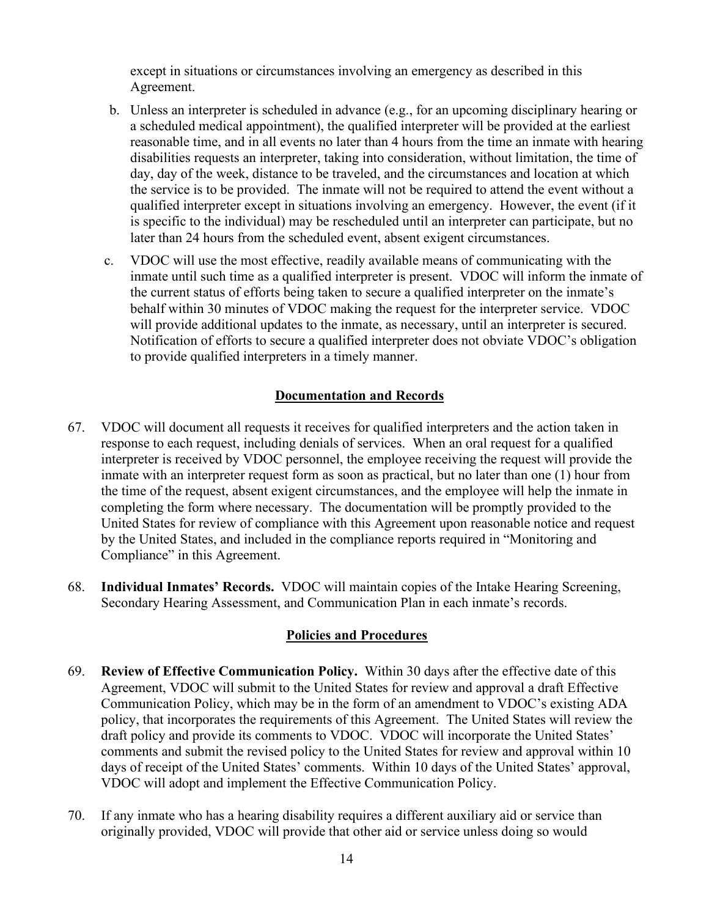except in situations or circumstances involving an emergency as described in this Agreement.

- b. Unless an interpreter is scheduled in advance (e.g., for an upcoming disciplinary hearing or a scheduled medical appointment), the qualified interpreter will be provided at the earliest reasonable time, and in all events no later than 4 hours from the time an inmate with hearing disabilities requests an interpreter, taking into consideration, without limitation, the time of day, day of the week, distance to be traveled, and the circumstances and location at which the service is to be provided. The inmate will not be required to attend the event without a qualified interpreter except in situations involving an emergency. However, the event (if it is specific to the individual) may be rescheduled until an interpreter can participate, but no later than 24 hours from the scheduled event, absent exigent circumstances.
- c. VDOC will use the most effective, readily available means of communicating with the inmate until such time as a qualified interpreter is present. VDOC will inform the inmate of the current status of efforts being taken to secure a qualified interpreter on the inmate's behalf within 30 minutes of VDOC making the request for the interpreter service. VDOC will provide additional updates to the inmate, as necessary, until an interpreter is secured. Notification of efforts to secure a qualified interpreter does not obviate VDOC's obligation to provide qualified interpreters in a timely manner.

### **Documentation and Records**

- 67. VDOC will document all requests it receives for qualified interpreters and the action taken in response to each request, including denials of services. When an oral request for a qualified interpreter is received by VDOC personnel, the employee receiving the request will provide the inmate with an interpreter request form as soon as practical, but no later than one (1) hour from the time of the request, absent exigent circumstances, and the employee will help the inmate in completing the form where necessary. The documentation will be promptly provided to the United States for review of compliance with this Agreement upon reasonable notice and request by the United States, and included in the compliance reports required in "Monitoring and Compliance" in this Agreement.
- 68. **Individual Inmates' Records.** VDOC will maintain copies of the Intake Hearing Screening, Secondary Hearing Assessment, and Communication Plan in each inmate's records.

#### **Policies and Procedures**

- 69. **Review of Effective Communication Policy.** Within 30 days after the effective date of this Agreement, VDOC will submit to the United States for review and approval a draft Effective Communication Policy, which may be in the form of an amendment to VDOC's existing ADA policy, that incorporates the requirements of this Agreement. The United States will review the draft policy and provide its comments to VDOC. VDOC will incorporate the United States' comments and submit the revised policy to the United States for review and approval within 10 days of receipt of the United States' comments. Within 10 days of the United States' approval, VDOC will adopt and implement the Effective Communication Policy.
- 70. If any inmate who has a hearing disability requires a different auxiliary aid or service than originally provided, VDOC will provide that other aid or service unless doing so would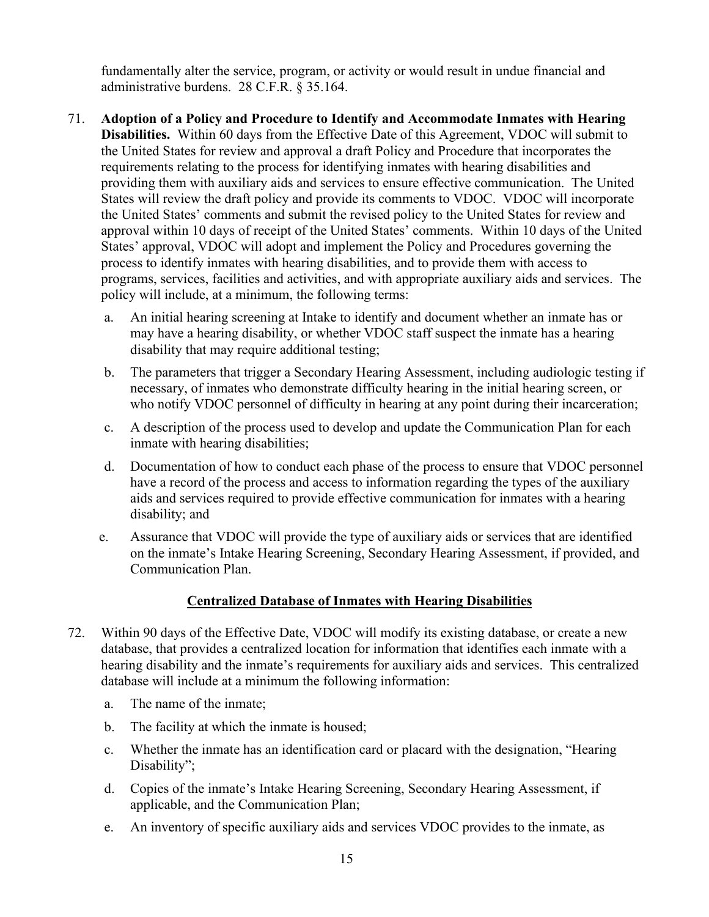fundamentally alter the service, program, or activity or would result in undue financial and administrative burdens. 28 C.F.R. § 35.164.

- 71. **Adoption of a Policy and Procedure to Identify and Accommodate Inmates with Hearing Disabilities.** Within 60 days from the Effective Date of this Agreement, VDOC will submit to the United States for review and approval a draft Policy and Procedure that incorporates the requirements relating to the process for identifying inmates with hearing disabilities and providing them with auxiliary aids and services to ensure effective communication. The United States will review the draft policy and provide its comments to VDOC. VDOC will incorporate the United States' comments and submit the revised policy to the United States for review and approval within 10 days of receipt of the United States' comments. Within 10 days of the United States' approval, VDOC will adopt and implement the Policy and Procedures governing the process to identify inmates with hearing disabilities, and to provide them with access to programs, services, facilities and activities, and with appropriate auxiliary aids and services. The policy will include, at a minimum, the following terms:
	- a. An initial hearing screening at Intake to identify and document whether an inmate has or may have a hearing disability, or whether VDOC staff suspect the inmate has a hearing disability that may require additional testing;
	- b. The parameters that trigger a Secondary Hearing Assessment, including audiologic testing if necessary, of inmates who demonstrate difficulty hearing in the initial hearing screen, or who notify VDOC personnel of difficulty in hearing at any point during their incarceration;
	- c. A description of the process used to develop and update the Communication Plan for each inmate with hearing disabilities;
	- d. Documentation of how to conduct each phase of the process to ensure that VDOC personnel have a record of the process and access to information regarding the types of the auxiliary aids and services required to provide effective communication for inmates with a hearing disability; and
	- e. Assurance that VDOC will provide the type of auxiliary aids or services that are identified on the inmate's Intake Hearing Screening, Secondary Hearing Assessment, if provided, and Communication Plan.

### **Centralized Database of Inmates with Hearing Disabilities**

- 72. Within 90 days of the Effective Date, VDOC will modify its existing database, or create a new database, that provides a centralized location for information that identifies each inmate with a hearing disability and the inmate's requirements for auxiliary aids and services. This centralized database will include at a minimum the following information:
	- a. The name of the inmate;
	- b. The facility at which the inmate is housed;
	- c. Whether the inmate has an identification card or placard with the designation, "Hearing Disability";
	- d. Copies of the inmate's Intake Hearing Screening, Secondary Hearing Assessment, if applicable, and the Communication Plan;
	- e. An inventory of specific auxiliary aids and services VDOC provides to the inmate, as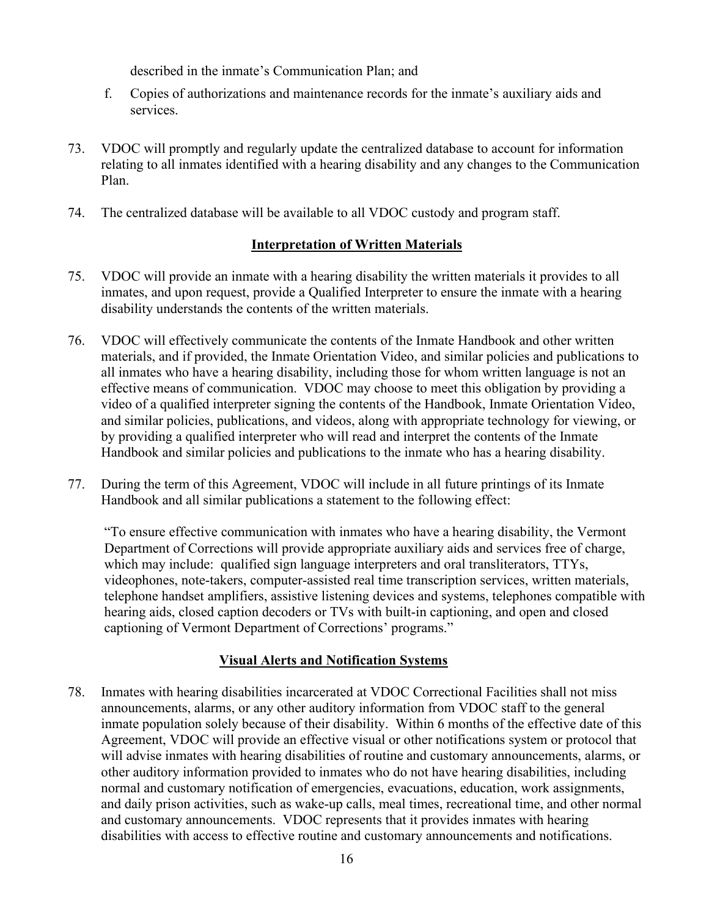described in the inmate's Communication Plan; and

- f. Copies of authorizations and maintenance records for the inmate's auxiliary aids and services.
- 73. VDOC will promptly and regularly update the centralized database to account for information relating to all inmates identified with a hearing disability and any changes to the Communication Plan.
- 74. The centralized database will be available to all VDOC custody and program staff.

#### **Interpretation of Written Materials**

- 75. VDOC will provide an inmate with a hearing disability the written materials it provides to all inmates, and upon request, provide a Qualified Interpreter to ensure the inmate with a hearing disability understands the contents of the written materials.
- 76. VDOC will effectively communicate the contents of the Inmate Handbook and other written materials, and if provided, the Inmate Orientation Video, and similar policies and publications to all inmates who have a hearing disability, including those for whom written language is not an effective means of communication. VDOC may choose to meet this obligation by providing a video of a qualified interpreter signing the contents of the Handbook, Inmate Orientation Video, and similar policies, publications, and videos, along with appropriate technology for viewing, or by providing a qualified interpreter who will read and interpret the contents of the Inmate Handbook and similar policies and publications to the inmate who has a hearing disability.
- 77. During the term of this Agreement, VDOC will include in all future printings of its Inmate Handbook and all similar publications a statement to the following effect:

"To ensure effective communication with inmates who have a hearing disability, the Vermont Department of Corrections will provide appropriate auxiliary aids and services free of charge, which may include: qualified sign language interpreters and oral transliterators, TTYs, videophones, note-takers, computer-assisted real time transcription services, written materials, telephone handset amplifiers, assistive listening devices and systems, telephones compatible with hearing aids, closed caption decoders or TVs with built-in captioning, and open and closed captioning of Vermont Department of Corrections' programs."

#### **Visual Alerts and Notification Systems**

78. Inmates with hearing disabilities incarcerated at VDOC Correctional Facilities shall not miss announcements, alarms, or any other auditory information from VDOC staff to the general inmate population solely because of their disability. Within 6 months of the effective date of this Agreement, VDOC will provide an effective visual or other notifications system or protocol that will advise inmates with hearing disabilities of routine and customary announcements, alarms, or other auditory information provided to inmates who do not have hearing disabilities, including normal and customary notification of emergencies, evacuations, education, work assignments, and daily prison activities, such as wake-up calls, meal times, recreational time, and other normal and customary announcements. VDOC represents that it provides inmates with hearing disabilities with access to effective routine and customary announcements and notifications.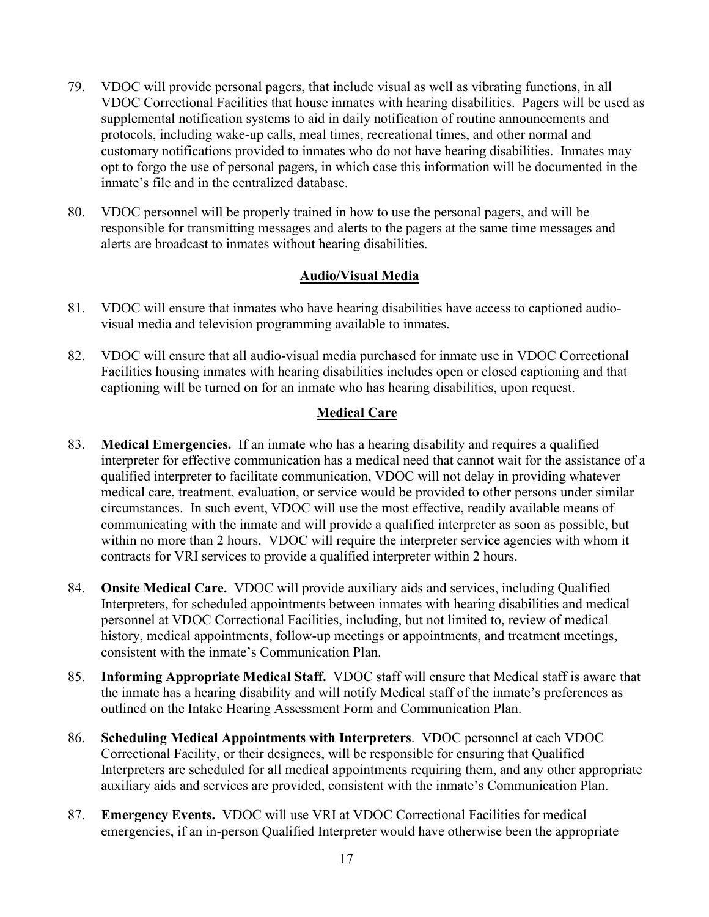- 79. VDOC will provide personal pagers, that include visual as well as vibrating functions, in all VDOC Correctional Facilities that house inmates with hearing disabilities. Pagers will be used as supplemental notification systems to aid in daily notification of routine announcements and protocols, including wake-up calls, meal times, recreational times, and other normal and customary notifications provided to inmates who do not have hearing disabilities. Inmates may opt to forgo the use of personal pagers, in which case this information will be documented in the inmate's file and in the centralized database.
- 80. VDOC personnel will be properly trained in how to use the personal pagers, and will be responsible for transmitting messages and alerts to the pagers at the same time messages and alerts are broadcast to inmates without hearing disabilities.

## **Audio/Visual Media**

- 81. VDOC will ensure that inmates who have hearing disabilities have access to captioned audiovisual media and television programming available to inmates.
- 82. VDOC will ensure that all audio-visual media purchased for inmate use in VDOC Correctional Facilities housing inmates with hearing disabilities includes open or closed captioning and that captioning will be turned on for an inmate who has hearing disabilities, upon request.

## **Medical Care**

- 83. **Medical Emergencies.** If an inmate who has a hearing disability and requires a qualified interpreter for effective communication has a medical need that cannot wait for the assistance of a qualified interpreter to facilitate communication, VDOC will not delay in providing whatever medical care, treatment, evaluation, or service would be provided to other persons under similar circumstances. In such event, VDOC will use the most effective, readily available means of communicating with the inmate and will provide a qualified interpreter as soon as possible, but within no more than 2 hours. VDOC will require the interpreter service agencies with whom it contracts for VRI services to provide a qualified interpreter within 2 hours.
- 84. **Onsite Medical Care.** VDOC will provide auxiliary aids and services, including Qualified Interpreters, for scheduled appointments between inmates with hearing disabilities and medical personnel at VDOC Correctional Facilities, including, but not limited to, review of medical history, medical appointments, follow-up meetings or appointments, and treatment meetings, consistent with the inmate's Communication Plan.
- 85. **Informing Appropriate Medical Staff.** VDOC staff will ensure that Medical staff is aware that the inmate has a hearing disability and will notify Medical staff of the inmate's preferences as outlined on the Intake Hearing Assessment Form and Communication Plan.
- 86. **Scheduling Medical Appointments with Interpreters**. VDOC personnel at each VDOC Correctional Facility, or their designees, will be responsible for ensuring that Qualified Interpreters are scheduled for all medical appointments requiring them, and any other appropriate auxiliary aids and services are provided, consistent with the inmate's Communication Plan.
- 87. **Emergency Events.** VDOC will use VRI at VDOC Correctional Facilities for medical emergencies, if an in-person Qualified Interpreter would have otherwise been the appropriate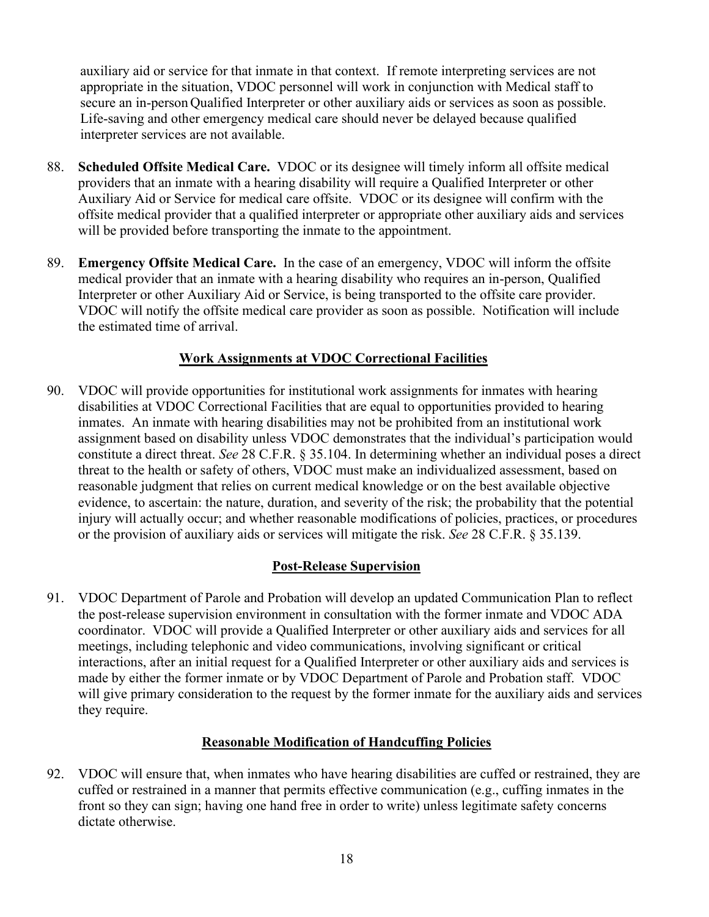auxiliary aid or service for that inmate in that context. If remote interpreting services are not appropriate in the situation, VDOC personnel will work in conjunction with Medical staff to secure an in-person Qualified Interpreter or other auxiliary aids or services as soon as possible. Life-saving and other emergency medical care should never be delayed because qualified interpreter services are not available.

- 88. **Scheduled Offsite Medical Care.** VDOC or its designee will timely inform all offsite medical providers that an inmate with a hearing disability will require a Qualified Interpreter or other Auxiliary Aid or Service for medical care offsite. VDOC or its designee will confirm with the offsite medical provider that a qualified interpreter or appropriate other auxiliary aids and services will be provided before transporting the inmate to the appointment.
- 89. **Emergency Offsite Medical Care.** In the case of an emergency, VDOC will inform the offsite medical provider that an inmate with a hearing disability who requires an in-person, Qualified Interpreter or other Auxiliary Aid or Service, is being transported to the offsite care provider. VDOC will notify the offsite medical care provider as soon as possible. Notification will include the estimated time of arrival.

### **Work Assignments at VDOC Correctional Facilities**

90. VDOC will provide opportunities for institutional work assignments for inmates with hearing disabilities at VDOC Correctional Facilities that are equal to opportunities provided to hearing inmates. An inmate with hearing disabilities may not be prohibited from an institutional work assignment based on disability unless VDOC demonstrates that the individual's participation would constitute a direct threat. *See* 28 C.F.R. § 35.104. In determining whether an individual poses a direct threat to the health or safety of others, VDOC must make an individualized assessment, based on reasonable judgment that relies on current medical knowledge or on the best available objective evidence, to ascertain: the nature, duration, and severity of the risk; the probability that the potential injury will actually occur; and whether reasonable modifications of policies, practices, or procedures or the provision of auxiliary aids or services will mitigate the risk. *See* 28 C.F.R. § 35.139.

### **Post-Release Supervision**

91. VDOC Department of Parole and Probation will develop an updated Communication Plan to reflect the post-release supervision environment in consultation with the former inmate and VDOC ADA coordinator. VDOC will provide a Qualified Interpreter or other auxiliary aids and services for all meetings, including telephonic and video communications, involving significant or critical interactions, after an initial request for a Qualified Interpreter or other auxiliary aids and services is made by either the former inmate or by VDOC Department of Parole and Probation staff. VDOC will give primary consideration to the request by the former inmate for the auxiliary aids and services they require.

### **Reasonable Modification of Handcuffing Policies**

92. VDOC will ensure that, when inmates who have hearing disabilities are cuffed or restrained, they are cuffed or restrained in a manner that permits effective communication (e.g., cuffing inmates in the front so they can sign; having one hand free in order to write) unless legitimate safety concerns dictate otherwise.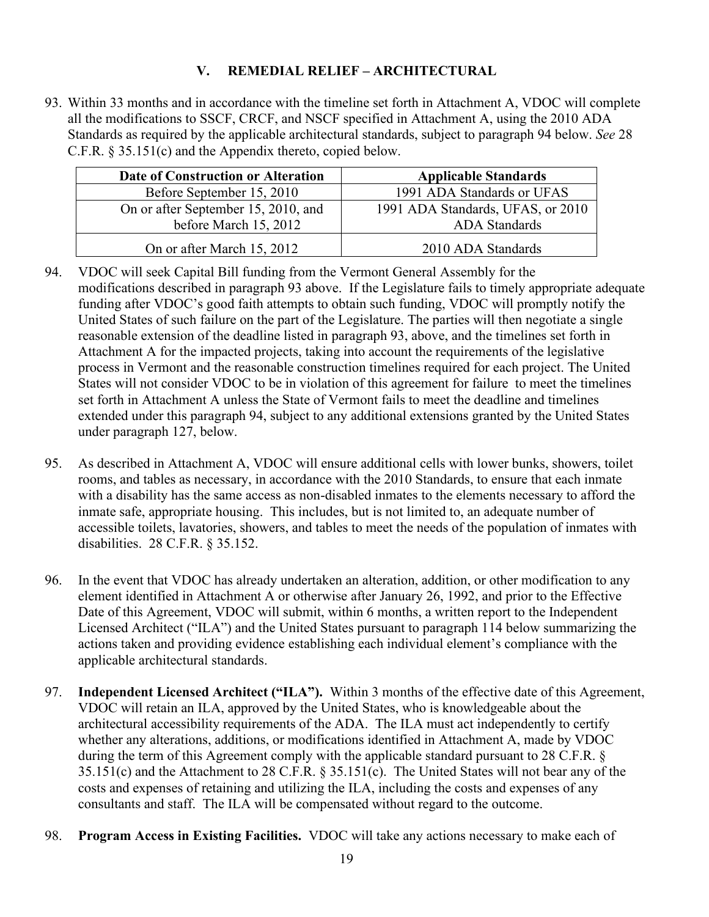## **V. REMEDIAL RELIEF – ARCHITECTURAL**

93. Within 33 months and in accordance with the timeline set forth in Attachment A, VDOC will complete all the modifications to SSCF, CRCF, and NSCF specified in Attachment A, using the 2010 ADA Standards as required by the applicable architectural standards, subject to paragraph 94 below. *See* 28 C.F.R. § 35.151(c) and the Appendix thereto, copied below.

| Date of Construction or Alteration  | <b>Applicable Standards</b>       |
|-------------------------------------|-----------------------------------|
| Before September 15, 2010           | 1991 ADA Standards or UFAS        |
| On or after September 15, 2010, and | 1991 ADA Standards, UFAS, or 2010 |
| before March 15, 2012               | ADA Standards                     |
| On or after March 15, 2012          | 2010 ADA Standards                |

- 94. VDOC will seek Capital Bill funding from the Vermont General Assembly for the modifications described in paragraph 93 above. If the Legislature fails to timely appropriate adequate funding after VDOC's good faith attempts to obtain such funding, VDOC will promptly notify the United States of such failure on the part of the Legislature. The parties will then negotiate a single reasonable extension of the deadline listed in paragraph 93, above, and the timelines set forth in Attachment A for the impacted projects, taking into account the requirements of the legislative process in Vermont and the reasonable construction timelines required for each project. The United States will not consider VDOC to be in violation of this agreement for failure to meet the timelines set forth in Attachment A unless the State of Vermont fails to meet the deadline and timelines extended under this paragraph 94, subject to any additional extensions granted by the United States under paragraph 127, below.
- 95. As described in Attachment A, VDOC will ensure additional cells with lower bunks, showers, toilet rooms, and tables as necessary, in accordance with the 2010 Standards, to ensure that each inmate with a disability has the same access as non-disabled inmates to the elements necessary to afford the inmate safe, appropriate housing. This includes, but is not limited to, an adequate number of accessible toilets, lavatories, showers, and tables to meet the needs of the population of inmates with disabilities. 28 C.F.R. § 35.152.
- 96. In the event that VDOC has already undertaken an alteration, addition, or other modification to any element identified in Attachment A or otherwise after January 26, 1992, and prior to the Effective Date of this Agreement, VDOC will submit, within 6 months, a written report to the Independent Licensed Architect ("ILA") and the United States pursuant to paragraph 114 below summarizing the actions taken and providing evidence establishing each individual element's compliance with the applicable architectural standards.
- 97. **Independent Licensed Architect ("ILA").** Within 3 months of the effective date of this Agreement, VDOC will retain an ILA, approved by the United States, who is knowledgeable about the architectural accessibility requirements of the ADA. The ILA must act independently to certify whether any alterations, additions, or modifications identified in Attachment A, made by VDOC during the term of this Agreement comply with the applicable standard pursuant to 28 C.F.R. § 35.151(c) and the Attachment to 28 C.F.R. § 35.151(c). The United States will not bear any of the costs and expenses of retaining and utilizing the ILA, including the costs and expenses of any consultants and staff. The ILA will be compensated without regard to the outcome.
- 98. **Program Access in Existing Facilities.** VDOC will take any actions necessary to make each of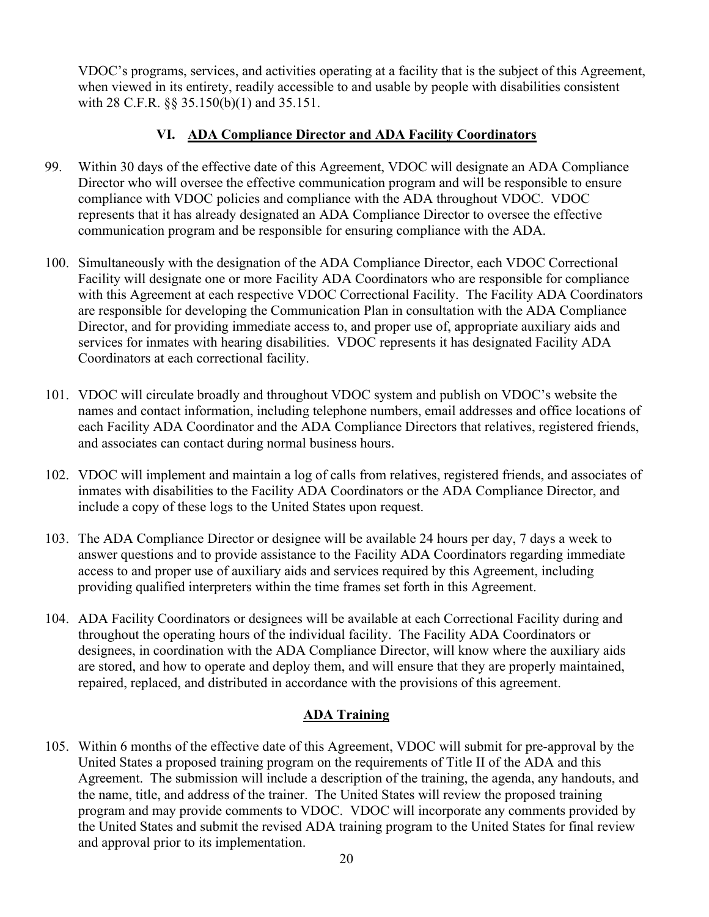VDOC's programs, services, and activities operating at a facility that is the subject of this Agreement, when viewed in its entirety, readily accessible to and usable by people with disabilities consistent with 28 C.F.R. §§ 35.150(b)(1) and 35.151.

## **VI. ADA Compliance Director and ADA Facility Coordinators**

- 99. Within 30 days of the effective date of this Agreement, VDOC will designate an ADA Compliance Director who will oversee the effective communication program and will be responsible to ensure compliance with VDOC policies and compliance with the ADA throughout VDOC. VDOC represents that it has already designated an ADA Compliance Director to oversee the effective communication program and be responsible for ensuring compliance with the ADA.
- 100. Simultaneously with the designation of the ADA Compliance Director, each VDOC Correctional Facility will designate one or more Facility ADA Coordinators who are responsible for compliance with this Agreement at each respective VDOC Correctional Facility. The Facility ADA Coordinators are responsible for developing the Communication Plan in consultation with the ADA Compliance Director, and for providing immediate access to, and proper use of, appropriate auxiliary aids and services for inmates with hearing disabilities. VDOC represents it has designated Facility ADA Coordinators at each correctional facility.
- 101. VDOC will circulate broadly and throughout VDOC system and publish on VDOC's website the names and contact information, including telephone numbers, email addresses and office locations of each Facility ADA Coordinator and the ADA Compliance Directors that relatives, registered friends, and associates can contact during normal business hours.
- 102. VDOC will implement and maintain a log of calls from relatives, registered friends, and associates of inmates with disabilities to the Facility ADA Coordinators or the ADA Compliance Director, and include a copy of these logs to the United States upon request.
- 103. The ADA Compliance Director or designee will be available 24 hours per day, 7 days a week to answer questions and to provide assistance to the Facility ADA Coordinators regarding immediate access to and proper use of auxiliary aids and services required by this Agreement, including providing qualified interpreters within the time frames set forth in this Agreement.
- 104. ADA Facility Coordinators or designees will be available at each Correctional Facility during and throughout the operating hours of the individual facility. The Facility ADA Coordinators or designees, in coordination with the ADA Compliance Director, will know where the auxiliary aids are stored, and how to operate and deploy them, and will ensure that they are properly maintained, repaired, replaced, and distributed in accordance with the provisions of this agreement.

### **ADA Training**

105. Within 6 months of the effective date of this Agreement, VDOC will submit for pre-approval by the United States a proposed training program on the requirements of Title II of the ADA and this Agreement. The submission will include a description of the training, the agenda, any handouts, and the name, title, and address of the trainer. The United States will review the proposed training program and may provide comments to VDOC. VDOC will incorporate any comments provided by the United States and submit the revised ADA training program to the United States for final review and approval prior to its implementation.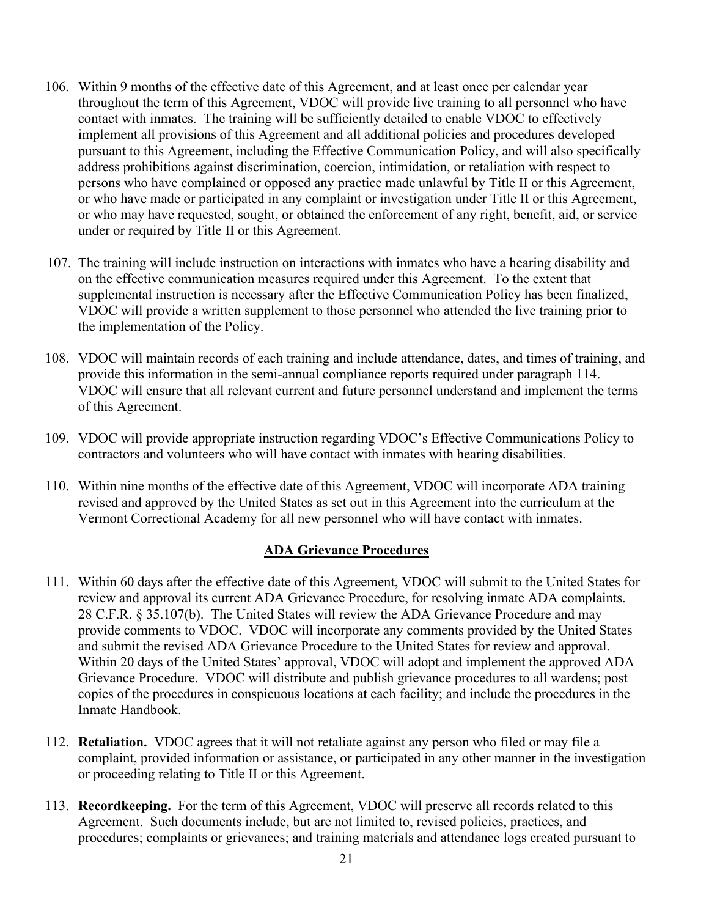- 106. Within 9 months of the effective date of this Agreement, and at least once per calendar year throughout the term of this Agreement, VDOC will provide live training to all personnel who have contact with inmates. The training will be sufficiently detailed to enable VDOC to effectively implement all provisions of this Agreement and all additional policies and procedures developed pursuant to this Agreement, including the Effective Communication Policy, and will also specifically address prohibitions against discrimination, coercion, intimidation, or retaliation with respect to persons who have complained or opposed any practice made unlawful by Title II or this Agreement, or who have made or participated in any complaint or investigation under Title II or this Agreement, or who may have requested, sought, or obtained the enforcement of any right, benefit, aid, or service under or required by Title II or this Agreement.
- 107. The training will include instruction on interactions with inmates who have a hearing disability and on the effective communication measures required under this Agreement. To the extent that supplemental instruction is necessary after the Effective Communication Policy has been finalized, VDOC will provide a written supplement to those personnel who attended the live training prior to the implementation of the Policy.
- 108. VDOC will maintain records of each training and include attendance, dates, and times of training, and provide this information in the semi-annual compliance reports required under paragraph 114. VDOC will ensure that all relevant current and future personnel understand and implement the terms of this Agreement.
- 109. VDOC will provide appropriate instruction regarding VDOC's Effective Communications Policy to contractors and volunteers who will have contact with inmates with hearing disabilities.
- 110. Within nine months of the effective date of this Agreement, VDOC will incorporate ADA training revised and approved by the United States as set out in this Agreement into the curriculum at the Vermont Correctional Academy for all new personnel who will have contact with inmates.

### **ADA Grievance Procedures**

- 111. Within 60 days after the effective date of this Agreement, VDOC will submit to the United States for review and approval its current ADA Grievance Procedure, for resolving inmate ADA complaints. 28 C.F.R. § 35.107(b). The United States will review the ADA Grievance Procedure and may provide comments to VDOC. VDOC will incorporate any comments provided by the United States and submit the revised ADA Grievance Procedure to the United States for review and approval. Within 20 days of the United States' approval, VDOC will adopt and implement the approved ADA Grievance Procedure. VDOC will distribute and publish grievance procedures to all wardens; post copies of the procedures in conspicuous locations at each facility; and include the procedures in the Inmate Handbook.
- 112. **Retaliation.** VDOC agrees that it will not retaliate against any person who filed or may file a complaint, provided information or assistance, or participated in any other manner in the investigation or proceeding relating to Title II or this Agreement.
- 113. **Recordkeeping.** For the term of this Agreement, VDOC will preserve all records related to this Agreement. Such documents include, but are not limited to, revised policies, practices, and procedures; complaints or grievances; and training materials and attendance logs created pursuant to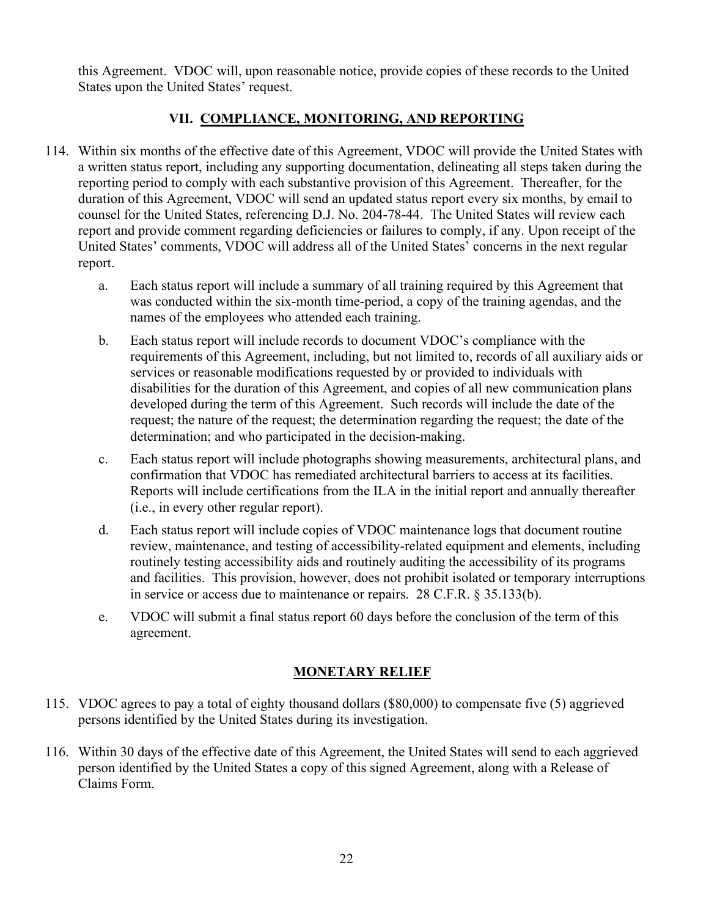this Agreement. VDOC will, upon reasonable notice, provide copies of these records to the United States upon the United States' request.

## **VII. COMPLIANCE, MONITORING, AND REPORTING**

- 114. Within six months of the effective date of this Agreement, VDOC will provide the United States with a written status report, including any supporting documentation, delineating all steps taken during the reporting period to comply with each substantive provision of this Agreement. Thereafter, for the duration of this Agreement, VDOC will send an updated status report every six months, by email to counsel for the United States, referencing D.J. No. 204-78-44. The United States will review each report and provide comment regarding deficiencies or failures to comply, if any. Upon receipt of the United States' comments, VDOC will address all of the United States' concerns in the next regular report.
	- a. Each status report will include a summary of all training required by this Agreement that was conducted within the six-month time-period, a copy of the training agendas, and the names of the employees who attended each training.
	- b. Each status report will include records to document VDOC's compliance with the requirements of this Agreement, including, but not limited to, records of all auxiliary aids or services or reasonable modifications requested by or provided to individuals with disabilities for the duration of this Agreement, and copies of all new communication plans developed during the term of this Agreement. Such records will include the date of the request; the nature of the request; the determination regarding the request; the date of the determination; and who participated in the decision-making.
	- c. Each status report will include photographs showing measurements, architectural plans, and confirmation that VDOC has remediated architectural barriers to access at its facilities. Reports will include certifications from the ILA in the initial report and annually thereafter (i.e., in every other regular report).
	- d. Each status report will include copies of VDOC maintenance logs that document routine review, maintenance, and testing of accessibility-related equipment and elements, including routinely testing accessibility aids and routinely auditing the accessibility of its programs and facilities. This provision, however, does not prohibit isolated or temporary interruptions in service or access due to maintenance or repairs. 28 C.F.R. § 35.133(b).
	- e. VDOC will submit a final status report 60 days before the conclusion of the term of this agreement.

## **MONETARY RELIEF**

- 115. VDOC agrees to pay a total of eighty thousand dollars (\$80,000) to compensate five (5) aggrieved persons identified by the United States during its investigation.
- 116. Within 30 days of the effective date of this Agreement, the United States will send to each aggrieved person identified by the United States a copy of this signed Agreement, along with a Release of Claims Form.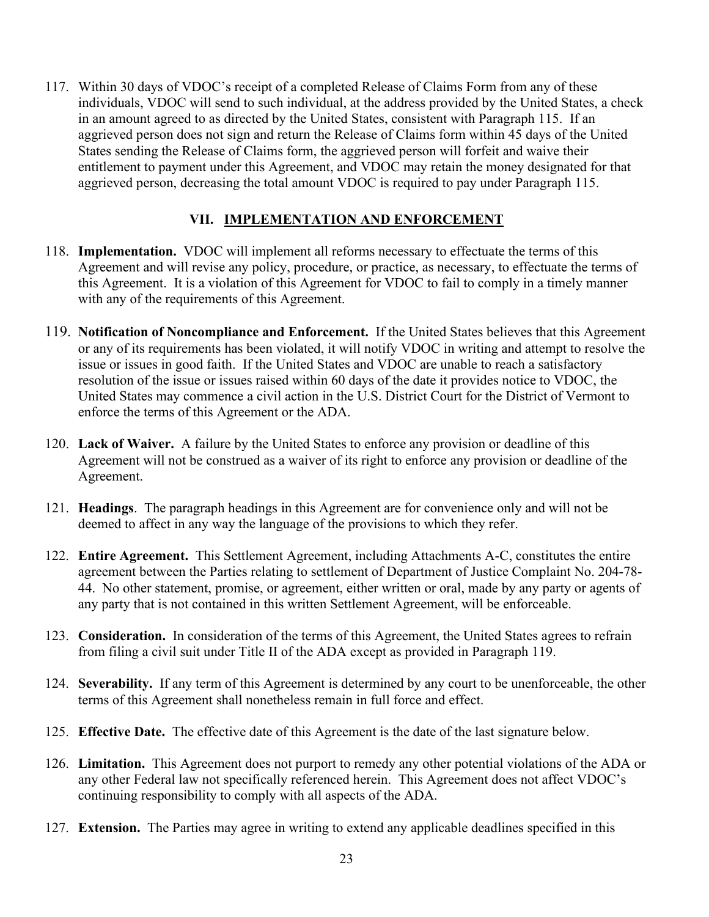117. Within 30 days of VDOC's receipt of a completed Release of Claims Form from any of these individuals, VDOC will send to such individual, at the address provided by the United States, a check in an amount agreed to as directed by the United States, consistent with Paragraph 115. If an aggrieved person does not sign and return the Release of Claims form within 45 days of the United States sending the Release of Claims form, the aggrieved person will forfeit and waive their entitlement to payment under this Agreement, and VDOC may retain the money designated for that aggrieved person, decreasing the total amount VDOC is required to pay under Paragraph 115.

### **VII. IMPLEMENTATION AND ENFORCEMENT**

- 118. **Implementation.** VDOC will implement all reforms necessary to effectuate the terms of this Agreement and will revise any policy, procedure, or practice, as necessary, to effectuate the terms of this Agreement. It is a violation of this Agreement for VDOC to fail to comply in a timely manner with any of the requirements of this Agreement.
- 119. **Notification of Noncompliance and Enforcement.** If the United States believes that this Agreement or any of its requirements has been violated, it will notify VDOC in writing and attempt to resolve the issue or issues in good faith. If the United States and VDOC are unable to reach a satisfactory resolution of the issue or issues raised within 60 days of the date it provides notice to VDOC, the United States may commence a civil action in the U.S. District Court for the District of Vermont to enforce the terms of this Agreement or the ADA.
- 120. **Lack of Waiver.** A failure by the United States to enforce any provision or deadline of this Agreement will not be construed as a waiver of its right to enforce any provision or deadline of the Agreement.
- 121. **Headings**. The paragraph headings in this Agreement are for convenience only and will not be deemed to affect in any way the language of the provisions to which they refer.
- 122. **Entire Agreement.** This Settlement Agreement, including Attachments A-C, constitutes the entire agreement between the Parties relating to settlement of Department of Justice Complaint No. 204-78- 44. No other statement, promise, or agreement, either written or oral, made by any party or agents of any party that is not contained in this written Settlement Agreement, will be enforceable.
- 123. **Consideration.** In consideration of the terms of this Agreement, the United States agrees to refrain from filing a civil suit under Title II of the ADA except as provided in Paragraph 119.
- 124. **Severability.** If any term of this Agreement is determined by any court to be unenforceable, the other terms of this Agreement shall nonetheless remain in full force and effect.
- 125. **Effective Date.** The effective date of this Agreement is the date of the last signature below.
- 126. **Limitation.** This Agreement does not purport to remedy any other potential violations of the ADA or any other Federal law not specifically referenced herein. This Agreement does not affect VDOC's continuing responsibility to comply with all aspects of the ADA.
- 127. **Extension.** The Parties may agree in writing to extend any applicable deadlines specified in this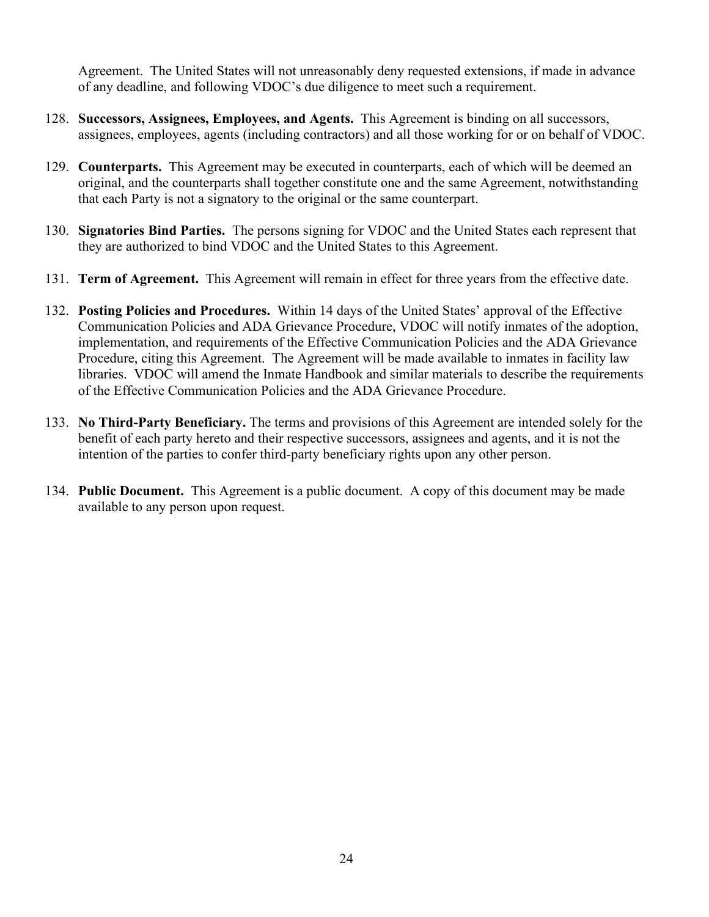Agreement. The United States will not unreasonably deny requested extensions, if made in advance of any deadline, and following VDOC's due diligence to meet such a requirement.

- 128. **Successors, Assignees, Employees, and Agents.** This Agreement is binding on all successors, assignees, employees, agents (including contractors) and all those working for or on behalf of VDOC.
- 129. **Counterparts.** This Agreement may be executed in counterparts, each of which will be deemed an original, and the counterparts shall together constitute one and the same Agreement, notwithstanding that each Party is not a signatory to the original or the same counterpart.
- 130. **Signatories Bind Parties.** The persons signing for VDOC and the United States each represent that they are authorized to bind VDOC and the United States to this Agreement.
- 131. **Term of Agreement.** This Agreement will remain in effect for three years from the effective date.
- 132. **Posting Policies and Procedures.** Within 14 days of the United States' approval of the Effective Communication Policies and ADA Grievance Procedure, VDOC will notify inmates of the adoption, implementation, and requirements of the Effective Communication Policies and the ADA Grievance Procedure, citing this Agreement. The Agreement will be made available to inmates in facility law libraries. VDOC will amend the Inmate Handbook and similar materials to describe the requirements of the Effective Communication Policies and the ADA Grievance Procedure.
- 133. **No Third-Party Beneficiary.** The terms and provisions of this Agreement are intended solely for the benefit of each party hereto and their respective successors, assignees and agents, and it is not the intention of the parties to confer third-party beneficiary rights upon any other person.
- 134. **Public Document.** This Agreement is a public document. A copy of this document may be made available to any person upon request.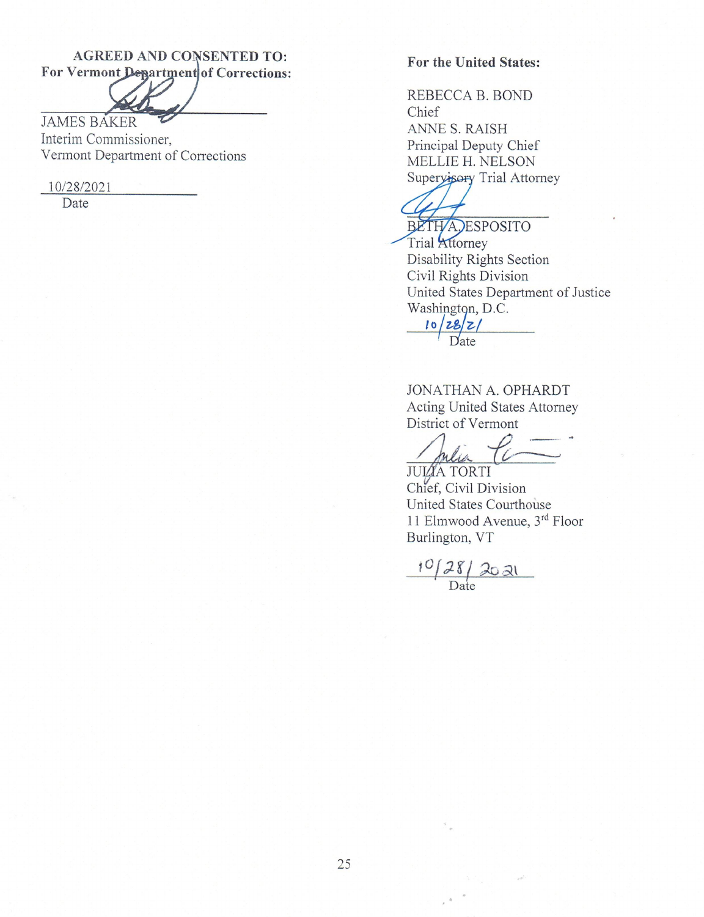## **AGREED AND CONSENTED TO:** For Vermont Department of Corrections:

**JAMES BAKER** Interim Commissioner, Vermont Department of Corrections

10/28/2021

Date

#### **For the United States:**

REBECCA B. BOND Chief ANNE S. RAISH Principal Deputy Chief MELLIE H. NELSON Supervisory Trial Attorney

BETHA, ESPOSITO

Trial Attorney Disability Rights Section Civil Rights Division United States Department of Justice Washington, D.C.

 $10|28|2|$ Date

JONATHAN A. OPHARDT Acting United States Attorney District of Vermont

mera

**JUIZA TORTI** Chief, Civil Division United States Courthouse 11 Elmwood Avenue, 3rd Floor Burlington, VT

 $\frac{10/28/2021}{\text{Date}}$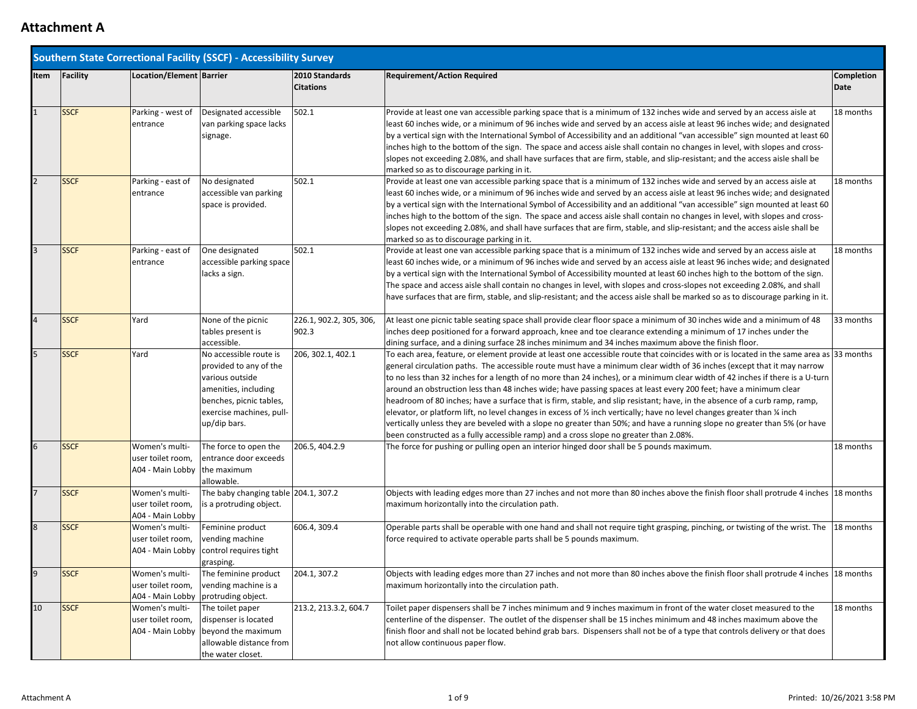|              | <b>Southern State Correctional Facility (SSCF) - Accessibility Survey</b>                                                                                                                                                                                                                                                                                                                                                                                                                                                                                                                                                                                                     |                                                                     |                                                                                                                                                                    |                                    |                                                                                                                                                                                                                                                                                                                                                                                                                                                                                                                                                                                                                                                                                                                                                                                                                                                                                                                                                                                                                                |                           |  |
|--------------|-------------------------------------------------------------------------------------------------------------------------------------------------------------------------------------------------------------------------------------------------------------------------------------------------------------------------------------------------------------------------------------------------------------------------------------------------------------------------------------------------------------------------------------------------------------------------------------------------------------------------------------------------------------------------------|---------------------------------------------------------------------|--------------------------------------------------------------------------------------------------------------------------------------------------------------------|------------------------------------|--------------------------------------------------------------------------------------------------------------------------------------------------------------------------------------------------------------------------------------------------------------------------------------------------------------------------------------------------------------------------------------------------------------------------------------------------------------------------------------------------------------------------------------------------------------------------------------------------------------------------------------------------------------------------------------------------------------------------------------------------------------------------------------------------------------------------------------------------------------------------------------------------------------------------------------------------------------------------------------------------------------------------------|---------------------------|--|
| Item         | Facility                                                                                                                                                                                                                                                                                                                                                                                                                                                                                                                                                                                                                                                                      | Location/Element Barrier                                            |                                                                                                                                                                    | 2010 Standards<br><b>Citations</b> | <b>Requirement/Action Required</b>                                                                                                                                                                                                                                                                                                                                                                                                                                                                                                                                                                                                                                                                                                                                                                                                                                                                                                                                                                                             | <b>Completion</b><br>Date |  |
| $\mathbf{1}$ | <b>SSCF</b>                                                                                                                                                                                                                                                                                                                                                                                                                                                                                                                                                                                                                                                                   | Parking - west of<br>entrance                                       | Designated accessible<br>van parking space lacks<br>signage.                                                                                                       | 502.1                              | Provide at least one van accessible parking space that is a minimum of 132 inches wide and served by an access aisle at<br>least 60 inches wide, or a minimum of 96 inches wide and served by an access aisle at least 96 inches wide; and designated<br>by a vertical sign with the International Symbol of Accessibility and an additional "van accessible" sign mounted at least 60<br>inches high to the bottom of the sign. The space and access aisle shall contain no changes in level, with slopes and cross-<br>slopes not exceeding 2.08%, and shall have surfaces that are firm, stable, and slip-resistant; and the access aisle shall be<br>marked so as to discourage parking in it.                                                                                                                                                                                                                                                                                                                             | 18 months                 |  |
|              | <b>SSCF</b>                                                                                                                                                                                                                                                                                                                                                                                                                                                                                                                                                                                                                                                                   | Parking - east of<br>entrance                                       | No designated<br>accessible van parking<br>space is provided.                                                                                                      | 502.1                              | Provide at least one van accessible parking space that is a minimum of 132 inches wide and served by an access aisle at<br>least 60 inches wide, or a minimum of 96 inches wide and served by an access aisle at least 96 inches wide; and designated<br>by a vertical sign with the International Symbol of Accessibility and an additional "van accessible" sign mounted at least 60<br>inches high to the bottom of the sign. The space and access aisle shall contain no changes in level, with slopes and cross-<br>slopes not exceeding 2.08%, and shall have surfaces that are firm, stable, and slip-resistant; and the access aisle shall be<br>marked so as to discourage parking in it.                                                                                                                                                                                                                                                                                                                             |                           |  |
|              | <b>SSCF</b>                                                                                                                                                                                                                                                                                                                                                                                                                                                                                                                                                                                                                                                                   | Parking - east of<br>entrance                                       | One designated<br>accessible parking space<br>lacks a sign.                                                                                                        | 502.1                              | Provide at least one van accessible parking space that is a minimum of 132 inches wide and served by an access aisle at<br>least 60 inches wide, or a minimum of 96 inches wide and served by an access aisle at least 96 inches wide; and designated<br>by a vertical sign with the International Symbol of Accessibility mounted at least 60 inches high to the bottom of the sign.<br>The space and access aisle shall contain no changes in level, with slopes and cross-slopes not exceeding 2.08%, and shall<br>have surfaces that are firm, stable, and slip-resistant; and the access aisle shall be marked so as to discourage parking in it.                                                                                                                                                                                                                                                                                                                                                                         | 18 months                 |  |
|              | <b>SSCF</b>                                                                                                                                                                                                                                                                                                                                                                                                                                                                                                                                                                                                                                                                   | Yard                                                                | None of the picnic<br>tables present is<br>accessible.                                                                                                             | 226.1, 902.2, 305, 306,<br>902.3   | At least one picnic table seating space shall provide clear floor space a minimum of 30 inches wide and a minimum of 48<br>inches deep positioned for a forward approach, knee and toe clearance extending a minimum of 17 inches under the<br>dining surface, and a dining surface 28 inches minimum and 34 inches maximum above the finish floor.                                                                                                                                                                                                                                                                                                                                                                                                                                                                                                                                                                                                                                                                            | 33 months                 |  |
| 5            | <b>SSCF</b>                                                                                                                                                                                                                                                                                                                                                                                                                                                                                                                                                                                                                                                                   | Yard                                                                | No accessible route is<br>provided to any of the<br>various outside<br>amenities, including<br>benches, picnic tables,<br>exercise machines, pull-<br>up/dip bars. | 206, 302.1, 402.1                  | To each area, feature, or element provide at least one accessible route that coincides with or is located in the same area as 33 months<br>general circulation paths. The accessible route must have a minimum clear width of 36 inches (except that it may narrow<br>to no less than 32 inches for a length of no more than 24 inches), or a minimum clear width of 42 inches if there is a U-turn<br>around an obstruction less than 48 inches wide; have passing spaces at least every 200 feet; have a minimum clear<br>headroom of 80 inches; have a surface that is firm, stable, and slip resistant; have, in the absence of a curb ramp, ramp,<br>elevator, or platform lift, no level changes in excess of $\frac{1}{2}$ inch vertically; have no level changes greater than $\frac{1}{4}$ inch<br>vertically unless they are beveled with a slope no greater than 50%; and have a running slope no greater than 5% (or have<br>been constructed as a fully accessible ramp) and a cross slope no greater than 2.08%. |                           |  |
| 6            | <b>SSCF</b>                                                                                                                                                                                                                                                                                                                                                                                                                                                                                                                                                                                                                                                                   | Women's multi-<br>user toilet room,<br>A04 - Main Lobby the maximum | The force to open the<br>entrance door exceeds<br>allowable.                                                                                                       | 206.5, 404.2.9                     | The force for pushing or pulling open an interior hinged door shall be 5 pounds maximum.                                                                                                                                                                                                                                                                                                                                                                                                                                                                                                                                                                                                                                                                                                                                                                                                                                                                                                                                       | 18 months                 |  |
|              | <b>SSCF</b>                                                                                                                                                                                                                                                                                                                                                                                                                                                                                                                                                                                                                                                                   | Women's multi-<br>user toilet room,<br>A04 - Main Lobby             | The baby changing table 204.1, 307.2<br>is a protruding object.                                                                                                    |                                    | Objects with leading edges more than 27 inches and not more than 80 inches above the finish floor shall protrude 4 inches 18 months<br>maximum horizontally into the circulation path.                                                                                                                                                                                                                                                                                                                                                                                                                                                                                                                                                                                                                                                                                                                                                                                                                                         |                           |  |
| 8            | <b>SSCF</b>                                                                                                                                                                                                                                                                                                                                                                                                                                                                                                                                                                                                                                                                   | Women's multi-<br>user toilet room,                                 | Feminine product<br>vending machine<br>A04 - Main Lobby   control requires tight<br>grasping.                                                                      | 606.4, 309.4                       | Operable parts shall be operable with one hand and shall not require tight grasping, pinching, or twisting of the wrist. The<br>force required to activate operable parts shall be 5 pounds maximum.                                                                                                                                                                                                                                                                                                                                                                                                                                                                                                                                                                                                                                                                                                                                                                                                                           | 18 months                 |  |
| 9            | <b>SSCF</b>                                                                                                                                                                                                                                                                                                                                                                                                                                                                                                                                                                                                                                                                   | Women's multi-<br>user toilet room,                                 | The feminine product<br>vending machine is a                                                                                                                       | 204.1, 307.2                       | Objects with leading edges more than 27 inches and not more than 80 inches above the finish floor shall protrude 4 inches  18 months<br>maximum horizontally into the circulation path.                                                                                                                                                                                                                                                                                                                                                                                                                                                                                                                                                                                                                                                                                                                                                                                                                                        |                           |  |
| 10           | A04 - Main Lobby   protruding object.<br><b>SSCF</b><br>213.2, 213.3.2, 604.7<br>Toilet paper dispensers shall be 7 inches minimum and 9 inches maximum in front of the water closet measured to the<br>Women's multi-<br>The toilet paper<br>centerline of the dispenser. The outlet of the dispenser shall be 15 inches minimum and 48 inches maximum above the<br>dispenser is located<br>user toilet room,<br>finish floor and shall not be located behind grab bars. Dispensers shall not be of a type that controls delivery or that does<br>beyond the maximum<br>A04 - Main Lobby<br>allowable distance from<br>not allow continuous paper flow.<br>the water closet. |                                                                     | 18 months                                                                                                                                                          |                                    |                                                                                                                                                                                                                                                                                                                                                                                                                                                                                                                                                                                                                                                                                                                                                                                                                                                                                                                                                                                                                                |                           |  |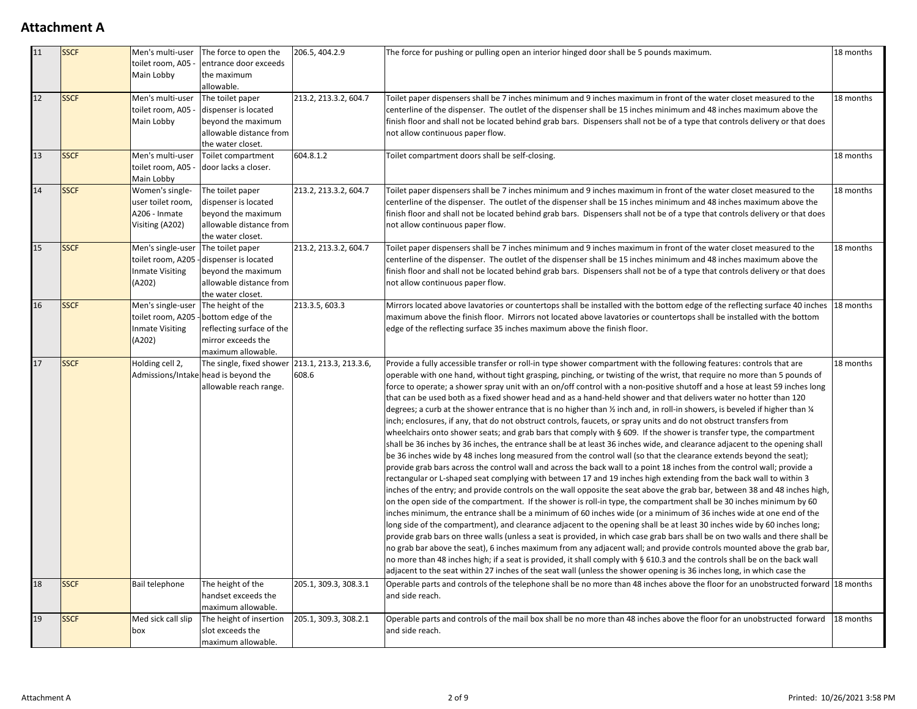| 11 | <b>SSCF</b> | Men's multi-user<br>toilet room, A05<br>Main Lobby                         | The force to open the<br>entrance door exceeds<br>the maximum<br>allowable.                                                          | 206.5, 404.2.9        | The force for pushing or pulling open an interior hinged door shall be 5 pounds maximum.                                                                                                                                                                                                                                                                                                                                                                                                                                                                                                                                                                                                                                                                                                                                                                                                                                                                                                                                                                                                                                                                                                                                                                                                                                                                                                                                                                                                                                                                                                                                                                                                                                                                                                                                                                                                                                                                                                                                                                                                                                                                                                                                                                                                                                                                                                                                                        | 18 months |
|----|-------------|----------------------------------------------------------------------------|--------------------------------------------------------------------------------------------------------------------------------------|-----------------------|-------------------------------------------------------------------------------------------------------------------------------------------------------------------------------------------------------------------------------------------------------------------------------------------------------------------------------------------------------------------------------------------------------------------------------------------------------------------------------------------------------------------------------------------------------------------------------------------------------------------------------------------------------------------------------------------------------------------------------------------------------------------------------------------------------------------------------------------------------------------------------------------------------------------------------------------------------------------------------------------------------------------------------------------------------------------------------------------------------------------------------------------------------------------------------------------------------------------------------------------------------------------------------------------------------------------------------------------------------------------------------------------------------------------------------------------------------------------------------------------------------------------------------------------------------------------------------------------------------------------------------------------------------------------------------------------------------------------------------------------------------------------------------------------------------------------------------------------------------------------------------------------------------------------------------------------------------------------------------------------------------------------------------------------------------------------------------------------------------------------------------------------------------------------------------------------------------------------------------------------------------------------------------------------------------------------------------------------------------------------------------------------------------------------------------------------------|-----------|
| 12 | <b>SSCF</b> | Men's multi-user<br>toilet room, A05<br>Main Lobby                         | The toilet paper<br>dispenser is located<br>beyond the maximum<br>allowable distance from<br>the water closet.                       | 213.2, 213.3.2, 604.7 | Toilet paper dispensers shall be 7 inches minimum and 9 inches maximum in front of the water closet measured to the<br>18 months<br>centerline of the dispenser. The outlet of the dispenser shall be 15 inches minimum and 48 inches maximum above the<br>finish floor and shall not be located behind grab bars. Dispensers shall not be of a type that controls delivery or that does<br>not allow continuous paper flow.                                                                                                                                                                                                                                                                                                                                                                                                                                                                                                                                                                                                                                                                                                                                                                                                                                                                                                                                                                                                                                                                                                                                                                                                                                                                                                                                                                                                                                                                                                                                                                                                                                                                                                                                                                                                                                                                                                                                                                                                                    |           |
| 13 | <b>SSCF</b> | Men's multi-user<br>toilet room, A05<br>Main Lobby                         | Toilet compartment<br>door lacks a closer.                                                                                           | 604.8.1.2             | Toilet compartment doors shall be self-closing.                                                                                                                                                                                                                                                                                                                                                                                                                                                                                                                                                                                                                                                                                                                                                                                                                                                                                                                                                                                                                                                                                                                                                                                                                                                                                                                                                                                                                                                                                                                                                                                                                                                                                                                                                                                                                                                                                                                                                                                                                                                                                                                                                                                                                                                                                                                                                                                                 | 18 months |
| 14 | <b>SSCF</b> | Women's single-<br>user toilet room,<br>A206 - Inmate<br>Visiting (A202)   | The toilet paper<br>dispenser is located<br>beyond the maximum<br>allowable distance from<br>the water closet.                       | 213.2, 213.3.2, 604.7 | Toilet paper dispensers shall be 7 inches minimum and 9 inches maximum in front of the water closet measured to the<br>18 months<br>centerline of the dispenser. The outlet of the dispenser shall be 15 inches minimum and 48 inches maximum above the<br>finish floor and shall not be located behind grab bars. Dispensers shall not be of a type that controls delivery or that does<br>not allow continuous paper flow.                                                                                                                                                                                                                                                                                                                                                                                                                                                                                                                                                                                                                                                                                                                                                                                                                                                                                                                                                                                                                                                                                                                                                                                                                                                                                                                                                                                                                                                                                                                                                                                                                                                                                                                                                                                                                                                                                                                                                                                                                    |           |
| 15 | <b>SSCF</b> | Men's single-user<br>toilet room, A205<br><b>Inmate Visiting</b><br>(A202) | The toilet paper<br>-dispenser is located<br>beyond the maximum<br>allowable distance from<br>the water closet.                      | 213.2, 213.3.2, 604.7 | Toilet paper dispensers shall be 7 inches minimum and 9 inches maximum in front of the water closet measured to the<br>18 months<br>centerline of the dispenser. The outlet of the dispenser shall be 15 inches minimum and 48 inches maximum above the<br>finish floor and shall not be located behind grab bars. Dispensers shall not be of a type that controls delivery or that does<br>not allow continuous paper flow.                                                                                                                                                                                                                                                                                                                                                                                                                                                                                                                                                                                                                                                                                                                                                                                                                                                                                                                                                                                                                                                                                                                                                                                                                                                                                                                                                                                                                                                                                                                                                                                                                                                                                                                                                                                                                                                                                                                                                                                                                    |           |
| 16 | <b>SSCF</b> | Men's single-user<br><b>Inmate Visiting</b><br>(A202)                      | The height of the<br>toilet room, A205 - bottom edge of the<br>reflecting surface of the<br>mirror exceeds the<br>maximum allowable. | 213.3.5, 603.3        | Mirrors located above lavatories or countertops shall be installed with the bottom edge of the reflecting surface 40 inches 18 months<br>maximum above the finish floor. Mirrors not located above lavatories or countertops shall be installed with the bottom<br>edge of the reflecting surface 35 inches maximum above the finish floor.                                                                                                                                                                                                                                                                                                                                                                                                                                                                                                                                                                                                                                                                                                                                                                                                                                                                                                                                                                                                                                                                                                                                                                                                                                                                                                                                                                                                                                                                                                                                                                                                                                                                                                                                                                                                                                                                                                                                                                                                                                                                                                     |           |
| 17 | <b>SSCF</b> | Holding cell 2,                                                            | The single, fixed shower 213.1, 213.3, 213.3.6,<br>Admissions/Intake head is beyond the<br>allowable reach range.                    | 608.6                 | Provide a fully accessible transfer or roll-in type shower compartment with the following features: controls that are<br>operable with one hand, without tight grasping, pinching, or twisting of the wrist, that require no more than 5 pounds of<br>force to operate; a shower spray unit with an on/off control with a non-positive shutoff and a hose at least 59 inches long<br>that can be used both as a fixed shower head and as a hand-held shower and that delivers water no hotter than 120<br>degrees; a curb at the shower entrance that is no higher than $\frac{1}{2}$ inch and, in roll-in showers, is beveled if higher than $\frac{1}{4}$<br>inch; enclosures, if any, that do not obstruct controls, faucets, or spray units and do not obstruct transfers from<br>wheelchairs onto shower seats; and grab bars that comply with § 609. If the shower is transfer type, the compartment<br>shall be 36 inches by 36 inches, the entrance shall be at least 36 inches wide, and clearance adjacent to the opening shall<br>be 36 inches wide by 48 inches long measured from the control wall (so that the clearance extends beyond the seat);<br>provide grab bars across the control wall and across the back wall to a point 18 inches from the control wall; provide a<br>rectangular or L-shaped seat complying with between 17 and 19 inches high extending from the back wall to within 3<br>inches of the entry; and provide controls on the wall opposite the seat above the grab bar, between 38 and 48 inches high,<br>on the open side of the compartment. If the shower is roll-in type, the compartment shall be 30 inches minimum by 60<br>inches minimum, the entrance shall be a minimum of 60 inches wide (or a minimum of 36 inches wide at one end of the<br>long side of the compartment), and clearance adjacent to the opening shall be at least 30 inches wide by 60 inches long;<br>provide grab bars on three walls (unless a seat is provided, in which case grab bars shall be on two walls and there shall be<br>no grab bar above the seat), 6 inches maximum from any adjacent wall; and provide controls mounted above the grab bar,<br>no more than 48 inches high; if a seat is provided, it shall comply with § 610.3 and the controls shall be on the back wall<br>adjacent to the seat within 27 inches of the seat wall (unless the shower opening is 36 inches long, in which case the |           |
| 18 | <b>SSCF</b> | Bail telephone                                                             | The height of the<br>handset exceeds the<br>maximum allowable.                                                                       | 205.1, 309.3, 308.3.1 | Operable parts and controls of the telephone shall be no more than 48 inches above the floor for an unobstructed forward 18 months<br>and side reach.                                                                                                                                                                                                                                                                                                                                                                                                                                                                                                                                                                                                                                                                                                                                                                                                                                                                                                                                                                                                                                                                                                                                                                                                                                                                                                                                                                                                                                                                                                                                                                                                                                                                                                                                                                                                                                                                                                                                                                                                                                                                                                                                                                                                                                                                                           |           |
| 19 | <b>SSCF</b> | Med sick call slip<br>box                                                  | The height of insertion<br>slot exceeds the<br>maximum allowable.                                                                    | 205.1, 309.3, 308.2.1 | Operable parts and controls of the mail box shall be no more than 48 inches above the floor for an unobstructed forward<br>and side reach.                                                                                                                                                                                                                                                                                                                                                                                                                                                                                                                                                                                                                                                                                                                                                                                                                                                                                                                                                                                                                                                                                                                                                                                                                                                                                                                                                                                                                                                                                                                                                                                                                                                                                                                                                                                                                                                                                                                                                                                                                                                                                                                                                                                                                                                                                                      | 18 months |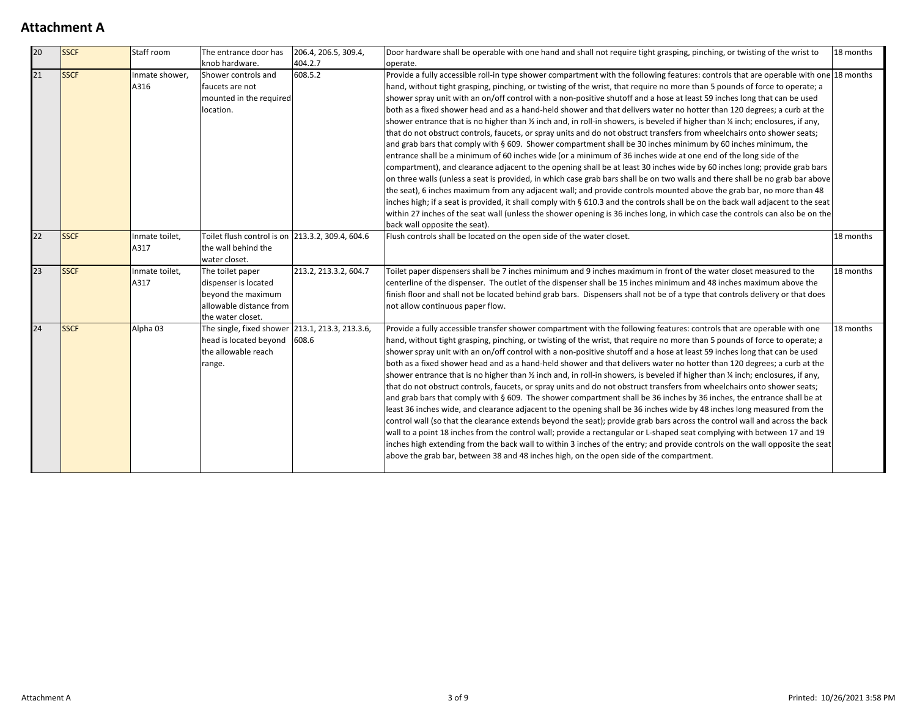| 20 | <b>SSCF</b> | Staff room             | The entrance door has                                                                                            | 206.4, 206.5, 309.4,  | Door hardware shall be operable with one hand and shall not require tight grasping, pinching, or twisting of the wrist to<br>18 months                                                                                                                                                                                                                                                                                                                                                                                                                                                                                                                                                                                                                                                                                                                                                                                                                                                                                                                                                                                                                                                                                                                                                                                                                                                                                                                                                                                                                                                                                                                                                                                       |           |
|----|-------------|------------------------|------------------------------------------------------------------------------------------------------------------|-----------------------|------------------------------------------------------------------------------------------------------------------------------------------------------------------------------------------------------------------------------------------------------------------------------------------------------------------------------------------------------------------------------------------------------------------------------------------------------------------------------------------------------------------------------------------------------------------------------------------------------------------------------------------------------------------------------------------------------------------------------------------------------------------------------------------------------------------------------------------------------------------------------------------------------------------------------------------------------------------------------------------------------------------------------------------------------------------------------------------------------------------------------------------------------------------------------------------------------------------------------------------------------------------------------------------------------------------------------------------------------------------------------------------------------------------------------------------------------------------------------------------------------------------------------------------------------------------------------------------------------------------------------------------------------------------------------------------------------------------------------|-----------|
|    |             |                        | knob hardware.                                                                                                   | 404.2.7               | operate.                                                                                                                                                                                                                                                                                                                                                                                                                                                                                                                                                                                                                                                                                                                                                                                                                                                                                                                                                                                                                                                                                                                                                                                                                                                                                                                                                                                                                                                                                                                                                                                                                                                                                                                     |           |
| 21 | <b>SSCF</b> | Inmate shower,<br>A316 | Shower controls and<br>faucets are not<br>mounted in the required<br>location.                                   | 608.5.2               | Provide a fully accessible roll-in type shower compartment with the following features: controls that are operable with one 18 months<br>hand, without tight grasping, pinching, or twisting of the wrist, that require no more than 5 pounds of force to operate; a<br>shower spray unit with an on/off control with a non-positive shutoff and a hose at least 59 inches long that can be used<br>both as a fixed shower head and as a hand-held shower and that delivers water no hotter than 120 degrees; a curb at the<br>shower entrance that is no higher than 1/2 inch and, in roll-in showers, is beveled if higher than 1/4 inch; enclosures, if any,<br>that do not obstruct controls, faucets, or spray units and do not obstruct transfers from wheelchairs onto shower seats;<br>and grab bars that comply with § 609. Shower compartment shall be 30 inches minimum by 60 inches minimum, the<br>entrance shall be a minimum of 60 inches wide (or a minimum of 36 inches wide at one end of the long side of the<br>compartment), and clearance adjacent to the opening shall be at least 30 inches wide by 60 inches long; provide grab bars<br>on three walls (unless a seat is provided, in which case grab bars shall be on two walls and there shall be no grab bar above<br>the seat), 6 inches maximum from any adjacent wall; and provide controls mounted above the grab bar, no more than 48<br>inches high; if a seat is provided, it shall comply with § 610.3 and the controls shall be on the back wall adjacent to the seat<br>within 27 inches of the seat wall (unless the shower opening is 36 inches long, in which case the controls can also be on the<br>back wall opposite the seat). |           |
| 22 | <b>SSCF</b> | Inmate toilet,<br>A317 | Toilet flush control is on 213.3.2, 309.4, 604.6<br>the wall behind the<br>water closet.                         |                       | Flush controls shall be located on the open side of the water closet.                                                                                                                                                                                                                                                                                                                                                                                                                                                                                                                                                                                                                                                                                                                                                                                                                                                                                                                                                                                                                                                                                                                                                                                                                                                                                                                                                                                                                                                                                                                                                                                                                                                        | 18 months |
| 23 | <b>SSCF</b> | Inmate toilet,<br>A317 | The toilet paper<br>dispenser is located<br>beyond the maximum<br>allowable distance from<br>the water closet.   | 213.2, 213.3.2, 604.7 | Toilet paper dispensers shall be 7 inches minimum and 9 inches maximum in front of the water closet measured to the<br>centerline of the dispenser. The outlet of the dispenser shall be 15 inches minimum and 48 inches maximum above the<br>finish floor and shall not be located behind grab bars. Dispensers shall not be of a type that controls delivery or that does<br>not allow continuous paper flow.                                                                                                                                                                                                                                                                                                                                                                                                                                                                                                                                                                                                                                                                                                                                                                                                                                                                                                                                                                                                                                                                                                                                                                                                                                                                                                              | 18 months |
| 24 | <b>SSCF</b> | Alpha 03               | The single, fixed shower 213.1, 213.3, 213.3.6,<br>head is located beyond 608.6<br>the allowable reach<br>range. |                       | Provide a fully accessible transfer shower compartment with the following features: controls that are operable with one<br>hand, without tight grasping, pinching, or twisting of the wrist, that require no more than 5 pounds of force to operate; a<br>shower spray unit with an on/off control with a non-positive shutoff and a hose at least 59 inches long that can be used<br>both as a fixed shower head and as a hand-held shower and that delivers water no hotter than 120 degrees; a curb at the<br>shower entrance that is no higher than $\frac{1}{2}$ inch and, in roll-in showers, is beveled if higher than $\frac{1}{4}$ inch; enclosures, if any,<br>that do not obstruct controls, faucets, or spray units and do not obstruct transfers from wheelchairs onto shower seats;<br>and grab bars that comply with § 609. The shower compartment shall be 36 inches by 36 inches, the entrance shall be at<br>least 36 inches wide, and clearance adjacent to the opening shall be 36 inches wide by 48 inches long measured from the<br>control wall (so that the clearance extends beyond the seat); provide grab bars across the control wall and across the back<br>wall to a point 18 inches from the control wall; provide a rectangular or L-shaped seat complying with between 17 and 19<br>inches high extending from the back wall to within 3 inches of the entry; and provide controls on the wall opposite the seat<br>above the grab bar, between 38 and 48 inches high, on the open side of the compartment.                                                                                                                                                                                 | 18 months |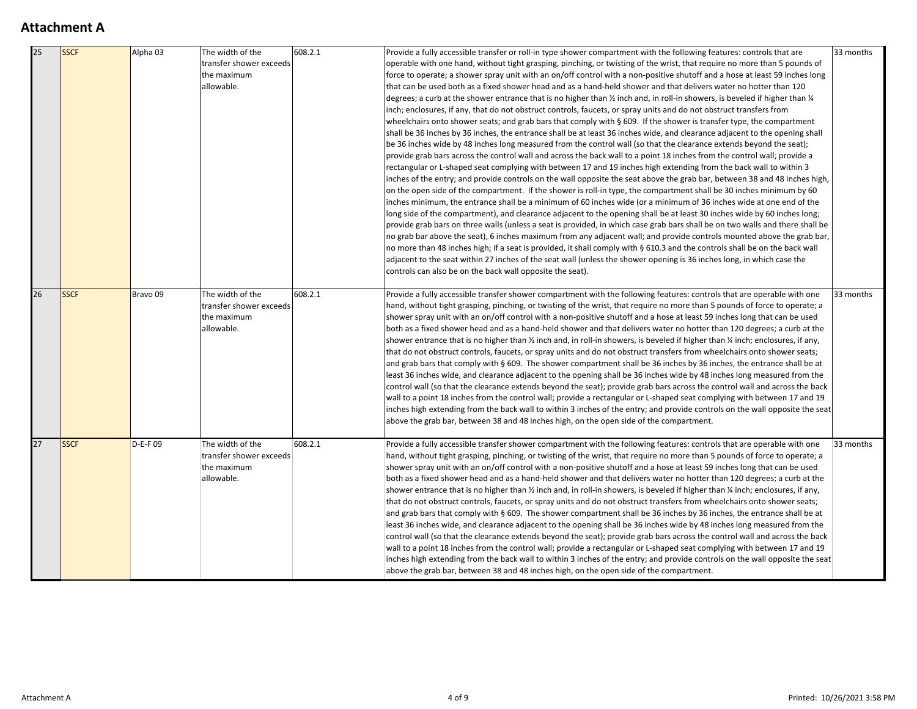| $\overline{25}$ | <b>SSCF</b> | Alpha 03            | The width of the<br>transfer shower exceeds<br>the maximum<br>allowable. | 608.2.1 | Provide a fully accessible transfer or roll-in type shower compartment with the following features: controls that are<br>operable with one hand, without tight grasping, pinching, or twisting of the wrist, that require no more than 5 pounds of<br>force to operate; a shower spray unit with an on/off control with a non-positive shutoff and a hose at least 59 inches long<br>that can be used both as a fixed shower head and as a hand-held shower and that delivers water no hotter than 120<br>degrees; a curb at the shower entrance that is no higher than $\frac{1}{2}$ inch and, in roll-in showers, is beveled if higher than $\frac{1}{4}$<br>inch; enclosures, if any, that do not obstruct controls, faucets, or spray units and do not obstruct transfers from<br>wheelchairs onto shower seats; and grab bars that comply with § 609. If the shower is transfer type, the compartment<br>shall be 36 inches by 36 inches, the entrance shall be at least 36 inches wide, and clearance adjacent to the opening shall<br>be 36 inches wide by 48 inches long measured from the control wall (so that the clearance extends beyond the seat);<br>provide grab bars across the control wall and across the back wall to a point 18 inches from the control wall; provide a<br>rectangular or L-shaped seat complying with between 17 and 19 inches high extending from the back wall to within 3<br>inches of the entry; and provide controls on the wall opposite the seat above the grab bar, between 38 and 48 inches high,<br>on the open side of the compartment. If the shower is roll-in type, the compartment shall be 30 inches minimum by 60<br>inches minimum, the entrance shall be a minimum of 60 inches wide (or a minimum of 36 inches wide at one end of the<br>long side of the compartment), and clearance adjacent to the opening shall be at least 30 inches wide by 60 inches long;<br>provide grab bars on three walls (unless a seat is provided, in which case grab bars shall be on two walls and there shall be<br>no grab bar above the seat), 6 inches maximum from any adjacent wall; and provide controls mounted above the grab bar,<br>no more than 48 inches high; if a seat is provided, it shall comply with § 610.3 and the controls shall be on the back wall<br>adjacent to the seat within 27 inches of the seat wall (unless the shower opening is 36 inches long, in which case the<br>controls can also be on the back wall opposite the seat). |
|-----------------|-------------|---------------------|--------------------------------------------------------------------------|---------|--------------------------------------------------------------------------------------------------------------------------------------------------------------------------------------------------------------------------------------------------------------------------------------------------------------------------------------------------------------------------------------------------------------------------------------------------------------------------------------------------------------------------------------------------------------------------------------------------------------------------------------------------------------------------------------------------------------------------------------------------------------------------------------------------------------------------------------------------------------------------------------------------------------------------------------------------------------------------------------------------------------------------------------------------------------------------------------------------------------------------------------------------------------------------------------------------------------------------------------------------------------------------------------------------------------------------------------------------------------------------------------------------------------------------------------------------------------------------------------------------------------------------------------------------------------------------------------------------------------------------------------------------------------------------------------------------------------------------------------------------------------------------------------------------------------------------------------------------------------------------------------------------------------------------------------------------------------------------------------------------------------------------------------------------------------------------------------------------------------------------------------------------------------------------------------------------------------------------------------------------------------------------------------------------------------------------------------------------------------------------------------------------------------------------------------------------------------------------------------------------------------|
| 26              | <b>SSCF</b> | Bravo <sub>09</sub> | The width of the<br>transfer shower exceeds<br>the maximum<br>allowable. | 608.2.1 | Provide a fully accessible transfer shower compartment with the following features: controls that are operable with one<br>hand, without tight grasping, pinching, or twisting of the wrist, that require no more than 5 pounds of force to operate; a<br>shower spray unit with an on/off control with a non-positive shutoff and a hose at least 59 inches long that can be used<br>both as a fixed shower head and as a hand-held shower and that delivers water no hotter than 120 degrees; a curb at the<br>shower entrance that is no higher than 1/2 inch and, in roll-in showers, is beveled if higher than 1/4 inch; enclosures, if any,<br>that do not obstruct controls, faucets, or spray units and do not obstruct transfers from wheelchairs onto shower seats;<br>and grab bars that comply with § 609. The shower compartment shall be 36 inches by 36 inches, the entrance shall be at<br>least 36 inches wide, and clearance adjacent to the opening shall be 36 inches wide by 48 inches long measured from the<br>control wall (so that the clearance extends beyond the seat); provide grab bars across the control wall and across the back<br>wall to a point 18 inches from the control wall; provide a rectangular or L-shaped seat complying with between 17 and 19<br>inches high extending from the back wall to within 3 inches of the entry; and provide controls on the wall opposite the seat<br>above the grab bar, between 38 and 48 inches high, on the open side of the compartment.                                                                                                                                                                                                                                                                                                                                                                                                                                                                                                                                                                                                                                                                                                                                                                                                                                                                                                                                                                                     |
| 27              | <b>SSCF</b> | $D-E-F$ 09          | The width of the<br>transfer shower exceeds<br>the maximum<br>allowable. | 608.2.1 | Provide a fully accessible transfer shower compartment with the following features: controls that are operable with one<br>hand, without tight grasping, pinching, or twisting of the wrist, that require no more than 5 pounds of force to operate; a<br>shower spray unit with an on/off control with a non-positive shutoff and a hose at least 59 inches long that can be used<br>both as a fixed shower head and as a hand-held shower and that delivers water no hotter than 120 degrees; a curb at the<br>shower entrance that is no higher than $\frac{1}{2}$ inch and, in roll-in showers, is beveled if higher than $\frac{1}{4}$ inch; enclosures, if any,<br>that do not obstruct controls, faucets, or spray units and do not obstruct transfers from wheelchairs onto shower seats;<br>and grab bars that comply with § 609. The shower compartment shall be 36 inches by 36 inches, the entrance shall be at<br>least 36 inches wide, and clearance adjacent to the opening shall be 36 inches wide by 48 inches long measured from the<br>control wall (so that the clearance extends beyond the seat); provide grab bars across the control wall and across the back<br>wall to a point 18 inches from the control wall; provide a rectangular or L-shaped seat complying with between 17 and 19<br>inches high extending from the back wall to within 3 inches of the entry; and provide controls on the wall opposite the seat<br>above the grab bar, between 38 and 48 inches high, on the open side of the compartment.                                                                                                                                                                                                                                                                                                                                                                                                                                                                                                                                                                                                                                                                                                                                                                                                                                                                                                                                                                 |

| es: controls that are<br>no more than 5 pounds of<br>ose at least 59 inches long<br>er no hotter than 120<br>beveled if higher than 1/4<br>ct transfers from<br>type, the compartment<br>acent to the opening shall<br>nds beyond the seat);<br>control wall; provide a<br>e back wall to within 3<br>veen 38 and 48 inches high,<br>0 inches minimum by 60<br>es wide at one end of the<br>s wide by 60 inches long;<br>wo walls and there shall be<br>ounted above the grab bar,<br>shall be on the back wall<br>ing, in which case the | 33 months |
|-------------------------------------------------------------------------------------------------------------------------------------------------------------------------------------------------------------------------------------------------------------------------------------------------------------------------------------------------------------------------------------------------------------------------------------------------------------------------------------------------------------------------------------------|-----------|
| at are operable with one<br>inds of force to operate; a<br>es long that can be used<br>120 degrees; a curb at the<br>4 inch; enclosures, if any,<br>hairs onto shower seats;<br>s, the entrance shall be at<br>s long measured from the<br>ol wall and across the back<br>g with between 17 and 19<br>In the wall opposite the seat                                                                                                                                                                                                       | 33 months |
| at are operable with one<br>inds of force to operate; a<br>es long that can be used<br>120 degrees; a curb at the<br>4 inch; enclosures, if any,<br>hairs onto shower seats;<br>s, the entrance shall be at<br>s long measured from the<br>ol wall and across the back<br>g with between 17 and 19<br>In the wall opposite the seat                                                                                                                                                                                                       | 33 months |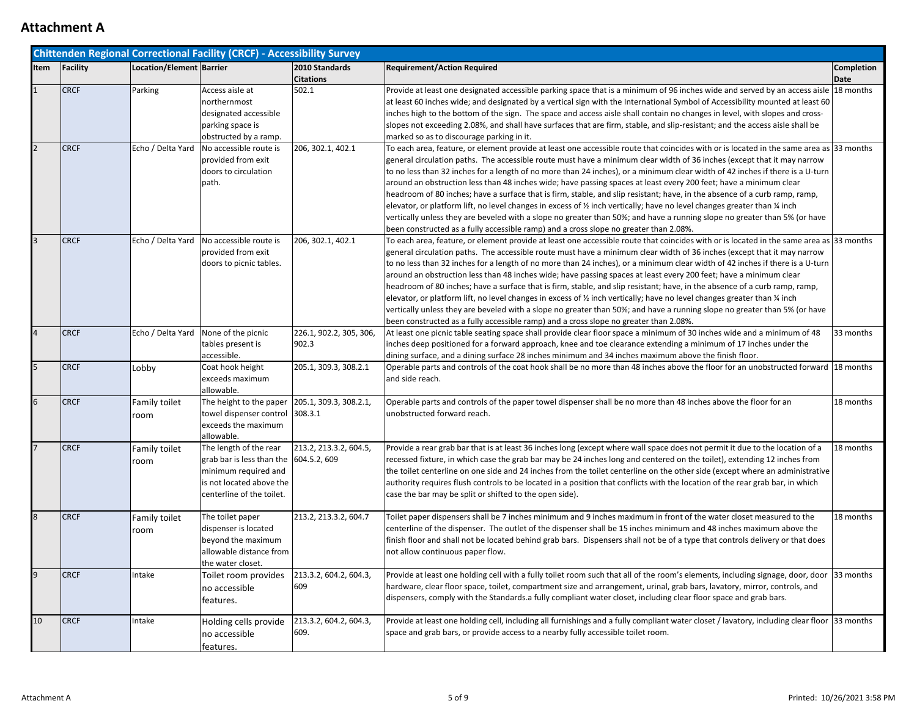|                 |             |                          | <b>Chittenden Regional Correctional Facility (CRCF) - Accessibility Survey</b> |                         |                                                                                                                                                                                                                                                      |                   |
|-----------------|-------------|--------------------------|--------------------------------------------------------------------------------|-------------------------|------------------------------------------------------------------------------------------------------------------------------------------------------------------------------------------------------------------------------------------------------|-------------------|
| Item            | Facility    | Location/Element Barrier |                                                                                | 2010 Standards          | <b>Requirement/Action Required</b>                                                                                                                                                                                                                   | <b>Completion</b> |
|                 |             |                          |                                                                                | <b>Citations</b>        |                                                                                                                                                                                                                                                      | Date              |
|                 | <b>CRCF</b> | Parking                  | Access aisle at                                                                | 502.1                   | Provide at least one designated accessible parking space that is a minimum of 96 inches wide and served by an access aisle 18 months                                                                                                                 |                   |
|                 |             |                          | northernmost                                                                   |                         | at least 60 inches wide; and designated by a vertical sign with the International Symbol of Accessibility mounted at least 60                                                                                                                        |                   |
|                 |             |                          | designated accessible                                                          |                         | inches high to the bottom of the sign. The space and access aisle shall contain no changes in level, with slopes and cross-                                                                                                                          |                   |
|                 |             |                          | parking space is                                                               |                         | slopes not exceeding 2.08%, and shall have surfaces that are firm, stable, and slip-resistant; and the access aisle shall be                                                                                                                         |                   |
|                 |             |                          | obstructed by a ramp.                                                          |                         | marked so as to discourage parking in it.                                                                                                                                                                                                            |                   |
|                 | <b>CRCF</b> | Echo / Delta Yard        | No accessible route is                                                         | 206, 302.1, 402.1       | To each area, feature, or element provide at least one accessible route that coincides with or is located in the same area as 33 months                                                                                                              |                   |
|                 |             |                          | provided from exit                                                             |                         | general circulation paths. The accessible route must have a minimum clear width of 36 inches (except that it may narrow                                                                                                                              |                   |
|                 |             |                          | doors to circulation                                                           |                         | to no less than 32 inches for a length of no more than 24 inches), or a minimum clear width of 42 inches if there is a U-turn                                                                                                                        |                   |
|                 |             |                          | path.                                                                          |                         | around an obstruction less than 48 inches wide; have passing spaces at least every 200 feet; have a minimum clear                                                                                                                                    |                   |
|                 |             |                          |                                                                                |                         | headroom of 80 inches; have a surface that is firm, stable, and slip resistant; have, in the absence of a curb ramp, ramp,<br>elevator, or platform lift, no level changes in excess of % inch vertically; have no level changes greater than % inch |                   |
|                 |             |                          |                                                                                |                         | vertically unless they are beveled with a slope no greater than 50%; and have a running slope no greater than 5% (or have                                                                                                                            |                   |
|                 |             |                          |                                                                                |                         | been constructed as a fully accessible ramp) and a cross slope no greater than 2.08%.                                                                                                                                                                |                   |
|                 | <b>CRCF</b> | Echo / Delta Yard        | No accessible route is                                                         | 206, 302.1, 402.1       | To each area, feature, or element provide at least one accessible route that coincides with or is located in the same area as 33 months                                                                                                              |                   |
|                 |             |                          | provided from exit                                                             |                         | general circulation paths. The accessible route must have a minimum clear width of 36 inches (except that it may narrow                                                                                                                              |                   |
|                 |             |                          | doors to picnic tables.                                                        |                         | to no less than 32 inches for a length of no more than 24 inches), or a minimum clear width of 42 inches if there is a U-turn                                                                                                                        |                   |
|                 |             |                          |                                                                                |                         | around an obstruction less than 48 inches wide; have passing spaces at least every 200 feet; have a minimum clear                                                                                                                                    |                   |
|                 |             |                          |                                                                                |                         | headroom of 80 inches; have a surface that is firm, stable, and slip resistant; have, in the absence of a curb ramp, ramp,                                                                                                                           |                   |
|                 |             |                          |                                                                                |                         | elevator, or platform lift, no level changes in excess of $\frac{1}{2}$ inch vertically; have no level changes greater than $\frac{1}{4}$ inch                                                                                                       |                   |
|                 |             |                          |                                                                                |                         | vertically unless they are beveled with a slope no greater than 50%; and have a running slope no greater than 5% (or have                                                                                                                            |                   |
|                 |             |                          |                                                                                |                         | been constructed as a fully accessible ramp) and a cross slope no greater than 2.08%.                                                                                                                                                                |                   |
|                 | <b>CRCF</b> |                          | Echo / Delta Yard None of the picnic                                           | 226.1, 902.2, 305, 306, | At least one picnic table seating space shall provide clear floor space a minimum of 30 inches wide and a minimum of 48                                                                                                                              | 33 months         |
|                 |             |                          | tables present is                                                              | 902.3                   | inches deep positioned for a forward approach, knee and toe clearance extending a minimum of 17 inches under the                                                                                                                                     |                   |
|                 |             |                          | accessible.                                                                    |                         | dining surface, and a dining surface 28 inches minimum and 34 inches maximum above the finish floor.                                                                                                                                                 |                   |
|                 | <b>CRCF</b> | Lobby                    | Coat hook height                                                               | 205.1, 309.3, 308.2.1   | Operable parts and controls of the coat hook shall be no more than 48 inches above the floor for an unobstructed forward 18 months                                                                                                                   |                   |
|                 |             |                          | exceeds maximum                                                                |                         | and side reach.                                                                                                                                                                                                                                      |                   |
|                 |             |                          | allowable.                                                                     |                         |                                                                                                                                                                                                                                                      |                   |
| $6\overline{6}$ | <b>CRCF</b> | Family toilet            | The height to the paper 205.1, 309.3, 308.2.1,                                 |                         | Operable parts and controls of the paper towel dispenser shall be no more than 48 inches above the floor for an                                                                                                                                      | 18 months         |
|                 |             | room                     | towel dispenser control 308.3.1                                                |                         | unobstructed forward reach.                                                                                                                                                                                                                          |                   |
|                 |             |                          | exceeds the maximum                                                            |                         |                                                                                                                                                                                                                                                      |                   |
|                 |             |                          | allowable.                                                                     |                         |                                                                                                                                                                                                                                                      |                   |
|                 | <b>CRCF</b> | Family toilet            | The length of the rear                                                         | 213.2, 213.3.2, 604.5,  | Provide a rear grab bar that is at least 36 inches long (except where wall space does not permit it due to the location of a                                                                                                                         | 18 months         |
|                 |             | room                     | grab bar is less than the $\left  604.5.2, 609 \right $                        |                         | recessed fixture, in which case the grab bar may be 24 inches long and centered on the toilet), extending 12 inches from                                                                                                                             |                   |
|                 |             |                          | minimum required and                                                           |                         | the toilet centerline on one side and 24 inches from the toilet centerline on the other side (except where an administrative                                                                                                                         |                   |
|                 |             |                          | is not located above the                                                       |                         | authority requires flush controls to be located in a position that conflicts with the location of the rear grab bar, in which                                                                                                                        |                   |
|                 |             |                          | centerline of the toilet.                                                      |                         | case the bar may be split or shifted to the open side).                                                                                                                                                                                              |                   |
|                 | <b>CRCF</b> | Family toilet            | The toilet paper                                                               | 213.2, 213.3.2, 604.7   | Toilet paper dispensers shall be 7 inches minimum and 9 inches maximum in front of the water closet measured to the                                                                                                                                  | 18 months         |
|                 |             | room                     | dispenser is located                                                           |                         | centerline of the dispenser. The outlet of the dispenser shall be 15 inches minimum and 48 inches maximum above the                                                                                                                                  |                   |
|                 |             |                          | beyond the maximum                                                             |                         | finish floor and shall not be located behind grab bars. Dispensers shall not be of a type that controls delivery or that does                                                                                                                        |                   |
|                 |             |                          | allowable distance from                                                        |                         | not allow continuous paper flow.                                                                                                                                                                                                                     |                   |
|                 |             |                          | the water closet.                                                              |                         |                                                                                                                                                                                                                                                      |                   |
| $\overline{9}$  | <b>CRCF</b> | Intake                   | Toilet room provides                                                           | 213.3.2, 604.2, 604.3,  | Provide at least one holding cell with a fully toilet room such that all of the room's elements, including signage, door, door  33 months                                                                                                            |                   |
|                 |             |                          | no accessible                                                                  | 609                     | hardware, clear floor space, toilet, compartment size and arrangement, urinal, grab bars, lavatory, mirror, controls, and                                                                                                                            |                   |
|                 |             |                          | features.                                                                      |                         | dispensers, comply with the Standards.a fully compliant water closet, including clear floor space and grab bars.                                                                                                                                     |                   |
| 10              | <b>CRCF</b> | Intake                   | Holding cells provide                                                          | 213.3.2, 604.2, 604.3,  | Provide at least one holding cell, including all furnishings and a fully compliant water closet / lavatory, including clear floor  33 months                                                                                                         |                   |
|                 |             |                          |                                                                                | 609.                    | space and grab bars, or provide access to a nearby fully accessible toilet room.                                                                                                                                                                     |                   |
|                 |             |                          | no accessible                                                                  |                         |                                                                                                                                                                                                                                                      |                   |
|                 |             |                          | features.                                                                      |                         |                                                                                                                                                                                                                                                      |                   |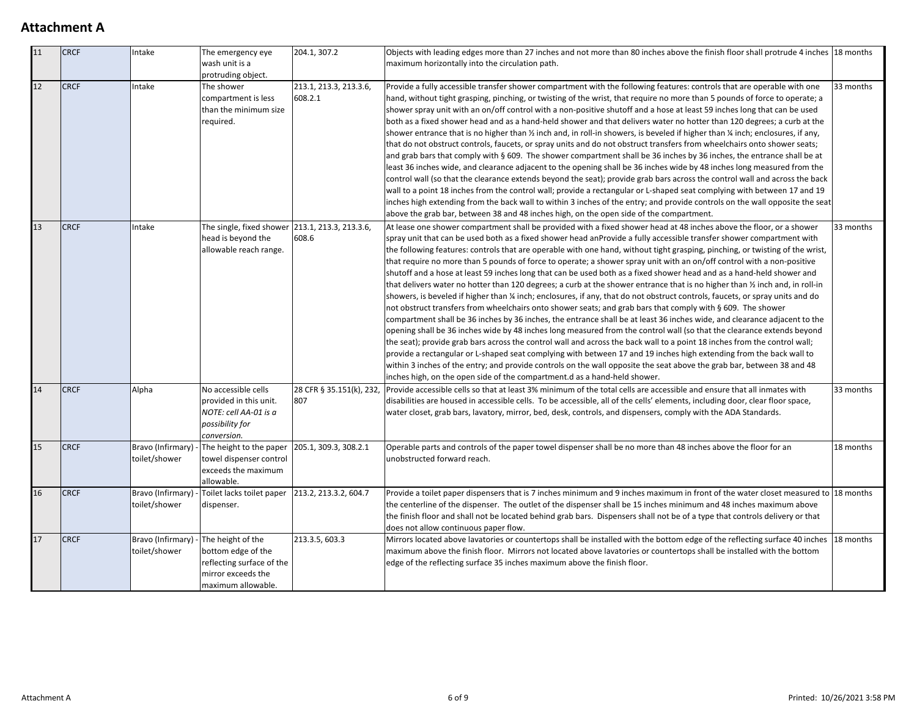| $\overline{11}$ | <b>CRCF</b> | Intake                             | The emergency eye<br>wash unit is a<br>protruding object.                                                        | 204.1, 307.2                      | Objects with leading edges more than 27 inches and not more than 80 inches above the finish floor shall protrude 4 inches 18 months<br>maximum horizontally into the circulation path.                                                                                                                                                                                                                                                                                                                                                                                                                                                                                                                                                                                                                                                                                                                                                                                                                                                                                                                                                                                                                                                                                                                                                                                                                                                                                                                                                                                                                                                                           |           |
|-----------------|-------------|------------------------------------|------------------------------------------------------------------------------------------------------------------|-----------------------------------|------------------------------------------------------------------------------------------------------------------------------------------------------------------------------------------------------------------------------------------------------------------------------------------------------------------------------------------------------------------------------------------------------------------------------------------------------------------------------------------------------------------------------------------------------------------------------------------------------------------------------------------------------------------------------------------------------------------------------------------------------------------------------------------------------------------------------------------------------------------------------------------------------------------------------------------------------------------------------------------------------------------------------------------------------------------------------------------------------------------------------------------------------------------------------------------------------------------------------------------------------------------------------------------------------------------------------------------------------------------------------------------------------------------------------------------------------------------------------------------------------------------------------------------------------------------------------------------------------------------------------------------------------------------|-----------|
| 12              | <b>CRCF</b> | Intake                             | The shower<br>compartment is less<br>than the minimum size<br>required.                                          | 213.1, 213.3, 213.3.6,<br>608.2.1 | Provide a fully accessible transfer shower compartment with the following features: controls that are operable with one<br>hand, without tight grasping, pinching, or twisting of the wrist, that require no more than 5 pounds of force to operate; a<br>shower spray unit with an on/off control with a non-positive shutoff and a hose at least 59 inches long that can be used<br>both as a fixed shower head and as a hand-held shower and that delivers water no hotter than 120 degrees; a curb at the<br>shower entrance that is no higher than $\frac{1}{2}$ inch and, in roll-in showers, is beveled if higher than $\frac{1}{4}$ inch; enclosures, if any,<br>that do not obstruct controls, faucets, or spray units and do not obstruct transfers from wheelchairs onto shower seats;<br>and grab bars that comply with § 609. The shower compartment shall be 36 inches by 36 inches, the entrance shall be at<br>least 36 inches wide, and clearance adjacent to the opening shall be 36 inches wide by 48 inches long measured from the<br>control wall (so that the clearance extends beyond the seat); provide grab bars across the control wall and across the back<br>wall to a point 18 inches from the control wall; provide a rectangular or L-shaped seat complying with between 17 and 19<br>inches high extending from the back wall to within 3 inches of the entry; and provide controls on the wall opposite the seat<br>above the grab bar, between 38 and 48 inches high, on the open side of the compartment.                                                                                                                     | 33 months |
| 13              | <b>CRCF</b> | Intake                             | The single, fixed shower 213.1, 213.3, 213.3.6,<br>head is beyond the<br>allowable reach range.                  | 608.6                             | At lease one shower compartment shall be provided with a fixed shower head at 48 inches above the floor, or a shower<br>spray unit that can be used both as a fixed shower head anProvide a fully accessible transfer shower compartment with<br>the following features: controls that are operable with one hand, without tight grasping, pinching, or twisting of the wrist,<br>that require no more than 5 pounds of force to operate; a shower spray unit with an on/off control with a non-positive<br>shutoff and a hose at least 59 inches long that can be used both as a fixed shower head and as a hand-held shower and<br>that delivers water no hotter than 120 degrees; a curb at the shower entrance that is no higher than $\frac{1}{2}$ inch and, in roll-in<br>showers, is beveled if higher than % inch; enclosures, if any, that do not obstruct controls, faucets, or spray units and do<br>not obstruct transfers from wheelchairs onto shower seats; and grab bars that comply with § 609. The shower<br>compartment shall be 36 inches by 36 inches, the entrance shall be at least 36 inches wide, and clearance adjacent to the<br>opening shall be 36 inches wide by 48 inches long measured from the control wall (so that the clearance extends beyond<br>the seat); provide grab bars across the control wall and across the back wall to a point 18 inches from the control wall;<br>provide a rectangular or L-shaped seat complying with between 17 and 19 inches high extending from the back wall to<br>within 3 inches of the entry; and provide controls on the wall opposite the seat above the grab bar, between 38 and 48 |           |
| 14              | <b>CRCF</b> | Alpha                              | No accessible cells<br>provided in this unit.<br>NOTE: cell AA-01 is a<br>possibility for<br>conversion.         | 807                               | inches high, on the open side of the compartment.d as a hand-held shower.<br>28 CFR § 35.151(k), 232, Provide accessible cells so that at least 3% minimum of the total cells are accessible and ensure that all inmates with<br>33 months<br>disabilities are housed in accessible cells. To be accessible, all of the cells' elements, including door, clear floor space,<br>water closet, grab bars, lavatory, mirror, bed, desk, controls, and dispensers, comply with the ADA Standards.                                                                                                                                                                                                                                                                                                                                                                                                                                                                                                                                                                                                                                                                                                                                                                                                                                                                                                                                                                                                                                                                                                                                                                    |           |
| 15              | <b>CRCF</b> | Bravo (Infirmary)<br>toilet/shower | The height to the paper<br>towel dispenser control<br>exceeds the maximum<br>allowable.                          | 205.1, 309.3, 308.2.1             | Operable parts and controls of the paper towel dispenser shall be no more than 48 inches above the floor for an<br>18 months<br>unobstructed forward reach.                                                                                                                                                                                                                                                                                                                                                                                                                                                                                                                                                                                                                                                                                                                                                                                                                                                                                                                                                                                                                                                                                                                                                                                                                                                                                                                                                                                                                                                                                                      |           |
| 16              | <b>CRCF</b> | Bravo (Infirmary)<br>toilet/shower | Toilet lacks toilet paper<br>dispenser.                                                                          | 213.2, 213.3.2, 604.7             | Provide a toilet paper dispensers that is 7 inches minimum and 9 inches maximum in front of the water closet measured to 18 months<br>the centerline of the dispenser. The outlet of the dispenser shall be 15 inches minimum and 48 inches maximum above<br>the finish floor and shall not be located behind grab bars. Dispensers shall not be of a type that controls delivery or that<br>does not allow continuous paper flow.                                                                                                                                                                                                                                                                                                                                                                                                                                                                                                                                                                                                                                                                                                                                                                                                                                                                                                                                                                                                                                                                                                                                                                                                                               |           |
| 17              | <b>CRCF</b> | Bravo (Infirmary)<br>toilet/shower | The height of the<br>bottom edge of the<br>reflecting surface of the<br>mirror exceeds the<br>maximum allowable. | 213.3.5, 603.3                    | Mirrors located above lavatories or countertops shall be installed with the bottom edge of the reflecting surface 40 inches 18 months<br>maximum above the finish floor. Mirrors not located above lavatories or countertops shall be installed with the bottom<br>edge of the reflecting surface 35 inches maximum above the finish floor.                                                                                                                                                                                                                                                                                                                                                                                                                                                                                                                                                                                                                                                                                                                                                                                                                                                                                                                                                                                                                                                                                                                                                                                                                                                                                                                      |           |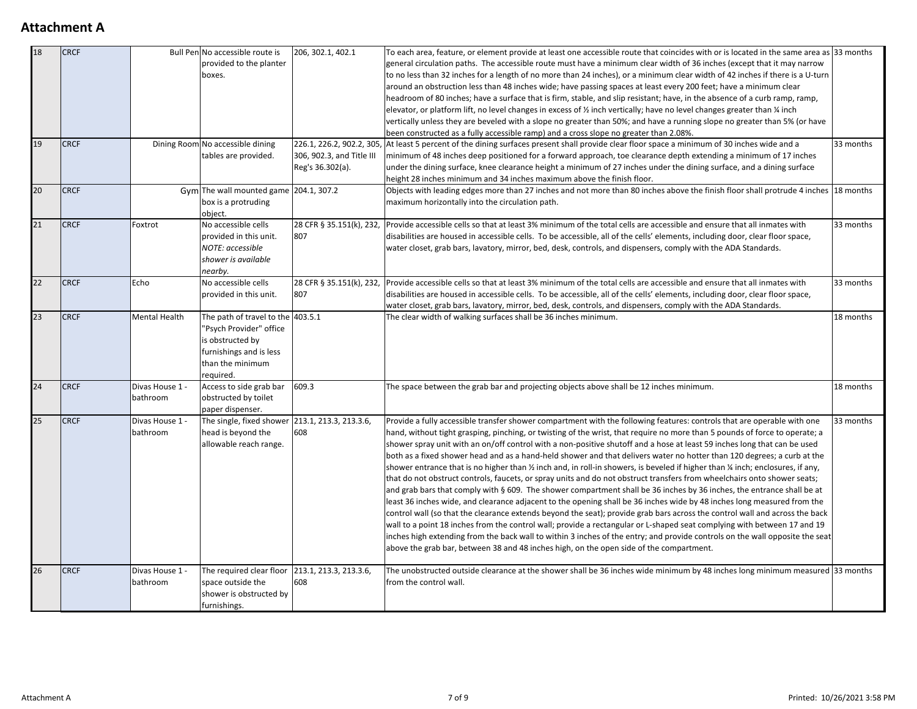| 18<br>19        | <b>CRCF</b><br><b>CRCF</b> |                             | Bull Pen No accessible route is<br>provided to the planter<br>boxes.<br>Dining Room No accessible dining<br>tables are provided.             | 206, 302.1, 402.1<br>306, 902.3, and Title III                                                                                                                                                                                                                                                                                                                                                                                                                                                                                                                                                                                                                                                                                                                                                                                                                                                                                                                                                                                                                                                                                                                                                                                                                                                                                                                                                                                                                                                                                                      | To each area, feature, or element provide at least one accessible route that coincides with or is located in the same area as 33 months<br>general circulation paths. The accessible route must have a minimum clear width of 36 inches (except that it may narrow<br>to no less than 32 inches for a length of no more than 24 inches), or a minimum clear width of 42 inches if there is a U-turn<br>around an obstruction less than 48 inches wide; have passing spaces at least every 200 feet; have a minimum clear<br>headroom of 80 inches; have a surface that is firm, stable, and slip resistant; have, in the absence of a curb ramp, ramp,<br>elevator, or platform lift, no level changes in excess of % inch vertically; have no level changes greater than % inch<br>vertically unless they are beveled with a slope no greater than 50%; and have a running slope no greater than 5% (or have<br>been constructed as a fully accessible ramp) and a cross slope no greater than 2.08%.<br>226.1, 226.2, 902.2, 305, At least 5 percent of the dining surfaces present shall provide clear floor space a minimum of 30 inches wide and a<br>33 months<br>minimum of 48 inches deep positioned for a forward approach, toe clearance depth extending a minimum of 17 inches |           |
|-----------------|----------------------------|-----------------------------|----------------------------------------------------------------------------------------------------------------------------------------------|-----------------------------------------------------------------------------------------------------------------------------------------------------------------------------------------------------------------------------------------------------------------------------------------------------------------------------------------------------------------------------------------------------------------------------------------------------------------------------------------------------------------------------------------------------------------------------------------------------------------------------------------------------------------------------------------------------------------------------------------------------------------------------------------------------------------------------------------------------------------------------------------------------------------------------------------------------------------------------------------------------------------------------------------------------------------------------------------------------------------------------------------------------------------------------------------------------------------------------------------------------------------------------------------------------------------------------------------------------------------------------------------------------------------------------------------------------------------------------------------------------------------------------------------------------|-------------------------------------------------------------------------------------------------------------------------------------------------------------------------------------------------------------------------------------------------------------------------------------------------------------------------------------------------------------------------------------------------------------------------------------------------------------------------------------------------------------------------------------------------------------------------------------------------------------------------------------------------------------------------------------------------------------------------------------------------------------------------------------------------------------------------------------------------------------------------------------------------------------------------------------------------------------------------------------------------------------------------------------------------------------------------------------------------------------------------------------------------------------------------------------------------------------------------------------------------------------------------------------------|-----------|
| 20              | <b>CRCF</b>                |                             | Gym The wall mounted game 204.1, 307.2                                                                                                       | Reg's 36.302(a).                                                                                                                                                                                                                                                                                                                                                                                                                                                                                                                                                                                                                                                                                                                                                                                                                                                                                                                                                                                                                                                                                                                                                                                                                                                                                                                                                                                                                                                                                                                                    | under the dining surface, knee clearance height a minimum of 27 inches under the dining surface, and a dining surface<br>height 28 inches minimum and 34 inches maximum above the finish floor.<br>Objects with leading edges more than 27 inches and not more than 80 inches above the finish floor shall protrude 4 inches 18 months<br>maximum horizontally into the circulation path.                                                                                                                                                                                                                                                                                                                                                                                                                                                                                                                                                                                                                                                                                                                                                                                                                                                                                                 |           |
| 21              | <b>CRCF</b>                | Foxtrot                     | box is a protruding<br>object.<br>No accessible cells<br>provided in this unit.<br>NOTE: accessible<br>shower is available<br>nearby.        | 807                                                                                                                                                                                                                                                                                                                                                                                                                                                                                                                                                                                                                                                                                                                                                                                                                                                                                                                                                                                                                                                                                                                                                                                                                                                                                                                                                                                                                                                                                                                                                 | 28 CFR § 35.151(k), 232, Provide accessible cells so that at least 3% minimum of the total cells are accessible and ensure that all inmates with<br>33 months<br>disabilities are housed in accessible cells. To be accessible, all of the cells' elements, including door, clear floor space,<br>water closet, grab bars, lavatory, mirror, bed, desk, controls, and dispensers, comply with the ADA Standards.                                                                                                                                                                                                                                                                                                                                                                                                                                                                                                                                                                                                                                                                                                                                                                                                                                                                          |           |
| $\overline{22}$ | <b>CRCF</b>                | Echo                        | No accessible cells<br>provided in this unit.                                                                                                | 807                                                                                                                                                                                                                                                                                                                                                                                                                                                                                                                                                                                                                                                                                                                                                                                                                                                                                                                                                                                                                                                                                                                                                                                                                                                                                                                                                                                                                                                                                                                                                 | 28 CFR § 35.151(k), 232, Provide accessible cells so that at least 3% minimum of the total cells are accessible and ensure that all inmates with<br>33 months<br>disabilities are housed in accessible cells. To be accessible, all of the cells' elements, including door, clear floor space,<br>water closet, grab bars, lavatory, mirror, bed, desk, controls, and dispensers, comply with the ADA Standards.                                                                                                                                                                                                                                                                                                                                                                                                                                                                                                                                                                                                                                                                                                                                                                                                                                                                          |           |
| $\overline{23}$ | <b>CRCF</b>                | Mental Health               | The path of travel to the 403.5.1<br>"Psych Provider" office<br>is obstructed by<br>furnishings and is less<br>than the minimum<br>required. |                                                                                                                                                                                                                                                                                                                                                                                                                                                                                                                                                                                                                                                                                                                                                                                                                                                                                                                                                                                                                                                                                                                                                                                                                                                                                                                                                                                                                                                                                                                                                     | The clear width of walking surfaces shall be 36 inches minimum.<br>18 months                                                                                                                                                                                                                                                                                                                                                                                                                                                                                                                                                                                                                                                                                                                                                                                                                                                                                                                                                                                                                                                                                                                                                                                                              |           |
| 24              | <b>CRCF</b>                | Divas House 1 -<br>bathroom | Access to side grab bar<br>obstructed by toilet<br>paper dispenser.                                                                          | 609.3                                                                                                                                                                                                                                                                                                                                                                                                                                                                                                                                                                                                                                                                                                                                                                                                                                                                                                                                                                                                                                                                                                                                                                                                                                                                                                                                                                                                                                                                                                                                               | The space between the grab bar and projecting objects above shall be 12 inches minimum.                                                                                                                                                                                                                                                                                                                                                                                                                                                                                                                                                                                                                                                                                                                                                                                                                                                                                                                                                                                                                                                                                                                                                                                                   | 18 months |
| 25              | <b>CRCF</b>                | Divas House 1 -<br>bathroom | The single, fixed shower 213.1, 213.3, 213.3.6,<br>head is beyond the<br>allowable reach range.                                              | Provide a fully accessible transfer shower compartment with the following features: controls that are operable with one<br>hand, without tight grasping, pinching, or twisting of the wrist, that require no more than 5 pounds of force to operate; a<br>608<br>shower spray unit with an on/off control with a non-positive shutoff and a hose at least 59 inches long that can be used<br>both as a fixed shower head and as a hand-held shower and that delivers water no hotter than 120 degrees; a curb at the<br>shower entrance that is no higher than $\frac{1}{2}$ inch and, in roll-in showers, is beveled if higher than $\frac{1}{4}$ inch; enclosures, if any,<br>that do not obstruct controls, faucets, or spray units and do not obstruct transfers from wheelchairs onto shower seats;<br>and grab bars that comply with § 609. The shower compartment shall be 36 inches by 36 inches, the entrance shall be at<br>least 36 inches wide, and clearance adjacent to the opening shall be 36 inches wide by 48 inches long measured from the<br>control wall (so that the clearance extends beyond the seat); provide grab bars across the control wall and across the back<br>wall to a point 18 inches from the control wall; provide a rectangular or L-shaped seat complying with between 17 and 19<br>inches high extending from the back wall to within 3 inches of the entry; and provide controls on the wall opposite the seat<br>above the grab bar, between 38 and 48 inches high, on the open side of the compartment. |                                                                                                                                                                                                                                                                                                                                                                                                                                                                                                                                                                                                                                                                                                                                                                                                                                                                                                                                                                                                                                                                                                                                                                                                                                                                                           | 33 months |
| 26              | <b>CRCF</b>                | Divas House 1 -<br>bathroom | The required clear floor<br>space outside the<br>shower is obstructed by<br>furnishings.                                                     | 213.1, 213.3, 213.3.6,<br>608                                                                                                                                                                                                                                                                                                                                                                                                                                                                                                                                                                                                                                                                                                                                                                                                                                                                                                                                                                                                                                                                                                                                                                                                                                                                                                                                                                                                                                                                                                                       | The unobstructed outside clearance at the shower shall be 36 inches wide minimum by 48 inches long minimum measured 33 months<br>from the control wall.                                                                                                                                                                                                                                                                                                                                                                                                                                                                                                                                                                                                                                                                                                                                                                                                                                                                                                                                                                                                                                                                                                                                   |           |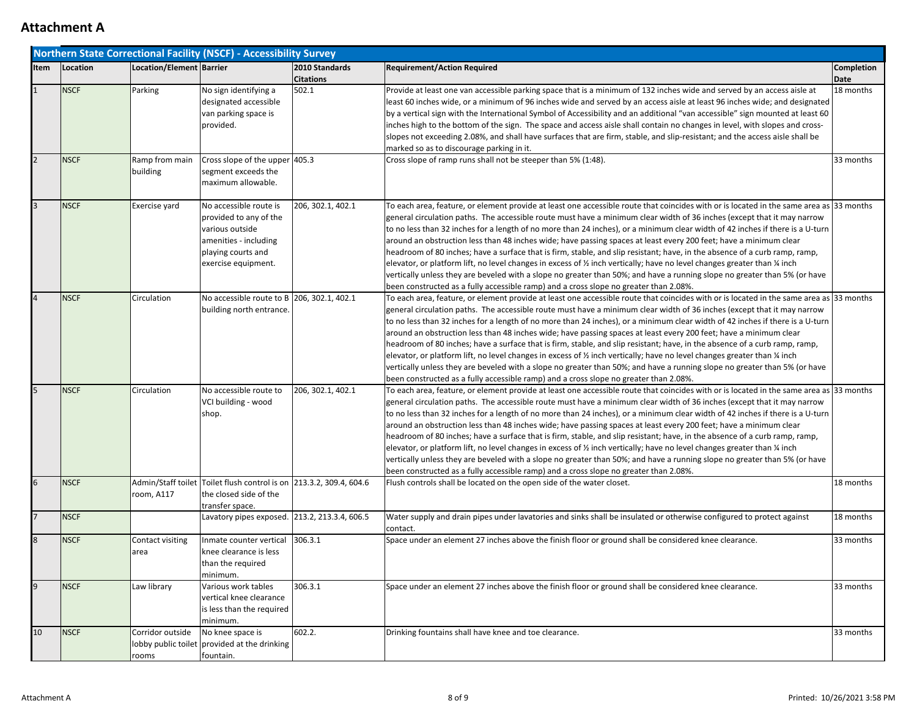|                |             |                            | <b>Northern State Correctional Facility (NSCF) - Accessibility Survey</b>                                                                 |                                    |                                                                                                                                                                                                                                                                                                                                                                                                                                                                                                                                                                                                                                                                                                                                                                                                                                                                                                                                                                                                                                |                                  |
|----------------|-------------|----------------------------|-------------------------------------------------------------------------------------------------------------------------------------------|------------------------------------|--------------------------------------------------------------------------------------------------------------------------------------------------------------------------------------------------------------------------------------------------------------------------------------------------------------------------------------------------------------------------------------------------------------------------------------------------------------------------------------------------------------------------------------------------------------------------------------------------------------------------------------------------------------------------------------------------------------------------------------------------------------------------------------------------------------------------------------------------------------------------------------------------------------------------------------------------------------------------------------------------------------------------------|----------------------------------|
| Item           | Location    | Location/Element   Barrier |                                                                                                                                           | 2010 Standards<br><b>Citations</b> | <b>Requirement/Action Required</b>                                                                                                                                                                                                                                                                                                                                                                                                                                                                                                                                                                                                                                                                                                                                                                                                                                                                                                                                                                                             | <b>Completion</b><br><b>Date</b> |
| $\mathbf{1}$   | <b>NSCF</b> | Parking                    | No sign identifying a<br>designated accessible<br>van parking space is<br>provided.                                                       | 502.1                              | Provide at least one van accessible parking space that is a minimum of 132 inches wide and served by an access aisle at<br>least 60 inches wide, or a minimum of 96 inches wide and served by an access aisle at least 96 inches wide; and designated<br>by a vertical sign with the International Symbol of Accessibility and an additional "van accessible" sign mounted at least 60<br>inches high to the bottom of the sign. The space and access aisle shall contain no changes in level, with slopes and cross-<br>slopes not exceeding 2.08%, and shall have surfaces that are firm, stable, and slip-resistant; and the access aisle shall be<br>marked so as to discourage parking in it.                                                                                                                                                                                                                                                                                                                             | 18 months                        |
| $\overline{2}$ | <b>NSCF</b> | Ramp from main<br>building | Cross slope of the upper $405.3$<br>segment exceeds the<br>maximum allowable.                                                             |                                    | Cross slope of ramp runs shall not be steeper than 5% (1:48).                                                                                                                                                                                                                                                                                                                                                                                                                                                                                                                                                                                                                                                                                                                                                                                                                                                                                                                                                                  | 33 months                        |
| $\overline{3}$ | <b>NSCF</b> | Exercise yard              | No accessible route is<br>provided to any of the<br>various outside<br>amenities - including<br>playing courts and<br>exercise equipment. | 206, 302.1, 402.1                  | To each area, feature, or element provide at least one accessible route that coincides with or is located in the same area as 33 months<br>general circulation paths. The accessible route must have a minimum clear width of 36 inches (except that it may narrow<br>to no less than 32 inches for a length of no more than 24 inches), or a minimum clear width of 42 inches if there is a U-turn<br>around an obstruction less than 48 inches wide; have passing spaces at least every 200 feet; have a minimum clear<br>headroom of 80 inches; have a surface that is firm, stable, and slip resistant; have, in the absence of a curb ramp, ramp,<br>elevator, or platform lift, no level changes in excess of % inch vertically; have no level changes greater than % inch<br>vertically unless they are beveled with a slope no greater than 50%; and have a running slope no greater than 5% (or have<br>been constructed as a fully accessible ramp) and a cross slope no greater than 2.08%.                         |                                  |
|                | <b>NSCF</b> | Circulation                | No accessible route to B 206, 302.1, 402.1<br>building north entrance.                                                                    |                                    | To each area, feature, or element provide at least one accessible route that coincides with or is located in the same area as 33 months<br>general circulation paths. The accessible route must have a minimum clear width of 36 inches (except that it may narrow<br>to no less than 32 inches for a length of no more than 24 inches), or a minimum clear width of 42 inches if there is a U-turn<br>around an obstruction less than 48 inches wide; have passing spaces at least every 200 feet; have a minimum clear<br>headroom of 80 inches; have a surface that is firm, stable, and slip resistant; have, in the absence of a curb ramp, ramp,<br>elevator, or platform lift, no level changes in excess of $\frac{1}{2}$ inch vertically; have no level changes greater than $\frac{1}{4}$ inch<br>vertically unless they are beveled with a slope no greater than 50%; and have a running slope no greater than 5% (or have<br>been constructed as a fully accessible ramp) and a cross slope no greater than 2.08%. |                                  |
|                | <b>NSCF</b> | Circulation                | No accessible route to<br>VCI building - wood<br>shop.                                                                                    | 206, 302.1, 402.1                  | To each area, feature, or element provide at least one accessible route that coincides with or is located in the same area as 33 months<br>general circulation paths. The accessible route must have a minimum clear width of 36 inches (except that it may narrow<br>to no less than 32 inches for a length of no more than 24 inches), or a minimum clear width of 42 inches if there is a U-turn<br>around an obstruction less than 48 inches wide; have passing spaces at least every 200 feet; have a minimum clear<br>headroom of 80 inches; have a surface that is firm, stable, and slip resistant; have, in the absence of a curb ramp, ramp,<br>elevator, or platform lift, no level changes in excess of $\frac{1}{2}$ inch vertically; have no level changes greater than $\frac{1}{4}$ inch<br>vertically unless they are beveled with a slope no greater than 50%; and have a running slope no greater than 5% (or have<br>been constructed as a fully accessible ramp) and a cross slope no greater than 2.08%. |                                  |
| 6              | <b>NSCF</b> | room, A117                 | Admin/Staff toilet Toilet flush control is on 213.3.2, 309.4, 604.6<br>the closed side of the<br>transfer space.                          |                                    | Flush controls shall be located on the open side of the water closet.                                                                                                                                                                                                                                                                                                                                                                                                                                                                                                                                                                                                                                                                                                                                                                                                                                                                                                                                                          | 18 months                        |
| $\overline{7}$ | <b>NSCF</b> |                            | Lavatory pipes exposed. 213.2, 213.3.4, 606.5                                                                                             |                                    | Water supply and drain pipes under lavatories and sinks shall be insulated or otherwise configured to protect against<br>contact.                                                                                                                                                                                                                                                                                                                                                                                                                                                                                                                                                                                                                                                                                                                                                                                                                                                                                              | 18 months                        |
| $\overline{8}$ | <b>NSCF</b> | Contact visiting<br>area   | Inmate counter vertical<br>knee clearance is less<br>than the required<br>minimum.                                                        | 306.3.1                            | Space under an element 27 inches above the finish floor or ground shall be considered knee clearance.                                                                                                                                                                                                                                                                                                                                                                                                                                                                                                                                                                                                                                                                                                                                                                                                                                                                                                                          | 33 months                        |
| $\overline{9}$ | <b>NSCF</b> | Law library                | Various work tables<br>vertical knee clearance<br>is less than the required<br>minimum.                                                   | 306.3.1                            | Space under an element 27 inches above the finish floor or ground shall be considered knee clearance.                                                                                                                                                                                                                                                                                                                                                                                                                                                                                                                                                                                                                                                                                                                                                                                                                                                                                                                          | 33 months                        |
| 10             | <b>NSCF</b> | Corridor outside<br>rooms  | No knee space is<br>lobby public toilet provided at the drinking<br>fountain.                                                             | $\sqrt{602.2}$ .                   | Drinking fountains shall have knee and toe clearance.                                                                                                                                                                                                                                                                                                                                                                                                                                                                                                                                                                                                                                                                                                                                                                                                                                                                                                                                                                          | 33 months                        |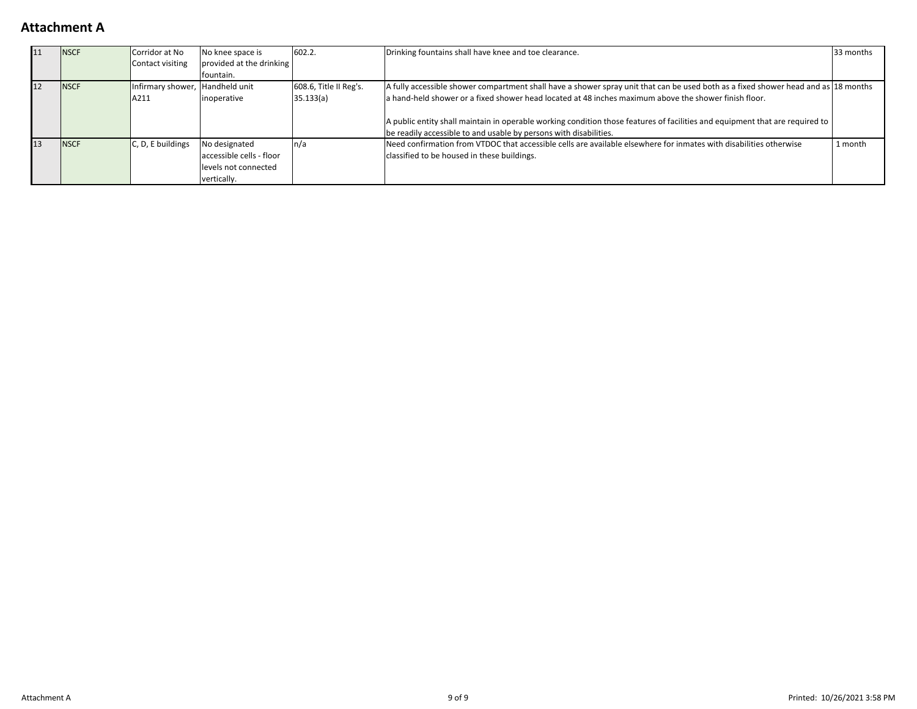| 11 | <b>NSCF</b> | Corridor at No                  | No knee space is         | 602.2.                                                                                                                                                       | Drinking fountains shall have knee and toe clearance.                                                                        |         |
|----|-------------|---------------------------------|--------------------------|--------------------------------------------------------------------------------------------------------------------------------------------------------------|------------------------------------------------------------------------------------------------------------------------------|---------|
|    |             | Contact visiting                | provided at the drinking |                                                                                                                                                              |                                                                                                                              |         |
|    |             |                                 | fountain.                |                                                                                                                                                              |                                                                                                                              |         |
| 12 | <b>NSCF</b> | Infirmary shower, Handheld unit |                          | 608.6, Title II Reg's.<br>A fully accessible shower compartment shall have a shower spray unit that can be used both as a fixed shower head and as 18 months |                                                                                                                              |         |
|    |             | A211                            | <i>inoperative</i>       | 35.133(a)                                                                                                                                                    | a hand-held shower or a fixed shower head located at 48 inches maximum above the shower finish floor.                        |         |
|    |             |                                 |                          |                                                                                                                                                              |                                                                                                                              |         |
|    |             |                                 |                          |                                                                                                                                                              | A public entity shall maintain in operable working condition those features of facilities and equipment that are required to |         |
|    |             |                                 |                          |                                                                                                                                                              | be readily accessible to and usable by persons with disabilities.                                                            |         |
| 13 | <b>NSCF</b> | $C$ , D, E buildings            | No designated            |                                                                                                                                                              | Need confirmation from VTDOC that accessible cells are available elsewhere for inmates with disabilities otherwise           | 1 month |
|    |             |                                 | accessible cells - floor |                                                                                                                                                              | classified to be housed in these buildings.                                                                                  |         |
|    |             |                                 | levels not connected     |                                                                                                                                                              |                                                                                                                              |         |
|    |             |                                 | vertically.              |                                                                                                                                                              |                                                                                                                              |         |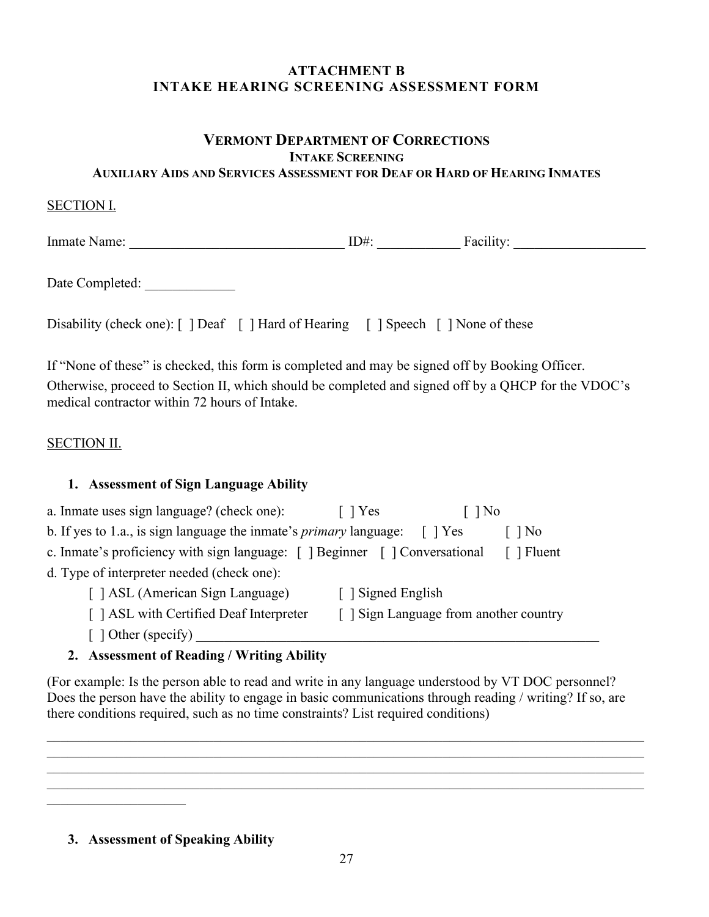## **ATTACHMENT B INTAKE HEARING SCREENING ASSESSMENT FORM**

#### **VERMONT DEPARTMENT OF CORRECTIONS INTAKE SCREENING AUXILIARY AIDS AND SERVICES ASSESSMENT FOR DEAF OR HARD OF HEARING INMATES**

### SECTION I.

Inmate Name: \_\_\_\_\_\_\_\_\_\_\_\_\_\_\_\_\_\_\_\_\_\_\_\_\_\_\_\_\_\_\_ ID#: \_\_\_\_\_\_\_\_\_\_\_\_ Facility: \_\_\_\_\_\_\_\_\_\_\_\_\_\_\_\_\_\_\_

Date Completed:

Disability (check one): [ ] Deaf [ ] Hard of Hearing [ ] Speech [ ] None of these

If "None of these" is checked, this form is completed and may be signed off by Booking Officer. Otherwise, proceed to Section II, which should be completed and signed off by a QHCP for the VDOC's medical contractor within 72 hours of Intake.

## SECTION II.

### **1. Assessment of Sign Language Ability**

| a. Inmate uses sign language? (check one):                                            | $\lceil$   Yes                         | No                  |  |  |  |  |
|---------------------------------------------------------------------------------------|----------------------------------------|---------------------|--|--|--|--|
| b. If yes to 1.a., is sign language the inmate's <i>primary</i> language:             |                                        | $ $ No<br>$1 + Yes$ |  |  |  |  |
| c. Inmate's proficiency with sign language: [ ] Beginner [ ] Conversational<br>Fluent |                                        |                     |  |  |  |  |
| d. Type of interpreter needed (check one):                                            |                                        |                     |  |  |  |  |
| [ ] ASL (American Sign Language)                                                      | [ Signed English                       |                     |  |  |  |  |
| [ ] ASL with Certified Deaf Interpreter                                               | [ ] Sign Language from another country |                     |  |  |  |  |
| $\lceil$ 1 Other (specify)                                                            |                                        |                     |  |  |  |  |

## **2. Assessment of Reading / Writing Ability**

(For example: Is the person able to read and write in any language understood by VT DOC personnel? Does the person have the ability to engage in basic communications through reading / writing? If so, are there conditions required, such as no time constraints? List required conditions)

 $\mathcal{L}_\mathcal{L} = \{ \mathcal{L}_\mathcal{L} = \{ \mathcal{L}_\mathcal{L} = \{ \mathcal{L}_\mathcal{L} = \{ \mathcal{L}_\mathcal{L} = \{ \mathcal{L}_\mathcal{L} = \{ \mathcal{L}_\mathcal{L} = \{ \mathcal{L}_\mathcal{L} = \{ \mathcal{L}_\mathcal{L} = \{ \mathcal{L}_\mathcal{L} = \{ \mathcal{L}_\mathcal{L} = \{ \mathcal{L}_\mathcal{L} = \{ \mathcal{L}_\mathcal{L} = \{ \mathcal{L}_\mathcal{L} = \{ \mathcal{L}_\mathcal{$ 

 $\mathcal{L}_\mathcal{L} = \{ \mathcal{L}_\mathcal{L} = \{ \mathcal{L}_\mathcal{L} = \{ \mathcal{L}_\mathcal{L} = \{ \mathcal{L}_\mathcal{L} = \{ \mathcal{L}_\mathcal{L} = \{ \mathcal{L}_\mathcal{L} = \{ \mathcal{L}_\mathcal{L} = \{ \mathcal{L}_\mathcal{L} = \{ \mathcal{L}_\mathcal{L} = \{ \mathcal{L}_\mathcal{L} = \{ \mathcal{L}_\mathcal{L} = \{ \mathcal{L}_\mathcal{L} = \{ \mathcal{L}_\mathcal{L} = \{ \mathcal{L}_\mathcal{$ 

**3. Assessment of Speaking Ability**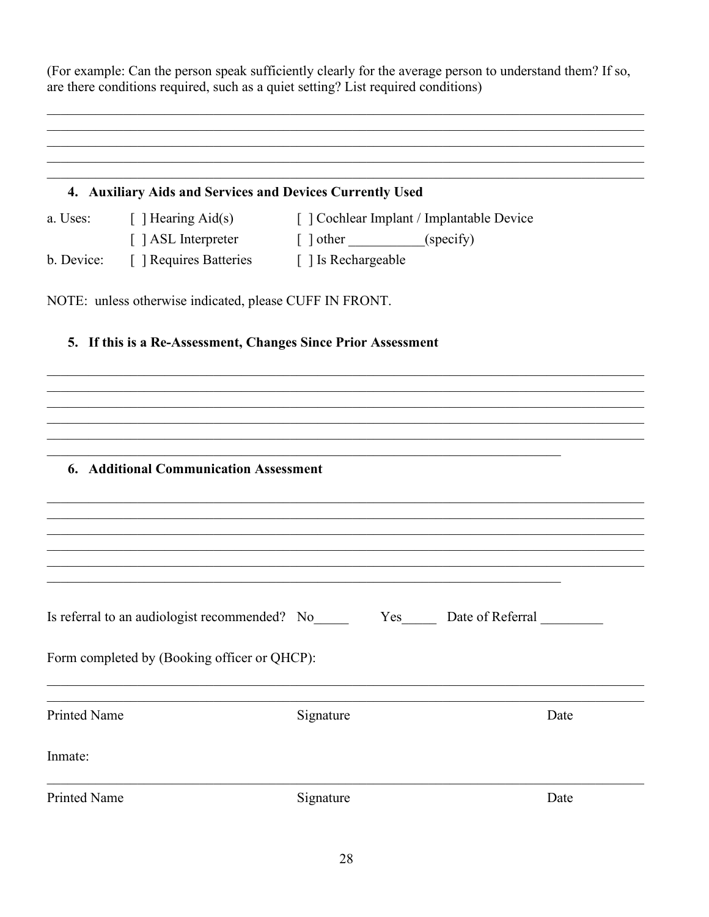(For example: Can the person speak sufficiently clearly for the average person to understand them? If so, are there conditions required, such as a quiet setting? List required conditions)

|                     | 4. Auxiliary Aids and Services and Devices Currently Used          |                                                                       |      |  |
|---------------------|--------------------------------------------------------------------|-----------------------------------------------------------------------|------|--|
|                     |                                                                    | a. Uses: [ ] Hearing Aid(s) [ ] Cochlear Implant / Implantable Device |      |  |
|                     | [] ASL Interpreter [] other ___________(specify)                   |                                                                       |      |  |
|                     | b. Device: [ ] Requires Batteries [ ] Is Rechargeable              |                                                                       |      |  |
|                     | NOTE: unless otherwise indicated, please CUFF IN FRONT.            |                                                                       |      |  |
|                     | 5. If this is a Re-Assessment, Changes Since Prior Assessment      |                                                                       |      |  |
|                     |                                                                    |                                                                       |      |  |
|                     |                                                                    |                                                                       |      |  |
|                     |                                                                    |                                                                       |      |  |
|                     |                                                                    |                                                                       |      |  |
|                     | <b>6. Additional Communication Assessment</b>                      |                                                                       |      |  |
|                     |                                                                    |                                                                       |      |  |
|                     |                                                                    |                                                                       |      |  |
|                     |                                                                    |                                                                       |      |  |
|                     |                                                                    |                                                                       |      |  |
|                     |                                                                    |                                                                       |      |  |
|                     | Is referral to an audiologist recommended? No Yes Date of Referral |                                                                       |      |  |
|                     | Form completed by (Booking officer or QHCP):                       |                                                                       |      |  |
|                     |                                                                    |                                                                       |      |  |
| <b>Printed Name</b> |                                                                    | Signature                                                             | Date |  |
|                     |                                                                    |                                                                       |      |  |
| Inmate:             |                                                                    |                                                                       |      |  |
| <b>Printed Name</b> |                                                                    | Signature                                                             | Date |  |
|                     |                                                                    |                                                                       |      |  |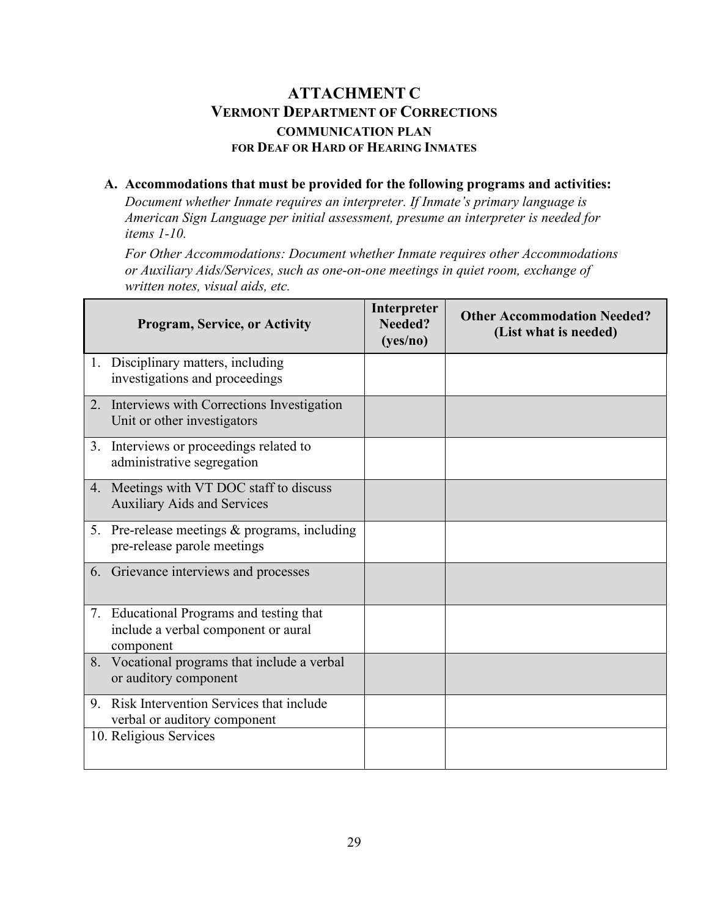## **ATTACHMENT C VERMONT DEPARTMENT OF CORRECTIONS COMMUNICATION PLAN FOR DEAF OR HARD OF HEARING INMATES**

#### **A. Accommodations that must be provided for the following programs and activities:**

*Document whether Inmate requires an interpreter. If Inmate's primary language is American Sign Language per initial assessment, presume an interpreter is needed for items 1-10.* 

*For Other Accommodations: Document whether Inmate requires other Accommodations or Auxiliary Aids/Services, such as one-on-one meetings in quiet room, exchange of written notes, visual aids, etc.* 

| <b>Program, Service, or Activity</b>                                                         | Interpreter<br>Needed?<br>(yes/no) | <b>Other Accommodation Needed?</b><br>(List what is needed) |
|----------------------------------------------------------------------------------------------|------------------------------------|-------------------------------------------------------------|
| 1. Disciplinary matters, including<br>investigations and proceedings                         |                                    |                                                             |
| 2. Interviews with Corrections Investigation<br>Unit or other investigators                  |                                    |                                                             |
| 3. Interviews or proceedings related to<br>administrative segregation                        |                                    |                                                             |
| 4. Meetings with VT DOC staff to discuss<br><b>Auxiliary Aids and Services</b>               |                                    |                                                             |
| 5. Pre-release meetings & programs, including<br>pre-release parole meetings                 |                                    |                                                             |
| 6. Grievance interviews and processes                                                        |                                    |                                                             |
| 7. Educational Programs and testing that<br>include a verbal component or aural<br>component |                                    |                                                             |
| 8. Vocational programs that include a verbal<br>or auditory component                        |                                    |                                                             |
| 9. Risk Intervention Services that include<br>verbal or auditory component                   |                                    |                                                             |
| 10. Religious Services                                                                       |                                    |                                                             |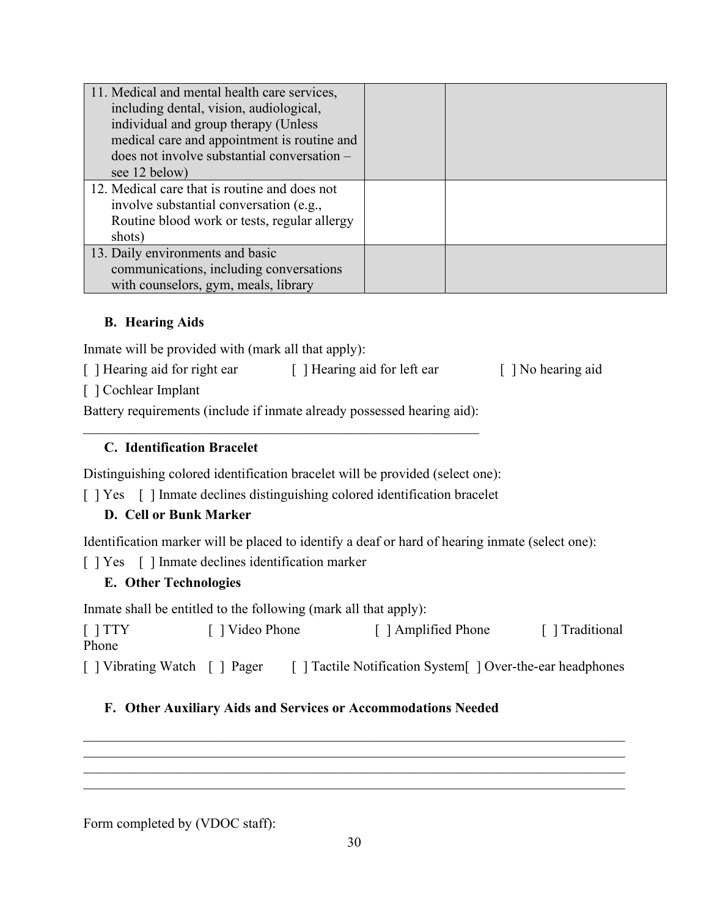| 11. Medical and mental health care services,<br>including dental, vision, audiological,<br>individual and group therapy (Unless<br>medical care and appointment is routine and<br>does not involve substantial conversation – |  |
|-------------------------------------------------------------------------------------------------------------------------------------------------------------------------------------------------------------------------------|--|
| see 12 below)                                                                                                                                                                                                                 |  |
| 12. Medical care that is routine and does not                                                                                                                                                                                 |  |
| involve substantial conversation (e.g.,                                                                                                                                                                                       |  |
| Routine blood work or tests, regular allergy                                                                                                                                                                                  |  |
| shots)                                                                                                                                                                                                                        |  |
| 13. Daily environments and basic                                                                                                                                                                                              |  |
| communications, including conversations                                                                                                                                                                                       |  |
| with counselors, gym, meals, library                                                                                                                                                                                          |  |

## **B. Hearing Aids**

Inmate will be provided with (mark all that apply):

[ ] Hearing aid for right ear [ ] Hearing aid for left ear [ ] No hearing aid

[ ] Cochlear Implant

Battery requirements (include if inmate already possessed hearing aid):

## **C. Identification Bracelet**

Distinguishing colored identification bracelet will be provided (select one):

[ ] Yes [ ] Inmate declines distinguishing colored identification bracelet

## **D. Cell or Bunk Marker**

Identification marker will be placed to identify a deaf or hard of hearing inmate (select one):

[ ] Yes [ ] Inmate declines identification marker

## **E. Other Technologies**

Inmate shall be entitled to the following (mark all that apply):

[ ] TTY [ ] Video Phone [ ] Amplified Phone [ ] Traditional Phone [ ] Vibrating Watch [ ] Pager [ ] Tactile Notification System [ ] Over-the-ear headphones

## **F. Other Auxiliary Aids and Services or Accommodations Needed**

Form completed by (VDOC staff):

\_\_\_\_\_\_\_\_\_\_\_\_\_\_\_\_\_\_\_\_\_\_\_\_\_\_\_\_\_\_\_\_\_\_\_\_\_\_\_\_\_\_\_\_\_\_\_\_\_\_\_\_\_\_\_\_\_\_\_\_\_\_\_\_\_\_\_\_\_\_\_\_\_\_\_\_\_\_

\_\_\_\_\_\_\_\_\_\_\_\_\_\_\_\_\_\_\_\_\_\_\_\_\_\_\_\_\_\_\_\_\_\_\_\_\_\_\_\_\_\_\_\_\_\_\_\_\_\_\_\_\_\_\_\_\_\_\_\_\_\_\_\_\_\_\_\_\_\_\_\_\_\_\_\_\_\_